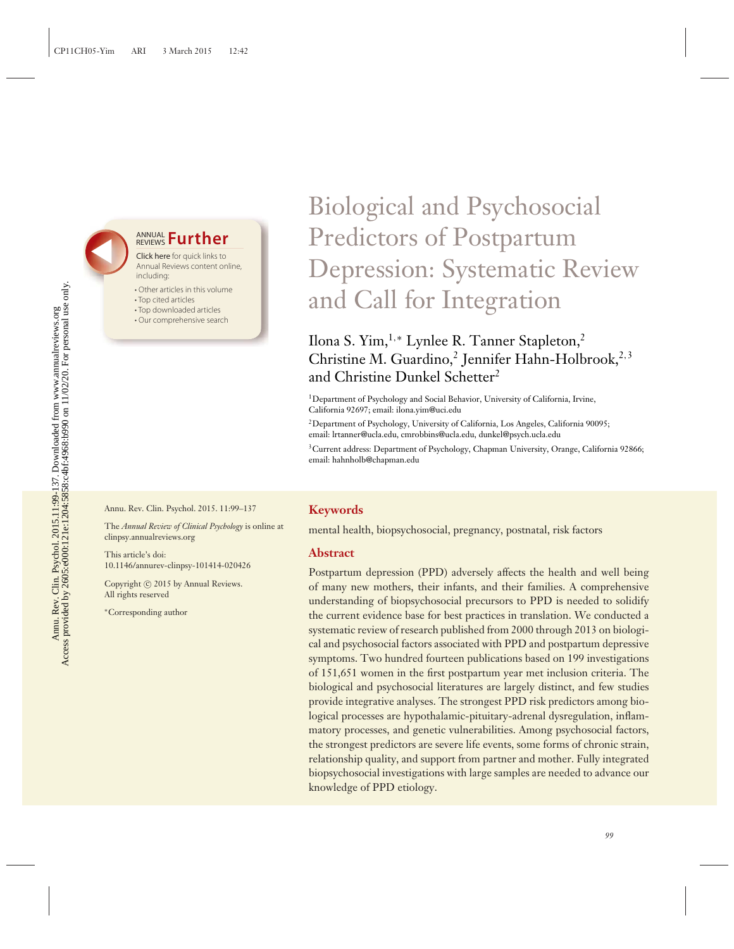### **ANNUAL Further**

Click here for quick links to Annual Reviews content online, including:

- Other articles in this volume
- Top cited articles
- Top downloaded articles
- Our comprehensive search

# Biological and Psychosocial Predictors of Postpartum Depression: Systematic Review and Call for Integration

### Ilona S. Yim,<sup>1</sup>,<sup>∗</sup> Lynlee R. Tanner Stapleton,2 Christine M. Guardino,<sup>2</sup> Jennifer Hahn-Holbrook,<sup>2,3</sup> and Christine Dunkel Schetter<sup>2</sup>

<sup>1</sup>Department of Psychology and Social Behavior, University of California, Irvine, California 92697; email: ilona.yim@uci.edu

2Department of Psychology, University of California, Los Angeles, California 90095; email: lrtanner@ucla.edu, cmrobbins@ucla.edu, dunkel@psych.ucla.edu

<sup>3</sup> Current address: Department of Psychology, Chapman University, Orange, California 92866; email: hahnholb@chapman.edu

#### Annu. Rev. Clin. Psychol. 2015. 11:99–137

The *Annual Review of Clinical Psychology* is online at clinpsy.annualreviews.org

This article's doi: 10.1146/annurev-clinpsy-101414-020426

Copyright © 2015 by Annual Reviews. All rights reserved

∗Corresponding author

#### **Keywords**

mental health, biopsychosocial, pregnancy, postnatal, risk factors

#### **Abstract**

Postpartum depression (PPD) adversely affects the health and well being of many new mothers, their infants, and their families. A comprehensive understanding of biopsychosocial precursors to PPD is needed to solidify the current evidence base for best practices in translation. We conducted a systematic review of research published from 2000 through 2013 on biological and psychosocial factors associated with PPD and postpartum depressive symptoms. Two hundred fourteen publications based on 199 investigations of 151,651 women in the first postpartum year met inclusion criteria. The biological and psychosocial literatures are largely distinct, and few studies provide integrative analyses. The strongest PPD risk predictors among biological processes are hypothalamic-pituitary-adrenal dysregulation, inflammatory processes, and genetic vulnerabilities. Among psychosocial factors, the strongest predictors are severe life events, some forms of chronic strain, relationship quality, and support from partner and mother. Fully integrated biopsychosocial investigations with large samples are needed to advance our knowledge of PPD etiology.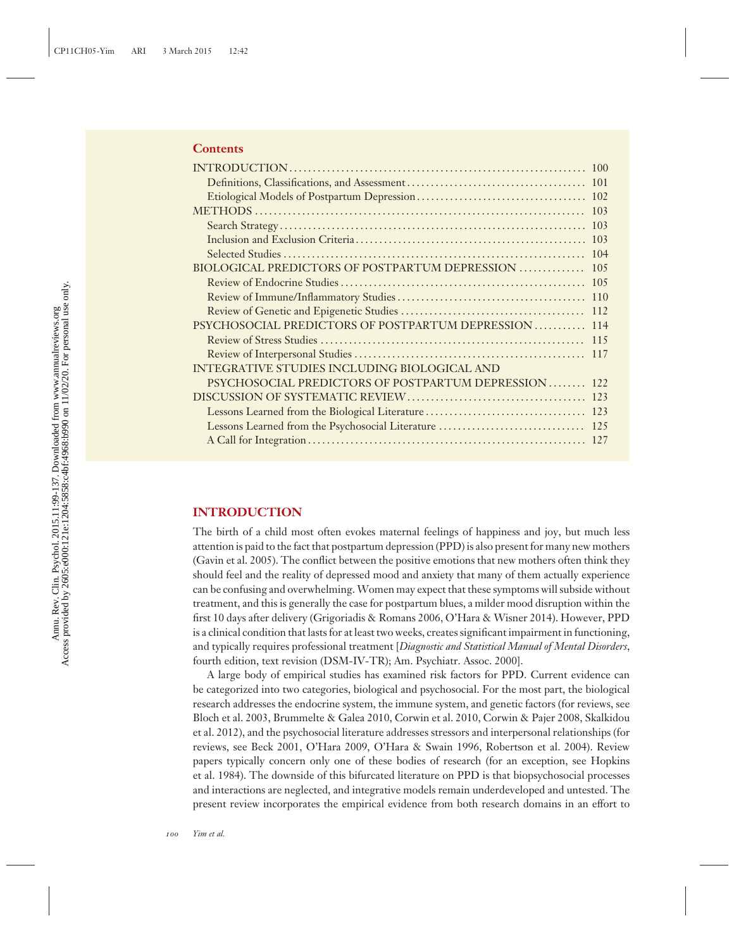#### **Contents**

|                                                  | 103 |
|--------------------------------------------------|-----|
|                                                  | 104 |
| BIOLOGICAL PREDICTORS OF POSTPARTUM DEPRESSION   | 105 |
|                                                  |     |
|                                                  |     |
|                                                  |     |
| PSYCHOSOCIAL PREDICTORS OF POSTPARTUM DEPRESSION | 114 |
|                                                  |     |
|                                                  |     |
| INTEGRATIVE STUDIES INCLUDING BIOLOGICAL AND     |     |
| PSYCHOSOCIAL PREDICTORS OF POSTPARTUM DEPRESSION | 122 |
|                                                  |     |
| Lessons Learned from the Biological Literature   | 123 |
|                                                  |     |
|                                                  |     |
|                                                  |     |

#### **INTRODUCTION**

The birth of a child most often evokes maternal feelings of happiness and joy, but much less attention is paid to the fact that postpartum depression (PPD) is also present for many new mothers (Gavin et al. 2005). The conflict between the positive emotions that new mothers often think they should feel and the reality of depressed mood and anxiety that many of them actually experience can be confusing and overwhelming. Women may expect that these symptoms will subside without treatment, and this is generally the case for postpartum blues, a milder mood disruption within the first 10 days after delivery (Grigoriadis & Romans 2006, O'Hara & Wisner 2014). However, PPD is a clinical condition that lasts for at least two weeks, creates significant impairment in functioning, and typically requires professional treatment [*Diagnostic and Statistical Manual of Mental Disorders*, fourth edition, text revision (DSM-IV-TR); Am. Psychiatr. Assoc. 2000].

A large body of empirical studies has examined risk factors for PPD. Current evidence can be categorized into two categories, biological and psychosocial. For the most part, the biological research addresses the endocrine system, the immune system, and genetic factors (for reviews, see Bloch et al. 2003, Brummelte & Galea 2010, Corwin et al. 2010, Corwin & Pajer 2008, Skalkidou et al. 2012), and the psychosocial literature addresses stressors and interpersonal relationships (for reviews, see Beck 2001, O'Hara 2009, O'Hara & Swain 1996, Robertson et al. 2004). Review papers typically concern only one of these bodies of research (for an exception, see Hopkins et al. 1984). The downside of this bifurcated literature on PPD is that biopsychosocial processes and interactions are neglected, and integrative models remain underdeveloped and untested. The present review incorporates the empirical evidence from both research domains in an effort to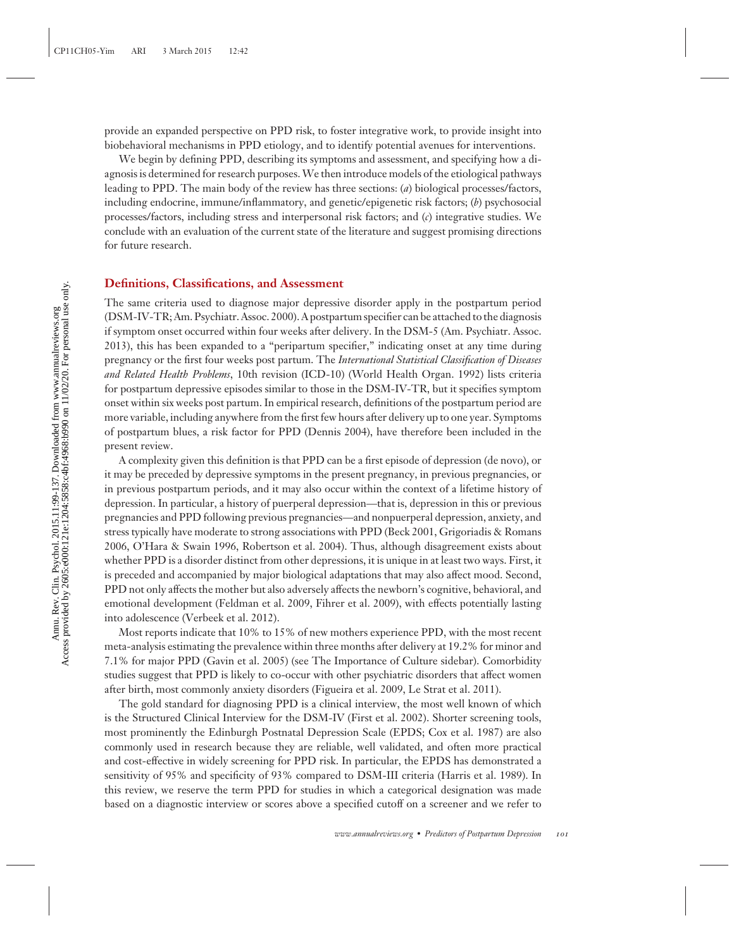provide an expanded perspective on PPD risk, to foster integrative work, to provide insight into biobehavioral mechanisms in PPD etiology, and to identify potential avenues for interventions.

We begin by defining PPD, describing its symptoms and assessment, and specifying how a diagnosis is determined for research purposes. We then introduce models of the etiological pathways leading to PPD. The main body of the review has three sections: (*a*) biological processes/factors, including endocrine, immune/inflammatory, and genetic/epigenetic risk factors; (*b*) psychosocial processes/factors, including stress and interpersonal risk factors; and (*c*) integrative studies. We conclude with an evaluation of the current state of the literature and suggest promising directions for future research.

#### **Definitions, Classifications, and Assessment**

The same criteria used to diagnose major depressive disorder apply in the postpartum period (DSM-IV-TR; Am. Psychiatr. Assoc. 2000). A postpartum specifier can be attached to the diagnosis if symptom onset occurred within four weeks after delivery. In the DSM-5 (Am. Psychiatr. Assoc. 2013), this has been expanded to a "peripartum specifier," indicating onset at any time during pregnancy or the first four weeks post partum. The *International Statistical Classification of Diseases and Related Health Problems*, 10th revision (ICD-10) (World Health Organ. 1992) lists criteria for postpartum depressive episodes similar to those in the DSM-IV-TR, but it specifies symptom onset within six weeks post partum. In empirical research, definitions of the postpartum period are more variable, including anywhere from the first few hours after delivery up to one year. Symptoms of postpartum blues, a risk factor for PPD (Dennis 2004), have therefore been included in the present review.

A complexity given this definition is that PPD can be a first episode of depression (de novo), or it may be preceded by depressive symptoms in the present pregnancy, in previous pregnancies, or in previous postpartum periods, and it may also occur within the context of a lifetime history of depression. In particular, a history of puerperal depression—that is, depression in this or previous pregnancies and PPD following previous pregnancies—and nonpuerperal depression, anxiety, and stress typically have moderate to strong associations with PPD (Beck 2001, Grigoriadis & Romans 2006, O'Hara & Swain 1996, Robertson et al. 2004). Thus, although disagreement exists about whether PPD is a disorder distinct from other depressions, it is unique in at least two ways. First, it is preceded and accompanied by major biological adaptations that may also affect mood. Second, PPD not only affects the mother but also adversely affects the newborn's cognitive, behavioral, and emotional development (Feldman et al. 2009, Fihrer et al. 2009), with effects potentially lasting into adolescence (Verbeek et al. 2012).

Most reports indicate that 10% to 15% of new mothers experience PPD, with the most recent meta-analysis estimating the prevalence within three months after delivery at 19.2% for minor and 7.1% for major PPD (Gavin et al. 2005) (see The Importance of Culture sidebar). Comorbidity studies suggest that PPD is likely to co-occur with other psychiatric disorders that affect women after birth, most commonly anxiety disorders (Figueira et al. 2009, Le Strat et al. 2011).

The gold standard for diagnosing PPD is a clinical interview, the most well known of which is the Structured Clinical Interview for the DSM-IV (First et al. 2002). Shorter screening tools, most prominently the Edinburgh Postnatal Depression Scale (EPDS; Cox et al. 1987) are also commonly used in research because they are reliable, well validated, and often more practical and cost-effective in widely screening for PPD risk. In particular, the EPDS has demonstrated a sensitivity of 95% and specificity of 93% compared to DSM-III criteria (Harris et al. 1989). In this review, we reserve the term PPD for studies in which a categorical designation was made based on a diagnostic interview or scores above a specified cutoff on a screener and we refer to

Annu. Rev. Clin. Psychol. 2015.11:99-137. Downloaded from www.annualreviews.org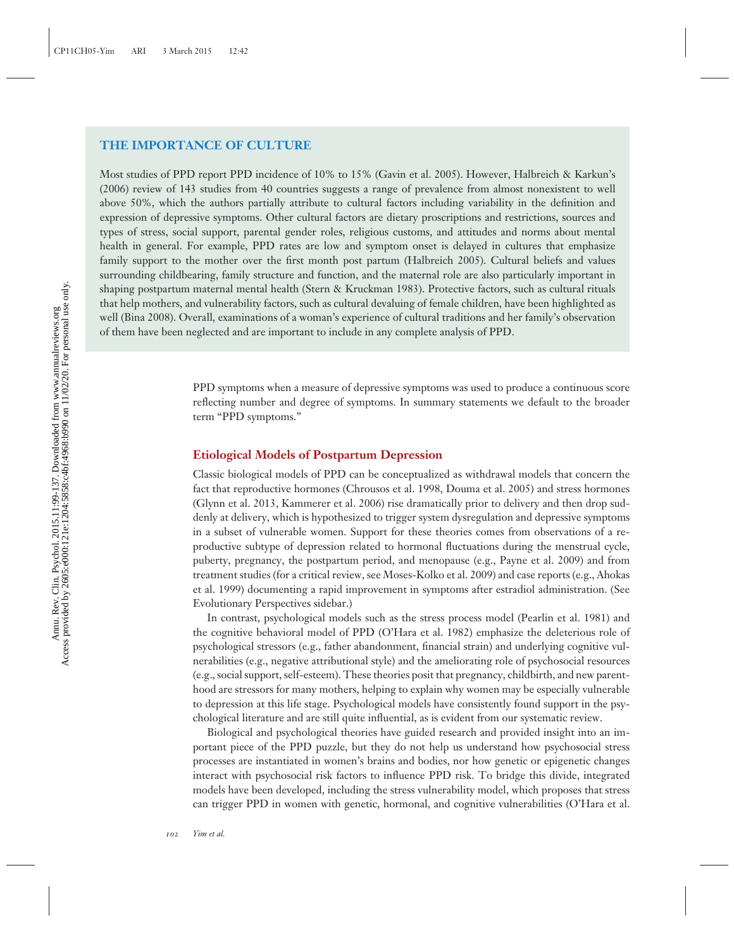#### **THE IMPORTANCE OF CULTURE**

Most studies of PPD report PPD incidence of 10% to 15% (Gavin et al. 2005). However, Halbreich & Karkun's (2006) review of 143 studies from 40 countries suggests a range of prevalence from almost nonexistent to well above 50%, which the authors partially attribute to cultural factors including variability in the definition and expression of depressive symptoms. Other cultural factors are dietary proscriptions and restrictions, sources and types of stress, social support, parental gender roles, religious customs, and attitudes and norms about mental health in general. For example, PPD rates are low and symptom onset is delayed in cultures that emphasize family support to the mother over the first month post partum (Halbreich 2005). Cultural beliefs and values surrounding childbearing, family structure and function, and the maternal role are also particularly important in shaping postpartum maternal mental health (Stern & Kruckman 1983). Protective factors, such as cultural rituals that help mothers, and vulnerability factors, such as cultural devaluing of female children, have been highlighted as well (Bina 2008). Overall, examinations of a woman's experience of cultural traditions and her family's observation of them have been neglected and are important to include in any complete analysis of PPD.

> PPD symptoms when a measure of depressive symptoms was used to produce a continuous score reflecting number and degree of symptoms. In summary statements we default to the broader term "PPD symptoms."

#### **Etiological Models of Postpartum Depression**

Classic biological models of PPD can be conceptualized as withdrawal models that concern the fact that reproductive hormones (Chrousos et al. 1998, Douma et al. 2005) and stress hormones (Glynn et al. 2013, Kammerer et al. 2006) rise dramatically prior to delivery and then drop suddenly at delivery, which is hypothesized to trigger system dysregulation and depressive symptoms in a subset of vulnerable women. Support for these theories comes from observations of a reproductive subtype of depression related to hormonal fluctuations during the menstrual cycle, puberty, pregnancy, the postpartum period, and menopause (e.g., Payne et al. 2009) and from treatment studies (for a critical review, see Moses-Kolko et al. 2009) and case reports (e.g., Ahokas et al. 1999) documenting a rapid improvement in symptoms after estradiol administration. (See Evolutionary Perspectives sidebar.)

In contrast, psychological models such as the stress process model (Pearlin et al. 1981) and the cognitive behavioral model of PPD (O'Hara et al. 1982) emphasize the deleterious role of psychological stressors (e.g., father abandonment, financial strain) and underlying cognitive vulnerabilities (e.g., negative attributional style) and the ameliorating role of psychosocial resources (e.g., social support, self-esteem). These theories posit that pregnancy, childbirth, and new parenthood are stressors for many mothers, helping to explain why women may be especially vulnerable to depression at this life stage. Psychological models have consistently found support in the psychological literature and are still quite influential, as is evident from our systematic review.

Biological and psychological theories have guided research and provided insight into an important piece of the PPD puzzle, but they do not help us understand how psychosocial stress processes are instantiated in women's brains and bodies, nor how genetic or epigenetic changes interact with psychosocial risk factors to influence PPD risk. To bridge this divide, integrated models have been developed, including the stress vulnerability model, which proposes that stress can trigger PPD in women with genetic, hormonal, and cognitive vulnerabilities (O'Hara et al.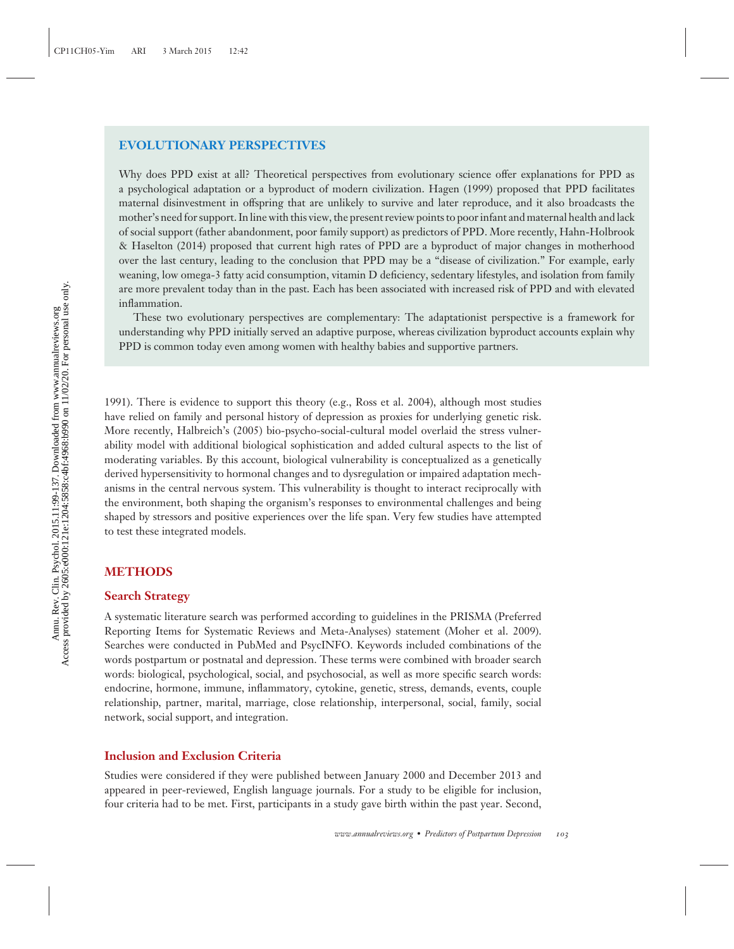#### **EVOLUTIONARY PERSPECTIVES**

Why does PPD exist at all? Theoretical perspectives from evolutionary science offer explanations for PPD as a psychological adaptation or a byproduct of modern civilization. Hagen (1999) proposed that PPD facilitates maternal disinvestment in offspring that are unlikely to survive and later reproduce, and it also broadcasts the mother's need for support. In line with this view, the present review points to poor infant and maternal health and lack of social support (father abandonment, poor family support) as predictors of PPD. More recently, Hahn-Holbrook & Haselton (2014) proposed that current high rates of PPD are a byproduct of major changes in motherhood over the last century, leading to the conclusion that PPD may be a "disease of civilization." For example, early weaning, low omega-3 fatty acid consumption, vitamin D deficiency, sedentary lifestyles, and isolation from family are more prevalent today than in the past. Each has been associated with increased risk of PPD and with elevated inflammation.

These two evolutionary perspectives are complementary: The adaptationist perspective is a framework for understanding why PPD initially served an adaptive purpose, whereas civilization byproduct accounts explain why PPD is common today even among women with healthy babies and supportive partners.

1991). There is evidence to support this theory (e.g., Ross et al. 2004), although most studies have relied on family and personal history of depression as proxies for underlying genetic risk. More recently, Halbreich's (2005) bio-psycho-social-cultural model overlaid the stress vulnerability model with additional biological sophistication and added cultural aspects to the list of moderating variables. By this account, biological vulnerability is conceptualized as a genetically derived hypersensitivity to hormonal changes and to dysregulation or impaired adaptation mechanisms in the central nervous system. This vulnerability is thought to interact reciprocally with the environment, both shaping the organism's responses to environmental challenges and being shaped by stressors and positive experiences over the life span. Very few studies have attempted to test these integrated models.

#### **METHODS**

#### **Search Strategy**

A systematic literature search was performed according to guidelines in the PRISMA (Preferred Reporting Items for Systematic Reviews and Meta-Analyses) statement (Moher et al. 2009). Searches were conducted in PubMed and PsycINFO. Keywords included combinations of the words postpartum or postnatal and depression. These terms were combined with broader search words: biological, psychological, social, and psychosocial, as well as more specific search words: endocrine, hormone, immune, inflammatory, cytokine, genetic, stress, demands, events, couple relationship, partner, marital, marriage, close relationship, interpersonal, social, family, social network, social support, and integration.

#### **Inclusion and Exclusion Criteria**

Studies were considered if they were published between January 2000 and December 2013 and appeared in peer-reviewed, English language journals. For a study to be eligible for inclusion, four criteria had to be met. First, participants in a study gave birth within the past year. Second,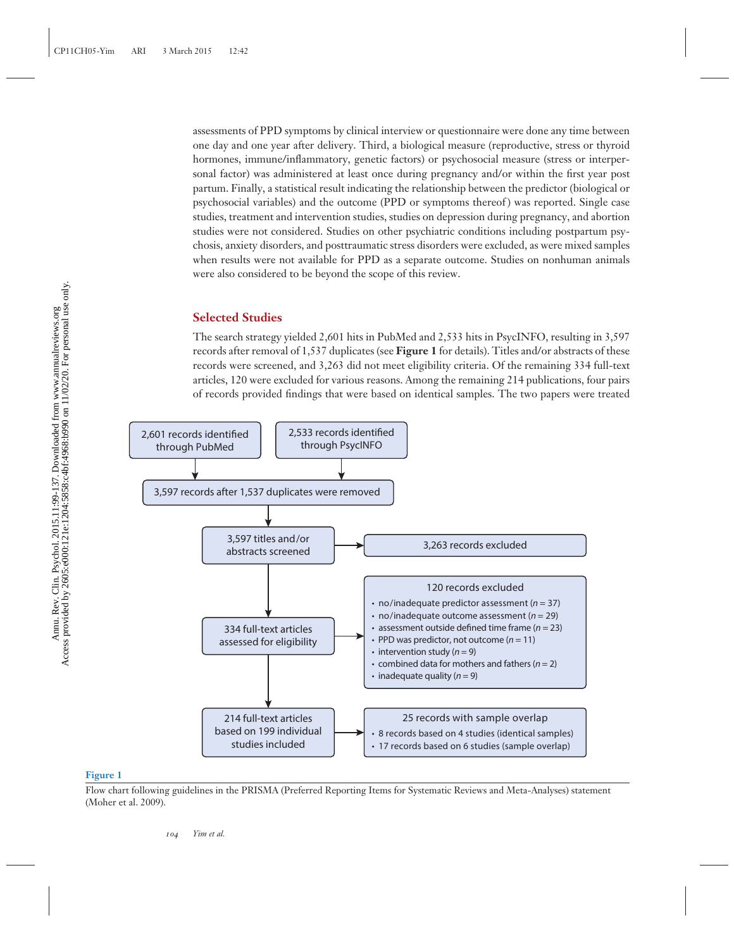assessments of PPD symptoms by clinical interview or questionnaire were done any time between one day and one year after delivery. Third, a biological measure (reproductive, stress or thyroid hormones, immune/inflammatory, genetic factors) or psychosocial measure (stress or interpersonal factor) was administered at least once during pregnancy and/or within the first year post partum. Finally, a statistical result indicating the relationship between the predictor (biological or psychosocial variables) and the outcome (PPD or symptoms thereof ) was reported. Single case studies, treatment and intervention studies, studies on depression during pregnancy, and abortion studies were not considered. Studies on other psychiatric conditions including postpartum psychosis, anxiety disorders, and posttraumatic stress disorders were excluded, as were mixed samples when results were not available for PPD as a separate outcome. Studies on nonhuman animals were also considered to be beyond the scope of this review.

#### **Selected Studies**

The search strategy yielded 2,601 hits in PubMed and 2,533 hits in PsycINFO, resulting in 3,597 records after removal of 1,537 duplicates (see **Figure 1** for details). Titles and/or abstracts of these records were screened, and 3,263 did not meet eligibility criteria. Of the remaining 334 full-text articles, 120 were excluded for various reasons. Among the remaining 214 publications, four pairs of records provided findings that were based on identical samples. The two papers were treated



#### **Figure 1**

Flow chart following guidelines in the PRISMA (Preferred Reporting Items for Systematic Reviews and Meta-Analyses) statement (Moher et al. 2009).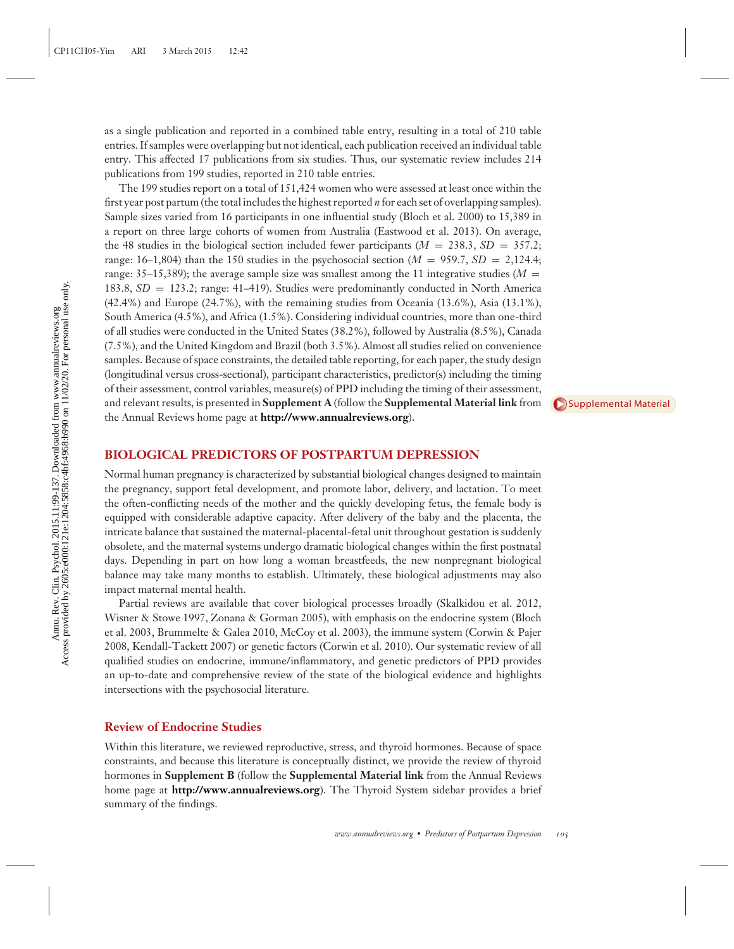as a single publication and reported in a combined table entry, resulting in a total of 210 table entries. If samples were overlapping but not identical, each publication received an individual table entry. This affected 17 publications from six studies. Thus, our systematic review includes 214 publications from 199 studies, reported in 210 table entries.

The 199 studies report on a total of 151,424 women who were assessed at least once within the first year post partum (the total includes the highest reported *n* for each set of overlapping samples). Sample sizes varied from 16 participants in one influential study (Bloch et al. 2000) to 15,389 in a report on three large cohorts of women from Australia (Eastwood et al. 2013). On average, the 48 studies in the biological section included fewer participants  $(M = 238.3, SD = 357.2;$ range:  $16-1,804$ ) than the 150 studies in the psychosocial section (*M* = 959.7, *SD* = 2,124.4; range:  $35-15,389$ ); the average sample size was smallest among the 11 integrative studies ( $M =$ 183.8, *SD* = 123.2; range: 41–419). Studies were predominantly conducted in North America (42.4%) and Europe (24.7%), with the remaining studies from Oceania (13.6%), Asia (13.1%), South America (4.5%), and Africa (1.5%). Considering individual countries, more than one-third of all studies were conducted in the United States (38.2%), followed by Australia (8.5%), Canada (7.5%), and the United Kingdom and Brazil (both 3.5%). Almost all studies relied on convenience samples. Because of space constraints, the detailed table reporting, for each paper, the study design (longitudinal versus cross-sectional), participant characteristics, predictor(s) including the timing of their assessment, control variables, measure(s) of PPD including the timing of their assessment, and relevant results, is presented in **Supplement A** (follow the **Supplemental Material link** from the Annual Reviews home page at **<http://www.annualreviews.org>**).

#### **BIOLOGICAL PREDICTORS OF POSTPARTUM DEPRESSION**

Normal human pregnancy is characterized by substantial biological changes designed to maintain the pregnancy, support fetal development, and promote labor, delivery, and lactation. To meet the often-conflicting needs of the mother and the quickly developing fetus, the female body is equipped with considerable adaptive capacity. After delivery of the baby and the placenta, the intricate balance that sustained the maternal-placental-fetal unit throughout gestation is suddenly obsolete, and the maternal systems undergo dramatic biological changes within the first postnatal days. Depending in part on how long a woman breastfeeds, the new nonpregnant biological balance may take many months to establish. Ultimately, these biological adjustments may also impact maternal mental health.

Partial reviews are available that cover biological processes broadly (Skalkidou et al. 2012, Wisner & Stowe 1997, Zonana & Gorman 2005), with emphasis on the endocrine system (Bloch et al. 2003, Brummelte & Galea 2010, McCoy et al. 2003), the immune system (Corwin & Pajer 2008, Kendall-Tackett 2007) or genetic factors (Corwin et al. 2010). Our systematic review of all qualified studies on endocrine, immune/inflammatory, and genetic predictors of PPD provides an up-to-date and comprehensive review of the state of the biological evidence and highlights intersections with the psychosocial literature.

#### **Review of Endocrine Studies**

Within this literature, we reviewed reproductive, stress, and thyroid hormones. Because of space constraints, and because this literature is conceptually distinct, we provide the review of thyroid hormones in **Supplement B** (follow the **Supplemental Material link** from the Annual Reviews home page at **<http://www.annualreviews.org>**). The Thyroid System sidebar provides a brief summary of the findings.

[Supplemental](http://www.annualreviews.org/doi/suppl/10.1146/annurev-clinpsy-101414-020426) Material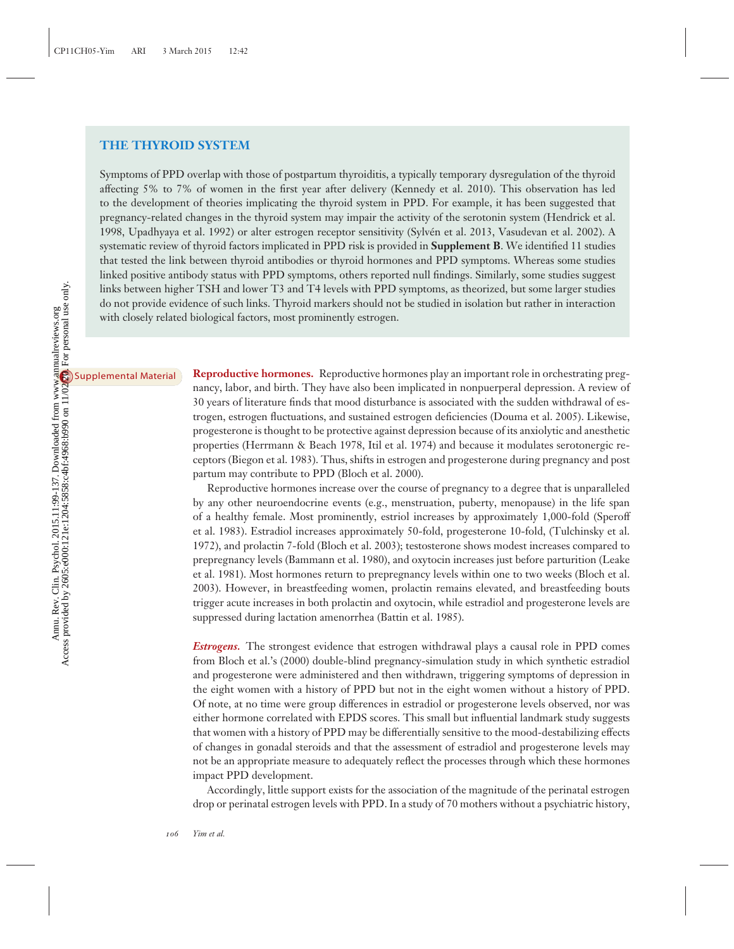#### **THE THYROID SYSTEM**

Symptoms of PPD overlap with those of postpartum thyroiditis, a typically temporary dysregulation of the thyroid affecting 5% to 7% of women in the first year after delivery (Kennedy et al. 2010). This observation has led to the development of theories implicating the thyroid system in PPD. For example, it has been suggested that pregnancy-related changes in the thyroid system may impair the activity of the serotonin system (Hendrick et al. 1998, Upadhyaya et al. 1992) or alter estrogen receptor sensitivity (Sylven et al. 2013, Vasudevan et al. 2002). A ´ systematic review of thyroid factors implicated in PPD risk is provided in **Supplement B**. We identified 11 studies that tested the link between thyroid antibodies or thyroid hormones and PPD symptoms. Whereas some studies linked positive antibody status with PPD symptoms, others reported null findings. Similarly, some studies suggest links between higher TSH and lower T3 and T4 levels with PPD symptoms, as theorized, but some larger studies do not provide evidence of such links. Thyroid markers should not be studied in isolation but rather in interaction with closely related biological factors, most prominently estrogen.

#### [Supplemental](http://www.annualreviews.org/doi/suppl/10.1146/annurev-clinpsy-101414-020426) Material

**Reproductive hormones.** Reproductive hormones play an important role in orchestrating pregnancy, labor, and birth. They have also been implicated in nonpuerperal depression. A review of 30 years of literature finds that mood disturbance is associated with the sudden withdrawal of estrogen, estrogen fluctuations, and sustained estrogen deficiencies (Douma et al. 2005). Likewise, progesterone is thought to be protective against depression because of its anxiolytic and anesthetic properties (Herrmann & Beach 1978, Itil et al. 1974) and because it modulates serotonergic receptors (Biegon et al. 1983). Thus, shifts in estrogen and progesterone during pregnancy and post partum may contribute to PPD (Bloch et al. 2000).

Reproductive hormones increase over the course of pregnancy to a degree that is unparalleled by any other neuroendocrine events (e.g., menstruation, puberty, menopause) in the life span of a healthy female. Most prominently, estriol increases by approximately 1,000-fold (Speroff et al. 1983). Estradiol increases approximately 50-fold, progesterone 10-fold, (Tulchinsky et al. 1972), and prolactin 7-fold (Bloch et al. 2003); testosterone shows modest increases compared to prepregnancy levels (Bammann et al. 1980), and oxytocin increases just before parturition (Leake et al. 1981). Most hormones return to prepregnancy levels within one to two weeks (Bloch et al. 2003). However, in breastfeeding women, prolactin remains elevated, and breastfeeding bouts trigger acute increases in both prolactin and oxytocin, while estradiol and progesterone levels are suppressed during lactation amenorrhea (Battin et al. 1985).

*Estrogens.* The strongest evidence that estrogen withdrawal plays a causal role in PPD comes from Bloch et al.'s (2000) double-blind pregnancy-simulation study in which synthetic estradiol and progesterone were administered and then withdrawn, triggering symptoms of depression in the eight women with a history of PPD but not in the eight women without a history of PPD. Of note, at no time were group differences in estradiol or progesterone levels observed, nor was either hormone correlated with EPDS scores. This small but influential landmark study suggests that women with a history of PPD may be differentially sensitive to the mood-destabilizing effects of changes in gonadal steroids and that the assessment of estradiol and progesterone levels may not be an appropriate measure to adequately reflect the processes through which these hormones impact PPD development.

Accordingly, little support exists for the association of the magnitude of the perinatal estrogen drop or perinatal estrogen levels with PPD. In a study of 70 mothers without a psychiatric history,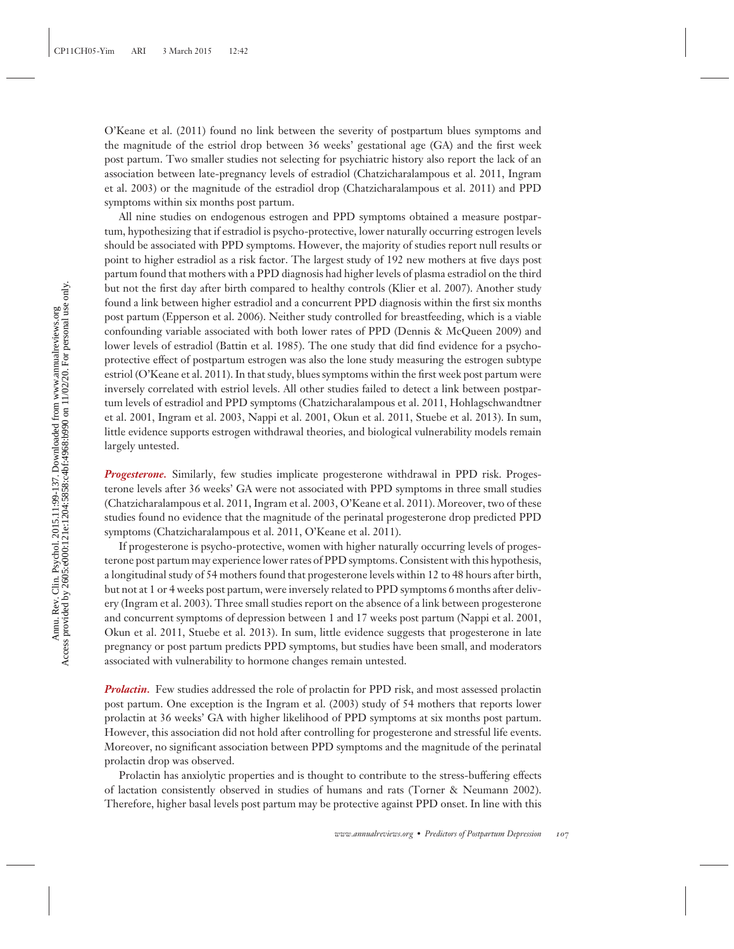O'Keane et al. (2011) found no link between the severity of postpartum blues symptoms and the magnitude of the estriol drop between 36 weeks' gestational age (GA) and the first week post partum. Two smaller studies not selecting for psychiatric history also report the lack of an association between late-pregnancy levels of estradiol (Chatzicharalampous et al. 2011, Ingram et al. 2003) or the magnitude of the estradiol drop (Chatzicharalampous et al. 2011) and PPD symptoms within six months post partum.

All nine studies on endogenous estrogen and PPD symptoms obtained a measure postpartum, hypothesizing that if estradiol is psycho-protective, lower naturally occurring estrogen levels should be associated with PPD symptoms. However, the majority of studies report null results or point to higher estradiol as a risk factor. The largest study of 192 new mothers at five days post partum found that mothers with a PPD diagnosis had higher levels of plasma estradiol on the third but not the first day after birth compared to healthy controls (Klier et al. 2007). Another study found a link between higher estradiol and a concurrent PPD diagnosis within the first six months post partum (Epperson et al. 2006). Neither study controlled for breastfeeding, which is a viable confounding variable associated with both lower rates of PPD (Dennis & McQueen 2009) and lower levels of estradiol (Battin et al. 1985). The one study that did find evidence for a psychoprotective effect of postpartum estrogen was also the lone study measuring the estrogen subtype estriol (O'Keane et al. 2011). In that study, blues symptoms within the first week post partum were inversely correlated with estriol levels. All other studies failed to detect a link between postpartum levels of estradiol and PPD symptoms (Chatzicharalampous et al. 2011, Hohlagschwandtner et al. 2001, Ingram et al. 2003, Nappi et al. 2001, Okun et al. 2011, Stuebe et al. 2013). In sum, little evidence supports estrogen withdrawal theories, and biological vulnerability models remain largely untested.

**Progesterone.** Similarly, few studies implicate progesterone withdrawal in PPD risk. Progesterone levels after 36 weeks' GA were not associated with PPD symptoms in three small studies (Chatzicharalampous et al. 2011, Ingram et al. 2003, O'Keane et al. 2011). Moreover, two of these studies found no evidence that the magnitude of the perinatal progesterone drop predicted PPD symptoms (Chatzicharalampous et al. 2011, O'Keane et al. 2011).

If progesterone is psycho-protective, women with higher naturally occurring levels of progesterone post partum may experience lower rates of PPD symptoms. Consistent with this hypothesis, a longitudinal study of 54 mothers found that progesterone levels within 12 to 48 hours after birth, but not at 1 or 4 weeks post partum, were inversely related to PPD symptoms 6 months after delivery (Ingram et al. 2003). Three small studies report on the absence of a link between progesterone and concurrent symptoms of depression between 1 and 17 weeks post partum (Nappi et al. 2001, Okun et al. 2011, Stuebe et al. 2013). In sum, little evidence suggests that progesterone in late pregnancy or post partum predicts PPD symptoms, but studies have been small, and moderators associated with vulnerability to hormone changes remain untested.

*Prolactin.* Few studies addressed the role of prolactin for PPD risk, and most assessed prolactin post partum. One exception is the Ingram et al. (2003) study of 54 mothers that reports lower prolactin at 36 weeks' GA with higher likelihood of PPD symptoms at six months post partum. However, this association did not hold after controlling for progesterone and stressful life events. Moreover, no significant association between PPD symptoms and the magnitude of the perinatal prolactin drop was observed.

Prolactin has anxiolytic properties and is thought to contribute to the stress-buffering effects of lactation consistently observed in studies of humans and rats (Torner & Neumann 2002). Therefore, higher basal levels post partum may be protective against PPD onset. In line with this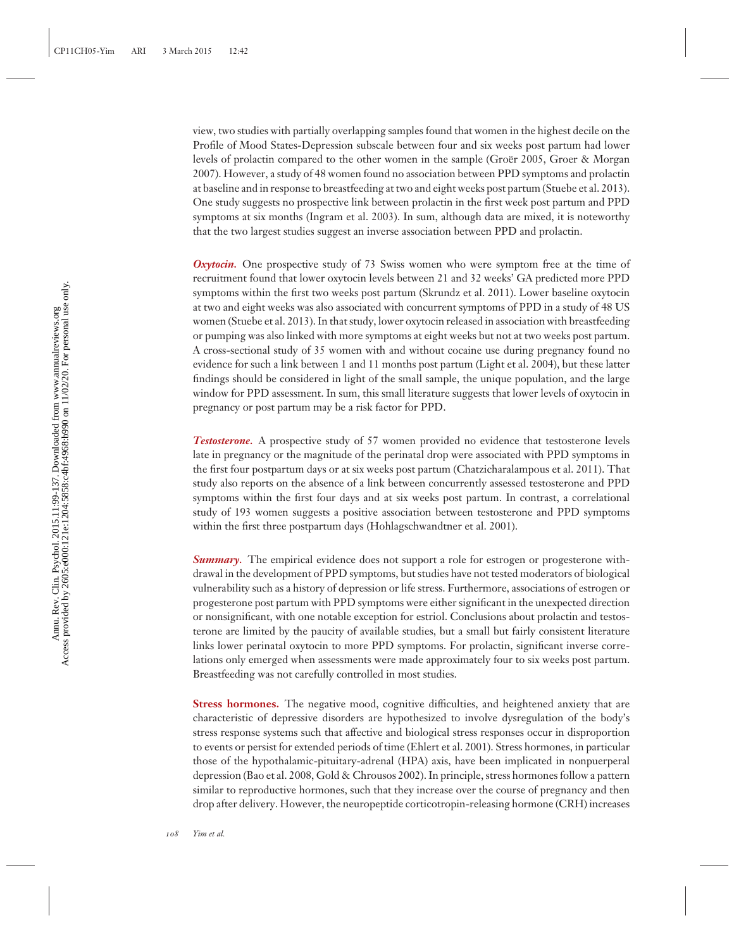view, two studies with partially overlapping samples found that women in the highest decile on the Profile of Mood States-Depression subscale between four and six weeks post partum had lower levels of prolactin compared to the other women in the sample (Groër 2005, Groer & Morgan 2007). However, a study of 48 women found no association between PPD symptoms and prolactin at baseline and in response to breastfeeding at two and eight weeks post partum (Stuebe et al. 2013). One study suggests no prospective link between prolactin in the first week post partum and PPD symptoms at six months (Ingram et al. 2003). In sum, although data are mixed, it is noteworthy that the two largest studies suggest an inverse association between PPD and prolactin.

*Oxytocin.* One prospective study of 73 Swiss women who were symptom free at the time of recruitment found that lower oxytocin levels between 21 and 32 weeks' GA predicted more PPD symptoms within the first two weeks post partum (Skrundz et al. 2011). Lower baseline oxytocin at two and eight weeks was also associated with concurrent symptoms of PPD in a study of 48 US women (Stuebe et al. 2013). In that study, lower oxytocin released in association with breastfeeding or pumping was also linked with more symptoms at eight weeks but not at two weeks post partum. A cross-sectional study of 35 women with and without cocaine use during pregnancy found no evidence for such a link between 1 and 11 months post partum (Light et al. 2004), but these latter findings should be considered in light of the small sample, the unique population, and the large window for PPD assessment. In sum, this small literature suggests that lower levels of oxytocin in pregnancy or post partum may be a risk factor for PPD.

*Testosterone.* A prospective study of 57 women provided no evidence that testosterone levels late in pregnancy or the magnitude of the perinatal drop were associated with PPD symptoms in the first four postpartum days or at six weeks post partum (Chatzicharalampous et al. 2011). That study also reports on the absence of a link between concurrently assessed testosterone and PPD symptoms within the first four days and at six weeks post partum. In contrast, a correlational study of 193 women suggests a positive association between testosterone and PPD symptoms within the first three postpartum days (Hohlagschwandtner et al. 2001).

*Summary.* The empirical evidence does not support a role for estrogen or progesterone withdrawal in the development of PPD symptoms, but studies have not tested moderators of biological vulnerability such as a history of depression or life stress. Furthermore, associations of estrogen or progesterone post partum with PPD symptoms were either significant in the unexpected direction or nonsignificant, with one notable exception for estriol. Conclusions about prolactin and testosterone are limited by the paucity of available studies, but a small but fairly consistent literature links lower perinatal oxytocin to more PPD symptoms. For prolactin, significant inverse correlations only emerged when assessments were made approximately four to six weeks post partum. Breastfeeding was not carefully controlled in most studies.

**Stress hormones.** The negative mood, cognitive difficulties, and heightened anxiety that are characteristic of depressive disorders are hypothesized to involve dysregulation of the body's stress response systems such that affective and biological stress responses occur in disproportion to events or persist for extended periods of time (Ehlert et al. 2001). Stress hormones, in particular those of the hypothalamic-pituitary-adrenal (HPA) axis, have been implicated in nonpuerperal depression (Bao et al. 2008, Gold & Chrousos 2002). In principle, stress hormones follow a pattern similar to reproductive hormones, such that they increase over the course of pregnancy and then drop after delivery. However, the neuropeptide corticotropin-releasing hormone (CRH) increases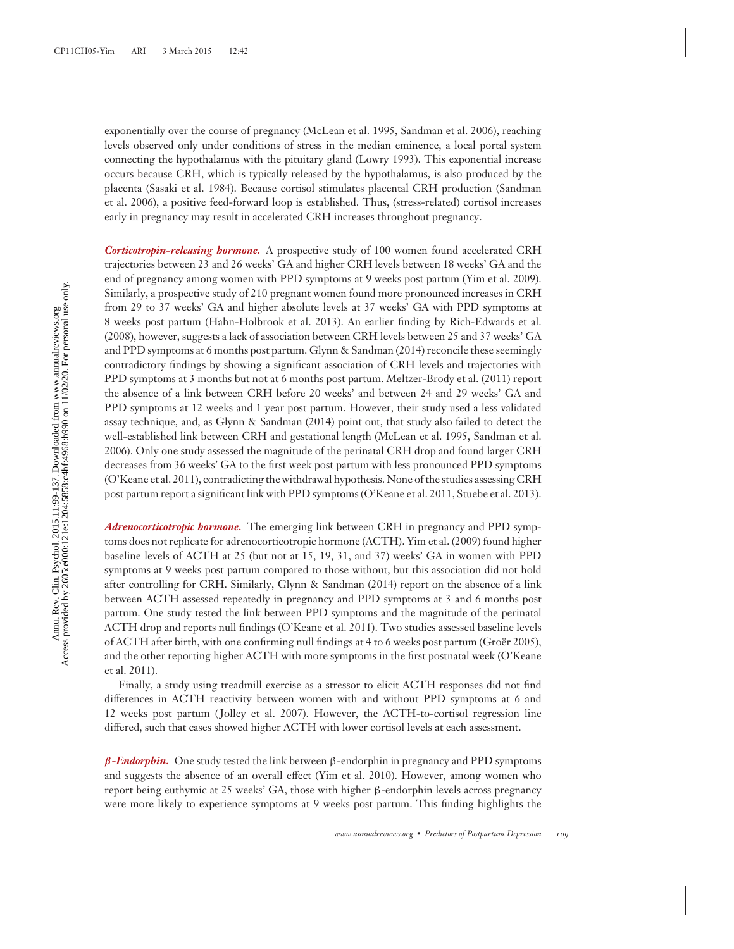exponentially over the course of pregnancy (McLean et al. 1995, Sandman et al. 2006), reaching levels observed only under conditions of stress in the median eminence, a local portal system connecting the hypothalamus with the pituitary gland (Lowry 1993). This exponential increase occurs because CRH, which is typically released by the hypothalamus, is also produced by the placenta (Sasaki et al. 1984). Because cortisol stimulates placental CRH production (Sandman et al. 2006), a positive feed-forward loop is established. Thus, (stress-related) cortisol increases early in pregnancy may result in accelerated CRH increases throughout pregnancy.

*Corticotropin-releasing hormone.* A prospective study of 100 women found accelerated CRH trajectories between 23 and 26 weeks' GA and higher CRH levels between 18 weeks' GA and the end of pregnancy among women with PPD symptoms at 9 weeks post partum (Yim et al. 2009). Similarly, a prospective study of 210 pregnant women found more pronounced increases in CRH from 29 to 37 weeks' GA and higher absolute levels at 37 weeks' GA with PPD symptoms at 8 weeks post partum (Hahn-Holbrook et al. 2013). An earlier finding by Rich-Edwards et al. (2008), however, suggests a lack of association between CRH levels between 25 and 37 weeks' GA and PPD symptoms at 6 months post partum. Glynn & Sandman (2014) reconcile these seemingly contradictory findings by showing a significant association of CRH levels and trajectories with PPD symptoms at 3 months but not at 6 months post partum. Meltzer-Brody et al. (2011) report the absence of a link between CRH before 20 weeks' and between 24 and 29 weeks' GA and PPD symptoms at 12 weeks and 1 year post partum. However, their study used a less validated assay technique, and, as Glynn & Sandman (2014) point out, that study also failed to detect the well-established link between CRH and gestational length (McLean et al. 1995, Sandman et al. 2006). Only one study assessed the magnitude of the perinatal CRH drop and found larger CRH decreases from 36 weeks' GA to the first week post partum with less pronounced PPD symptoms (O'Keane et al. 2011), contradicting the withdrawal hypothesis. None of the studies assessing CRH post partum report a significant link with PPD symptoms (O'Keane et al. 2011, Stuebe et al. 2013).

*Adrenocorticotropic hormone.* The emerging link between CRH in pregnancy and PPD symptoms does not replicate for adrenocorticotropic hormone (ACTH). Yim et al. (2009) found higher baseline levels of ACTH at 25 (but not at 15, 19, 31, and 37) weeks' GA in women with PPD symptoms at 9 weeks post partum compared to those without, but this association did not hold after controlling for CRH. Similarly, Glynn & Sandman (2014) report on the absence of a link between ACTH assessed repeatedly in pregnancy and PPD symptoms at 3 and 6 months post partum. One study tested the link between PPD symptoms and the magnitude of the perinatal ACTH drop and reports null findings (O'Keane et al. 2011). Two studies assessed baseline levels of ACTH after birth, with one confirming null findings at 4 to 6 weeks post partum (Groër 2005), and the other reporting higher ACTH with more symptoms in the first postnatal week (O'Keane et al. 2011).

Finally, a study using treadmill exercise as a stressor to elicit ACTH responses did not find differences in ACTH reactivity between women with and without PPD symptoms at 6 and 12 weeks post partum ( Jolley et al. 2007). However, the ACTH-to-cortisol regression line differed, such that cases showed higher ACTH with lower cortisol levels at each assessment.

*β-Endorphin.* One study tested the link between β-endorphin in pregnancy and PPD symptoms and suggests the absence of an overall effect (Yim et al. 2010). However, among women who report being euthymic at 25 weeks' GA, those with higher β-endorphin levels across pregnancy were more likely to experience symptoms at 9 weeks post partum. This finding highlights the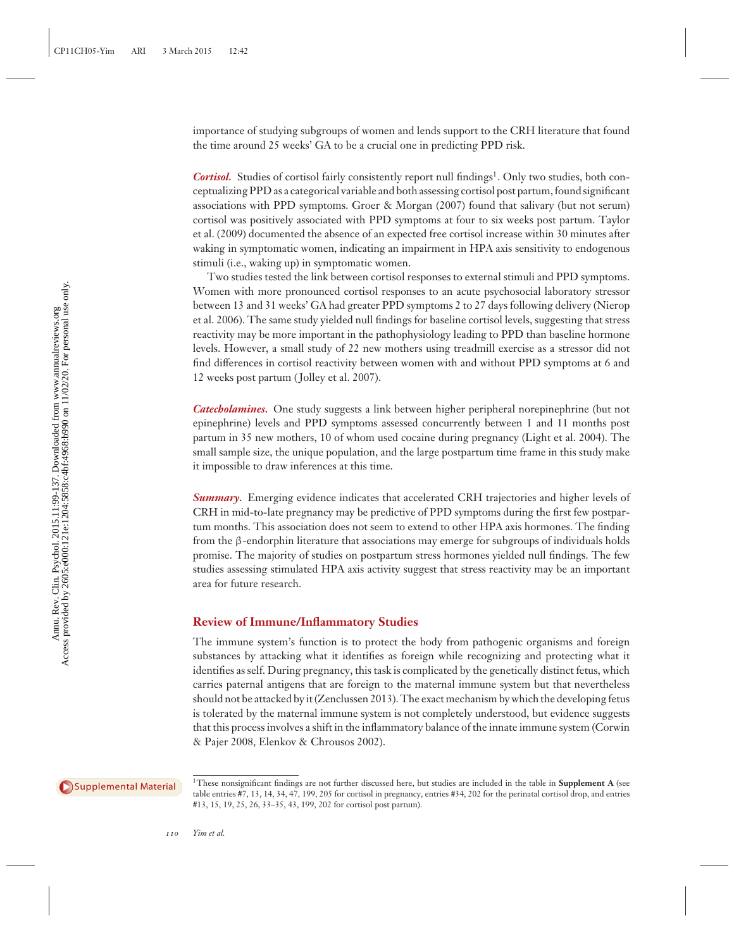importance of studying subgroups of women and lends support to the CRH literature that found the time around 25 weeks' GA to be a crucial one in predicting PPD risk.

**Cortisol.** Studies of cortisol fairly consistently report null findings<sup>1</sup>. Only two studies, both conceptualizing PPD as a categorical variable and both assessing cortisol post partum, found significant associations with PPD symptoms. Groer & Morgan (2007) found that salivary (but not serum) cortisol was positively associated with PPD symptoms at four to six weeks post partum. Taylor et al. (2009) documented the absence of an expected free cortisol increase within 30 minutes after waking in symptomatic women, indicating an impairment in HPA axis sensitivity to endogenous stimuli (i.e., waking up) in symptomatic women.

Two studies tested the link between cortisol responses to external stimuli and PPD symptoms. Women with more pronounced cortisol responses to an acute psychosocial laboratory stressor between 13 and 31 weeks' GA had greater PPD symptoms 2 to 27 days following delivery (Nierop et al. 2006). The same study yielded null findings for baseline cortisol levels, suggesting that stress reactivity may be more important in the pathophysiology leading to PPD than baseline hormone levels. However, a small study of 22 new mothers using treadmill exercise as a stressor did not find differences in cortisol reactivity between women with and without PPD symptoms at 6 and 12 weeks post partum ( Jolley et al. 2007).

*Catecholamines.* One study suggests a link between higher peripheral norepinephrine (but not epinephrine) levels and PPD symptoms assessed concurrently between 1 and 11 months post partum in 35 new mothers, 10 of whom used cocaine during pregnancy (Light et al. 2004). The small sample size, the unique population, and the large postpartum time frame in this study make it impossible to draw inferences at this time.

**Summary.** Emerging evidence indicates that accelerated CRH trajectories and higher levels of CRH in mid-to-late pregnancy may be predictive of PPD symptoms during the first few postpartum months. This association does not seem to extend to other HPA axis hormones. The finding from the β-endorphin literature that associations may emerge for subgroups of individuals holds promise. The majority of studies on postpartum stress hormones yielded null findings. The few studies assessing stimulated HPA axis activity suggest that stress reactivity may be an important area for future research.

#### **Review of Immune/Inflammatory Studies**

The immune system's function is to protect the body from pathogenic organisms and foreign substances by attacking what it identifies as foreign while recognizing and protecting what it identifies as self. During pregnancy, this task is complicated by the genetically distinct fetus, which carries paternal antigens that are foreign to the maternal immune system but that nevertheless should not be attacked by it (Zenclussen 2013). The exact mechanism by which the developing fetus is tolerated by the maternal immune system is not completely understood, but evidence suggests that this process involves a shift in the inflammatory balance of the innate immune system (Corwin & Pajer 2008, Elenkov & Chrousos 2002).



<sup>1</sup>These nonsignificant findings are not further discussed here, but studies are included in the table in **Supplement A** (see table entries #7, 13, 14, 34, 47, 199, 205 for cortisol in pregnancy, entries #34, 202 for the perinatal cortisol drop, and entries #13, 15, 19, 25, 26, 33–35, 43, 199, 202 for cortisol post partum).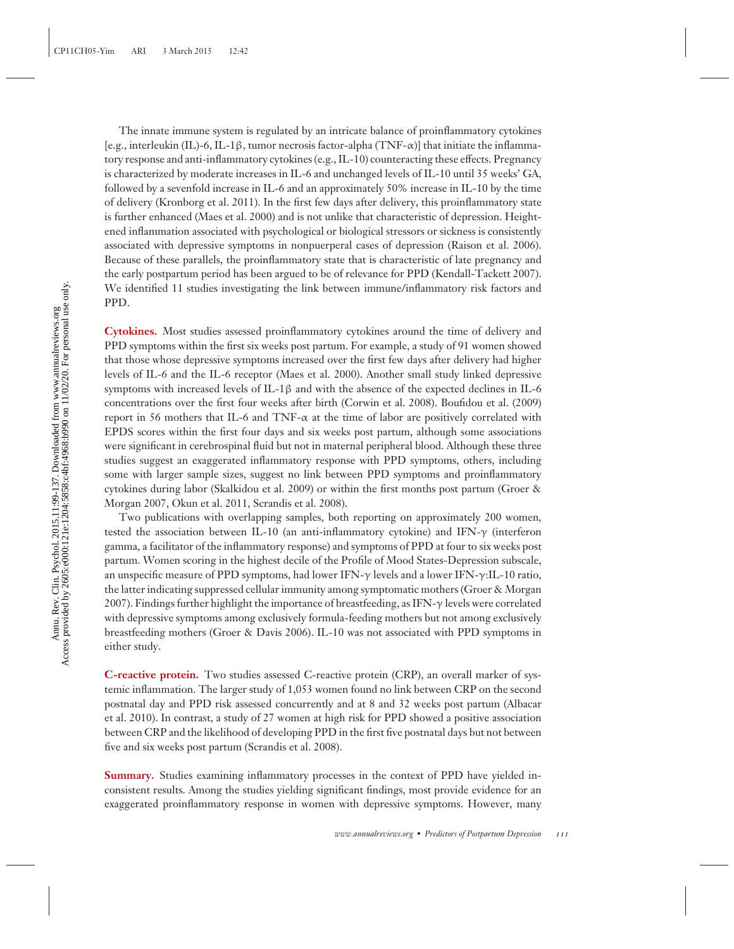The innate immune system is regulated by an intricate balance of proinflammatory cytokines [e.g., interleukin (IL)-6, IL-1β, tumor necrosis factor-alpha (TNF-α)] that initiate the inflammatory response and anti-inflammatory cytokines (e.g., IL-10) counteracting these effects. Pregnancy is characterized by moderate increases in IL-6 and unchanged levels of IL-10 until 35 weeks' GA, followed by a sevenfold increase in IL-6 and an approximately 50% increase in IL-10 by the time of delivery (Kronborg et al. 2011). In the first few days after delivery, this proinflammatory state is further enhanced (Maes et al. 2000) and is not unlike that characteristic of depression. Heightened inflammation associated with psychological or biological stressors or sickness is consistently associated with depressive symptoms in nonpuerperal cases of depression (Raison et al. 2006). Because of these parallels, the proinflammatory state that is characteristic of late pregnancy and the early postpartum period has been argued to be of relevance for PPD (Kendall-Tackett 2007). We identified 11 studies investigating the link between immune/inflammatory risk factors and PPD.

**Cytokines.** Most studies assessed proinflammatory cytokines around the time of delivery and PPD symptoms within the first six weeks post partum. For example, a study of 91 women showed that those whose depressive symptoms increased over the first few days after delivery had higher levels of IL-6 and the IL-6 receptor (Maes et al. 2000). Another small study linked depressive symptoms with increased levels of IL-1β and with the absence of the expected declines in IL-6 concentrations over the first four weeks after birth (Corwin et al. 2008). Boufidou et al. (2009) report in 56 mothers that IL-6 and TNF- $\alpha$  at the time of labor are positively correlated with EPDS scores within the first four days and six weeks post partum, although some associations were significant in cerebrospinal fluid but not in maternal peripheral blood. Although these three studies suggest an exaggerated inflammatory response with PPD symptoms, others, including some with larger sample sizes, suggest no link between PPD symptoms and proinflammatory cytokines during labor (Skalkidou et al. 2009) or within the first months post partum (Groer & Morgan 2007, Okun et al. 2011, Scrandis et al. 2008).

Two publications with overlapping samples, both reporting on approximately 200 women, tested the association between IL-10 (an anti-inflammatory cytokine) and IFN-γ (interferon gamma, a facilitator of the inflammatory response) and symptoms of PPD at four to six weeks post partum. Women scoring in the highest decile of the Profile of Mood States-Depression subscale, an unspecific measure of PPD symptoms, had lower IFN-γ levels and a lower IFN-γ:IL-10 ratio, the latter indicating suppressed cellular immunity among symptomatic mothers (Groer & Morgan 2007). Findings further highlight the importance of breastfeeding, as IFN-γ levels were correlated with depressive symptoms among exclusively formula-feeding mothers but not among exclusively breastfeeding mothers (Groer & Davis 2006). IL-10 was not associated with PPD symptoms in either study.

**C-reactive protein.** Two studies assessed C-reactive protein (CRP), an overall marker of systemic inflammation. The larger study of 1,053 women found no link between CRP on the second postnatal day and PPD risk assessed concurrently and at 8 and 32 weeks post partum (Albacar et al. 2010). In contrast, a study of 27 women at high risk for PPD showed a positive association between CRP and the likelihood of developing PPD in the first five postnatal days but not between five and six weeks post partum (Scrandis et al. 2008).

**Summary.** Studies examining inflammatory processes in the context of PPD have yielded inconsistent results. Among the studies yielding significant findings, most provide evidence for an exaggerated proinflammatory response in women with depressive symptoms. However, many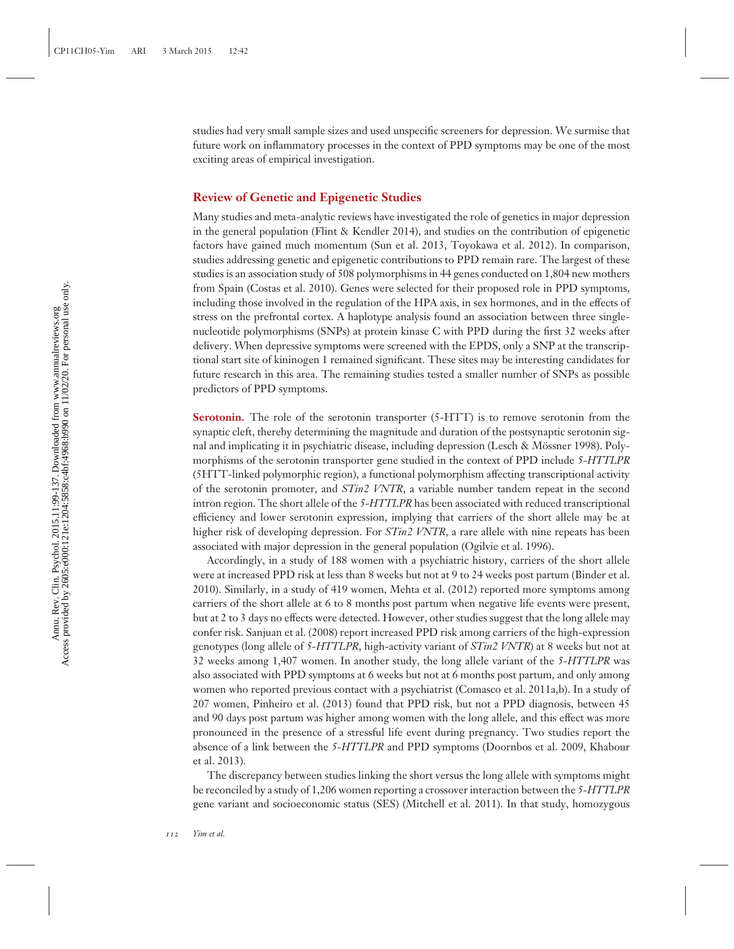studies had very small sample sizes and used unspecific screeners for depression. We surmise that future work on inflammatory processes in the context of PPD symptoms may be one of the most exciting areas of empirical investigation.

#### **Review of Genetic and Epigenetic Studies**

Many studies and meta-analytic reviews have investigated the role of genetics in major depression in the general population (Flint & Kendler 2014), and studies on the contribution of epigenetic factors have gained much momentum (Sun et al. 2013, Toyokawa et al. 2012). In comparison, studies addressing genetic and epigenetic contributions to PPD remain rare. The largest of these studies is an association study of 508 polymorphisms in 44 genes conducted on 1,804 new mothers from Spain (Costas et al. 2010). Genes were selected for their proposed role in PPD symptoms, including those involved in the regulation of the HPA axis, in sex hormones, and in the effects of stress on the prefrontal cortex. A haplotype analysis found an association between three singlenucleotide polymorphisms (SNPs) at protein kinase C with PPD during the first 32 weeks after delivery. When depressive symptoms were screened with the EPDS, only a SNP at the transcriptional start site of kininogen 1 remained significant. These sites may be interesting candidates for future research in this area. The remaining studies tested a smaller number of SNPs as possible predictors of PPD symptoms.

**Serotonin.** The role of the serotonin transporter (5-HTT) is to remove serotonin from the synaptic cleft, thereby determining the magnitude and duration of the postsynaptic serotonin signal and implicating it in psychiatric disease, including depression (Lesch & Mössner 1998). Polymorphisms of the serotonin transporter gene studied in the context of PPD include *5-HTTLPR* (5HTT-linked polymorphic region), a functional polymorphism affecting transcriptional activity of the serotonin promoter, and *STin2 VNTR*, a variable number tandem repeat in the second intron region. The short allele of the *5-HTTLPR* has been associated with reduced transcriptional efficiency and lower serotonin expression, implying that carriers of the short allele may be at higher risk of developing depression. For *STin2 VNTR*, a rare allele with nine repeats has been associated with major depression in the general population (Ogilvie et al. 1996).

Accordingly, in a study of 188 women with a psychiatric history, carriers of the short allele were at increased PPD risk at less than 8 weeks but not at 9 to 24 weeks post partum (Binder et al. 2010). Similarly, in a study of 419 women, Mehta et al. (2012) reported more symptoms among carriers of the short allele at 6 to 8 months post partum when negative life events were present, but at 2 to 3 days no effects were detected. However, other studies suggest that the long allele may confer risk. Sanjuan et al. (2008) report increased PPD risk among carriers of the high-expression genotypes (long allele of *5-HTTLPR*, high-activity variant of *STin2 VNTR*) at 8 weeks but not at 32 weeks among 1,407 women. In another study, the long allele variant of the *5-HTTLPR* was also associated with PPD symptoms at 6 weeks but not at 6 months post partum, and only among women who reported previous contact with a psychiatrist (Comasco et al. 2011a,b). In a study of 207 women, Pinheiro et al. (2013) found that PPD risk, but not a PPD diagnosis, between 45 and 90 days post partum was higher among women with the long allele, and this effect was more pronounced in the presence of a stressful life event during pregnancy. Two studies report the absence of a link between the *5-HTTLPR* and PPD symptoms (Doornbos et al. 2009, Khabour et al. 2013).

The discrepancy between studies linking the short versus the long allele with symptoms might be reconciled by a study of 1,206 women reporting a crossover interaction between the *5-HTTLPR* gene variant and socioeconomic status (SES) (Mitchell et al. 2011). In that study, homozygous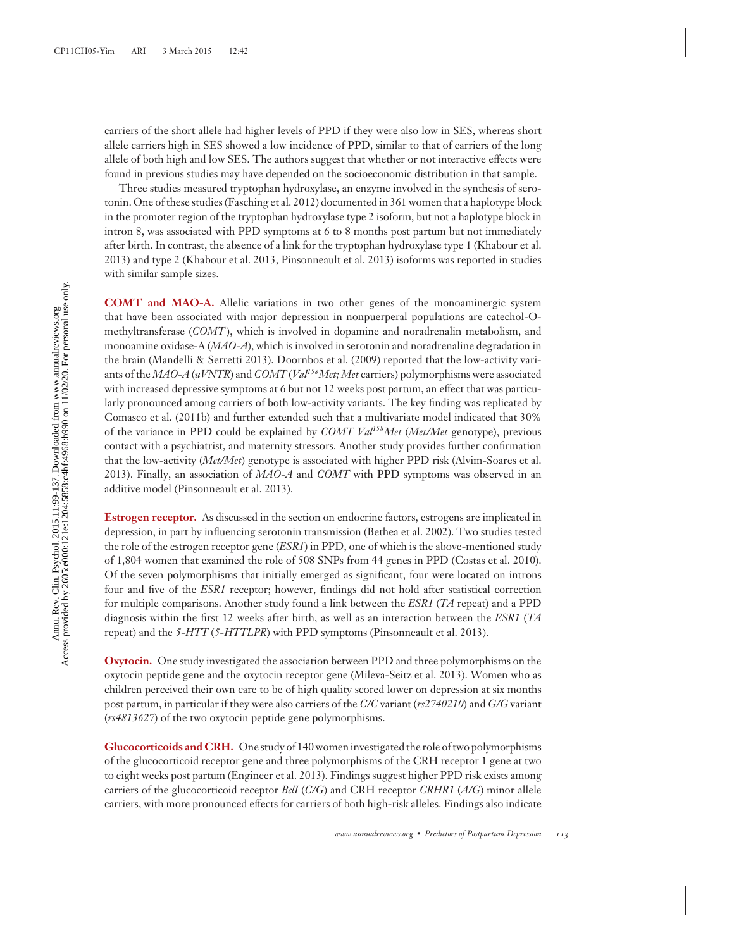carriers of the short allele had higher levels of PPD if they were also low in SES, whereas short allele carriers high in SES showed a low incidence of PPD, similar to that of carriers of the long allele of both high and low SES. The authors suggest that whether or not interactive effects were found in previous studies may have depended on the socioeconomic distribution in that sample.

Three studies measured tryptophan hydroxylase, an enzyme involved in the synthesis of serotonin. One of these studies (Fasching et al. 2012) documented in 361 women that a haplotype block in the promoter region of the tryptophan hydroxylase type 2 isoform, but not a haplotype block in intron 8, was associated with PPD symptoms at 6 to 8 months post partum but not immediately after birth. In contrast, the absence of a link for the tryptophan hydroxylase type 1 (Khabour et al. 2013) and type 2 (Khabour et al. 2013, Pinsonneault et al. 2013) isoforms was reported in studies with similar sample sizes.

**COMT and MAO-A.** Allelic variations in two other genes of the monoaminergic system that have been associated with major depression in nonpuerperal populations are catechol-Omethyltransferase (*COMT* ), which is involved in dopamine and noradrenalin metabolism, and monoamine oxidase-A (*MAO-A*), which is involved in serotonin and noradrenaline degradation in the brain (Mandelli & Serretti 2013). Doornbos et al. (2009) reported that the low-activity variants of the *MAO-A* (*uVNTR*) and *COMT* (*Val158Met; Met* carriers) polymorphisms were associated with increased depressive symptoms at 6 but not 12 weeks post partum, an effect that was particularly pronounced among carriers of both low-activity variants. The key finding was replicated by Comasco et al. (2011b) and further extended such that a multivariate model indicated that 30% of the variance in PPD could be explained by *COMT Val158Met* (*Met/Met* genotype), previous contact with a psychiatrist, and maternity stressors. Another study provides further confirmation that the low-activity (*Met/Met*) genotype is associated with higher PPD risk (Alvim-Soares et al. 2013). Finally, an association of *MAO-A* and *COMT* with PPD symptoms was observed in an additive model (Pinsonneault et al. 2013).

**Estrogen receptor.** As discussed in the section on endocrine factors, estrogens are implicated in depression, in part by influencing serotonin transmission (Bethea et al. 2002). Two studies tested the role of the estrogen receptor gene (*ESR1*) in PPD, one of which is the above-mentioned study of 1,804 women that examined the role of 508 SNPs from 44 genes in PPD (Costas et al. 2010). Of the seven polymorphisms that initially emerged as significant, four were located on introns four and five of the *ESR1* receptor; however, findings did not hold after statistical correction for multiple comparisons. Another study found a link between the *ESR1* (*TA* repeat) and a PPD diagnosis within the first 12 weeks after birth, as well as an interaction between the *ESR1* (*TA* repeat) and the *5-HTT* (*5-HTTLPR*) with PPD symptoms (Pinsonneault et al. 2013).

**Oxytocin.** One study investigated the association between PPD and three polymorphisms on the oxytocin peptide gene and the oxytocin receptor gene (Mileva-Seitz et al. 2013). Women who as children perceived their own care to be of high quality scored lower on depression at six months post partum, in particular if they were also carriers of the *C/C* variant (*rs2740210*) and *G/G* variant (*rs4813627*) of the two oxytocin peptide gene polymorphisms.

**Glucocorticoids and CRH.** One study of 140 women investigated the role of two polymorphisms of the glucocorticoid receptor gene and three polymorphisms of the CRH receptor 1 gene at two to eight weeks post partum (Engineer et al. 2013). Findings suggest higher PPD risk exists among carriers of the glucocorticoid receptor *BclI* (*C/G*) and CRH receptor *CRHR1* (*A/G*) minor allele carriers, with more pronounced effects for carriers of both high-risk alleles. Findings also indicate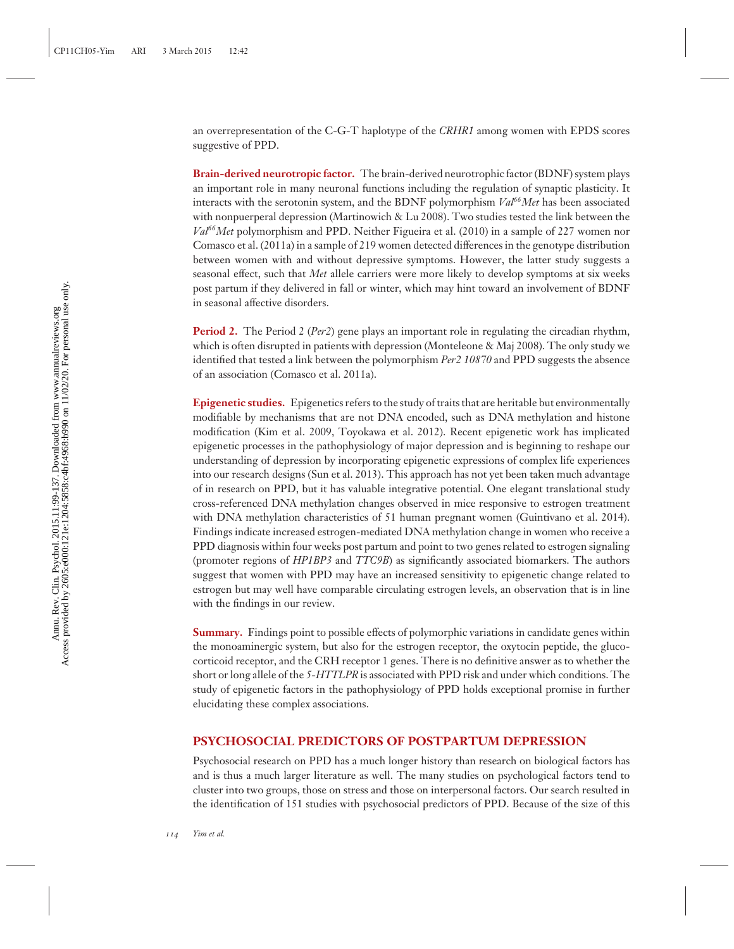an overrepresentation of the C-G-T haplotype of the *CRHR1* among women with EPDS scores suggestive of PPD.

**Brain-derived neurotropic factor.** The brain-derived neurotrophic factor (BDNF) system plays an important role in many neuronal functions including the regulation of synaptic plasticity. It interacts with the serotonin system, and the BDNF polymorphism *Val66Met* has been associated with nonpuerperal depression (Martinowich & Lu 2008). Two studies tested the link between the *Val66Met* polymorphism and PPD. Neither Figueira et al. (2010) in a sample of 227 women nor Comasco et al. (2011a) in a sample of 219 women detected differences in the genotype distribution between women with and without depressive symptoms. However, the latter study suggests a seasonal effect, such that *Met* allele carriers were more likely to develop symptoms at six weeks post partum if they delivered in fall or winter, which may hint toward an involvement of BDNF in seasonal affective disorders.

**Period 2.** The Period 2 (*Per2*) gene plays an important role in regulating the circadian rhythm, which is often disrupted in patients with depression (Monteleone & Maj 2008). The only study we identified that tested a link between the polymorphism *Per2 10870* and PPD suggests the absence of an association (Comasco et al. 2011a).

**Epigenetic studies.** Epigenetics refers to the study of traits that are heritable but environmentally modifiable by mechanisms that are not DNA encoded, such as DNA methylation and histone modification (Kim et al. 2009, Toyokawa et al. 2012). Recent epigenetic work has implicated epigenetic processes in the pathophysiology of major depression and is beginning to reshape our understanding of depression by incorporating epigenetic expressions of complex life experiences into our research designs (Sun et al. 2013). This approach has not yet been taken much advantage of in research on PPD, but it has valuable integrative potential. One elegant translational study cross-referenced DNA methylation changes observed in mice responsive to estrogen treatment with DNA methylation characteristics of 51 human pregnant women (Guintivano et al. 2014). Findings indicate increased estrogen-mediated DNA methylation change in women who receive a PPD diagnosis within four weeks post partum and point to two genes related to estrogen signaling (promoter regions of *HP1BP3* and *TTC9B*) as significantly associated biomarkers. The authors suggest that women with PPD may have an increased sensitivity to epigenetic change related to estrogen but may well have comparable circulating estrogen levels, an observation that is in line with the findings in our review.

**Summary.** Findings point to possible effects of polymorphic variations in candidate genes within the monoaminergic system, but also for the estrogen receptor, the oxytocin peptide, the glucocorticoid receptor, and the CRH receptor 1 genes. There is no definitive answer as to whether the short or long allele of the *5-HTTLPR* is associated with PPD risk and under which conditions. The study of epigenetic factors in the pathophysiology of PPD holds exceptional promise in further elucidating these complex associations.

#### **PSYCHOSOCIAL PREDICTORS OF POSTPARTUM DEPRESSION**

Psychosocial research on PPD has a much longer history than research on biological factors has and is thus a much larger literature as well. The many studies on psychological factors tend to cluster into two groups, those on stress and those on interpersonal factors. Our search resulted in the identification of 151 studies with psychosocial predictors of PPD. Because of the size of this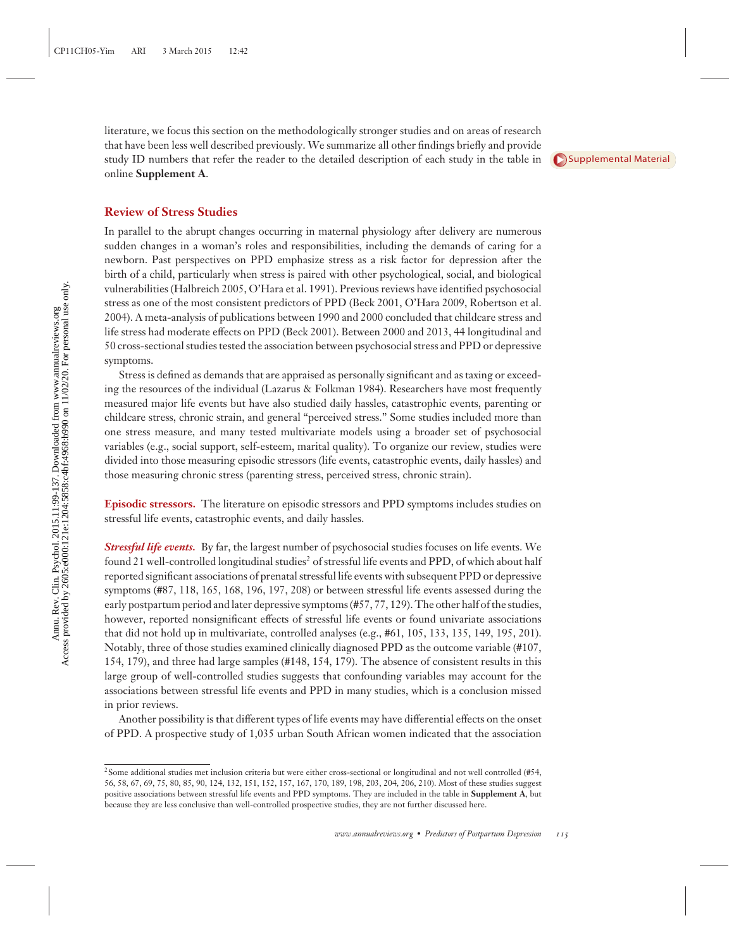literature, we focus this section on the methodologically stronger studies and on areas of research that have been less well described previously. We summarize all other findings briefly and provide study ID numbers that refer the reader to the detailed description of each study in the table in online **Supplement A**.

#### **Review of Stress Studies**

In parallel to the abrupt changes occurring in maternal physiology after delivery are numerous sudden changes in a woman's roles and responsibilities, including the demands of caring for a newborn. Past perspectives on PPD emphasize stress as a risk factor for depression after the birth of a child, particularly when stress is paired with other psychological, social, and biological vulnerabilities (Halbreich 2005, O'Hara et al. 1991). Previous reviews have identified psychosocial stress as one of the most consistent predictors of PPD (Beck 2001, O'Hara 2009, Robertson et al. 2004). A meta-analysis of publications between 1990 and 2000 concluded that childcare stress and life stress had moderate effects on PPD (Beck 2001). Between 2000 and 2013, 44 longitudinal and 50 cross-sectional studies tested the association between psychosocial stress and PPD or depressive symptoms.

Stress is defined as demands that are appraised as personally significant and as taxing or exceeding the resources of the individual (Lazarus & Folkman 1984). Researchers have most frequently measured major life events but have also studied daily hassles, catastrophic events, parenting or childcare stress, chronic strain, and general "perceived stress." Some studies included more than one stress measure, and many tested multivariate models using a broader set of psychosocial variables (e.g., social support, self-esteem, marital quality). To organize our review, studies were divided into those measuring episodic stressors (life events, catastrophic events, daily hassles) and those measuring chronic stress (parenting stress, perceived stress, chronic strain).

**Episodic stressors.** The literature on episodic stressors and PPD symptoms includes studies on stressful life events, catastrophic events, and daily hassles.

*Stressful life events.* By far, the largest number of psychosocial studies focuses on life events. We found 21 well-controlled longitudinal studies<sup>2</sup> of stressful life events and PPD, of which about half reported significant associations of prenatal stressful life events with subsequent PPD or depressive symptoms (#87, 118, 165, 168, 196, 197, 208) or between stressful life events assessed during the early postpartum period and later depressive symptoms (#57, 77, 129). The other half of the studies, however, reported nonsignificant effects of stressful life events or found univariate associations that did not hold up in multivariate, controlled analyses (e.g., #61, 105, 133, 135, 149, 195, 201). Notably, three of those studies examined clinically diagnosed PPD as the outcome variable (#107, 154, 179), and three had large samples (#148, 154, 179). The absence of consistent results in this large group of well-controlled studies suggests that confounding variables may account for the associations between stressful life events and PPD in many studies, which is a conclusion missed in prior reviews.

Another possibility is that different types of life events may have differential effects on the onset of PPD. A prospective study of 1,035 urban South African women indicated that the association

[Supplemental](http://www.annualreviews.org/doi/suppl/10.1146/annurev-clinpsy-101414-020426) Material

<sup>&</sup>lt;sup>2</sup> Some additional studies met inclusion criteria but were either cross-sectional or longitudinal and not well controlled (#54, 56, 58, 67, 69, 75, 80, 85, 90, 124, 132, 151, 152, 157, 167, 170, 189, 198, 203, 204, 206, 210). Most of these studies suggest positive associations between stressful life events and PPD symptoms. They are included in the table in **Supplement A**, but because they are less conclusive than well-controlled prospective studies, they are not further discussed here.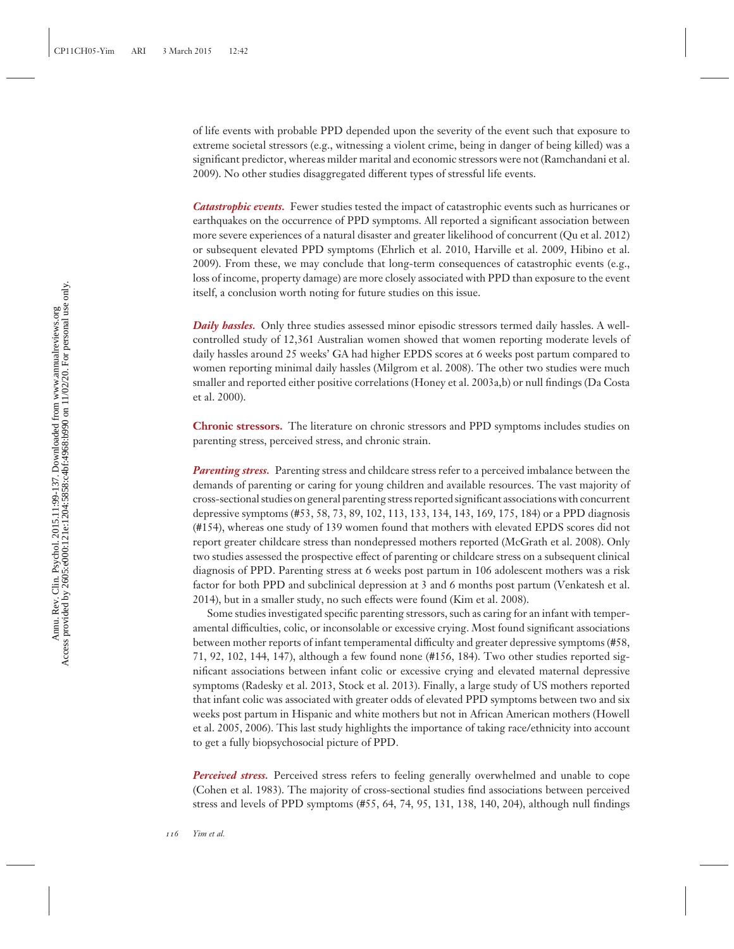of life events with probable PPD depended upon the severity of the event such that exposure to extreme societal stressors (e.g., witnessing a violent crime, being in danger of being killed) was a significant predictor, whereas milder marital and economic stressors were not (Ramchandani et al. 2009). No other studies disaggregated different types of stressful life events.

*Catastrophic events.* Fewer studies tested the impact of catastrophic events such as hurricanes or earthquakes on the occurrence of PPD symptoms. All reported a significant association between more severe experiences of a natural disaster and greater likelihood of concurrent (Qu et al. 2012) or subsequent elevated PPD symptoms (Ehrlich et al. 2010, Harville et al. 2009, Hibino et al. 2009). From these, we may conclude that long-term consequences of catastrophic events (e.g., loss of income, property damage) are more closely associated with PPD than exposure to the event itself, a conclusion worth noting for future studies on this issue.

**Daily hassles.** Only three studies assessed minor episodic stressors termed daily hassles. A wellcontrolled study of 12,361 Australian women showed that women reporting moderate levels of daily hassles around 25 weeks' GA had higher EPDS scores at 6 weeks post partum compared to women reporting minimal daily hassles (Milgrom et al. 2008). The other two studies were much smaller and reported either positive correlations (Honey et al. 2003a,b) or null findings (Da Costa et al. 2000).

**Chronic stressors.** The literature on chronic stressors and PPD symptoms includes studies on parenting stress, perceived stress, and chronic strain.

*Parenting stress.* Parenting stress and childcare stress refer to a perceived imbalance between the demands of parenting or caring for young children and available resources. The vast majority of cross-sectional studies on general parenting stress reported significant associations with concurrent depressive symptoms (#53, 58, 73, 89, 102, 113, 133, 134, 143, 169, 175, 184) or a PPD diagnosis (#154), whereas one study of 139 women found that mothers with elevated EPDS scores did not report greater childcare stress than nondepressed mothers reported (McGrath et al. 2008). Only two studies assessed the prospective effect of parenting or childcare stress on a subsequent clinical diagnosis of PPD. Parenting stress at 6 weeks post partum in 106 adolescent mothers was a risk factor for both PPD and subclinical depression at 3 and 6 months post partum (Venkatesh et al. 2014), but in a smaller study, no such effects were found (Kim et al. 2008).

Some studies investigated specific parenting stressors, such as caring for an infant with temperamental difficulties, colic, or inconsolable or excessive crying. Most found significant associations between mother reports of infant temperamental difficulty and greater depressive symptoms (#58, 71, 92, 102, 144, 147), although a few found none (#156, 184). Two other studies reported significant associations between infant colic or excessive crying and elevated maternal depressive symptoms (Radesky et al. 2013, Stock et al. 2013). Finally, a large study of US mothers reported that infant colic was associated with greater odds of elevated PPD symptoms between two and six weeks post partum in Hispanic and white mothers but not in African American mothers (Howell et al. 2005, 2006). This last study highlights the importance of taking race/ethnicity into account to get a fully biopsychosocial picture of PPD.

**Perceived stress.** Perceived stress refers to feeling generally overwhelmed and unable to cope (Cohen et al. 1983). The majority of cross-sectional studies find associations between perceived stress and levels of PPD symptoms (#55, 64, 74, 95, 131, 138, 140, 204), although null findings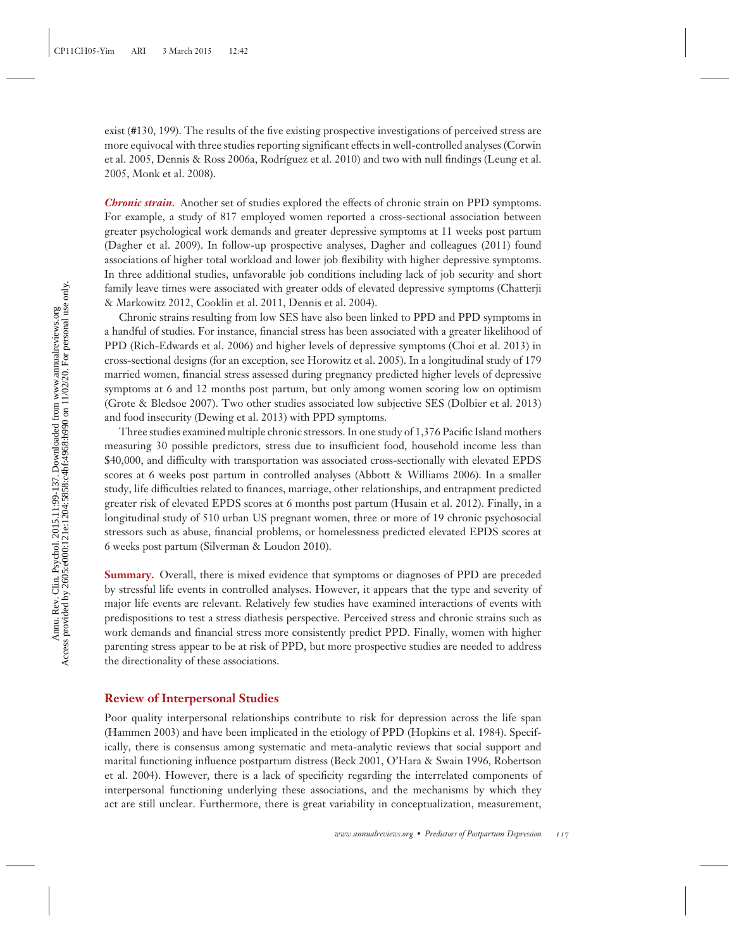exist (#130, 199). The results of the five existing prospective investigations of perceived stress are more equivocal with three studies reporting significant effects in well-controlled analyses (Corwin et al. 2005, Dennis & Ross 2006a, Rodríguez et al. 2010) and two with null findings (Leung et al. 2005, Monk et al. 2008).

*Chronic strain.* Another set of studies explored the effects of chronic strain on PPD symptoms. For example, a study of 817 employed women reported a cross-sectional association between greater psychological work demands and greater depressive symptoms at 11 weeks post partum (Dagher et al. 2009). In follow-up prospective analyses, Dagher and colleagues (2011) found associations of higher total workload and lower job flexibility with higher depressive symptoms. In three additional studies, unfavorable job conditions including lack of job security and short family leave times were associated with greater odds of elevated depressive symptoms (Chatterji & Markowitz 2012, Cooklin et al. 2011, Dennis et al. 2004).

Chronic strains resulting from low SES have also been linked to PPD and PPD symptoms in a handful of studies. For instance, financial stress has been associated with a greater likelihood of PPD (Rich-Edwards et al. 2006) and higher levels of depressive symptoms (Choi et al. 2013) in cross-sectional designs (for an exception, see Horowitz et al. 2005). In a longitudinal study of 179 married women, financial stress assessed during pregnancy predicted higher levels of depressive symptoms at 6 and 12 months post partum, but only among women scoring low on optimism (Grote & Bledsoe 2007). Two other studies associated low subjective SES (Dolbier et al. 2013) and food insecurity (Dewing et al. 2013) with PPD symptoms.

Three studies examined multiple chronic stressors. In one study of 1,376 Pacific Island mothers measuring 30 possible predictors, stress due to insufficient food, household income less than \$40,000, and difficulty with transportation was associated cross-sectionally with elevated EPDS scores at 6 weeks post partum in controlled analyses (Abbott & Williams 2006). In a smaller study, life difficulties related to finances, marriage, other relationships, and entrapment predicted greater risk of elevated EPDS scores at 6 months post partum (Husain et al. 2012). Finally, in a longitudinal study of 510 urban US pregnant women, three or more of 19 chronic psychosocial stressors such as abuse, financial problems, or homelessness predicted elevated EPDS scores at 6 weeks post partum (Silverman & Loudon 2010).

**Summary.** Overall, there is mixed evidence that symptoms or diagnoses of PPD are preceded by stressful life events in controlled analyses. However, it appears that the type and severity of major life events are relevant. Relatively few studies have examined interactions of events with predispositions to test a stress diathesis perspective. Perceived stress and chronic strains such as work demands and financial stress more consistently predict PPD. Finally, women with higher parenting stress appear to be at risk of PPD, but more prospective studies are needed to address the directionality of these associations.

#### **Review of Interpersonal Studies**

Poor quality interpersonal relationships contribute to risk for depression across the life span (Hammen 2003) and have been implicated in the etiology of PPD (Hopkins et al. 1984). Specifically, there is consensus among systematic and meta-analytic reviews that social support and marital functioning influence postpartum distress (Beck 2001, O'Hara & Swain 1996, Robertson et al. 2004). However, there is a lack of specificity regarding the interrelated components of interpersonal functioning underlying these associations, and the mechanisms by which they act are still unclear. Furthermore, there is great variability in conceptualization, measurement,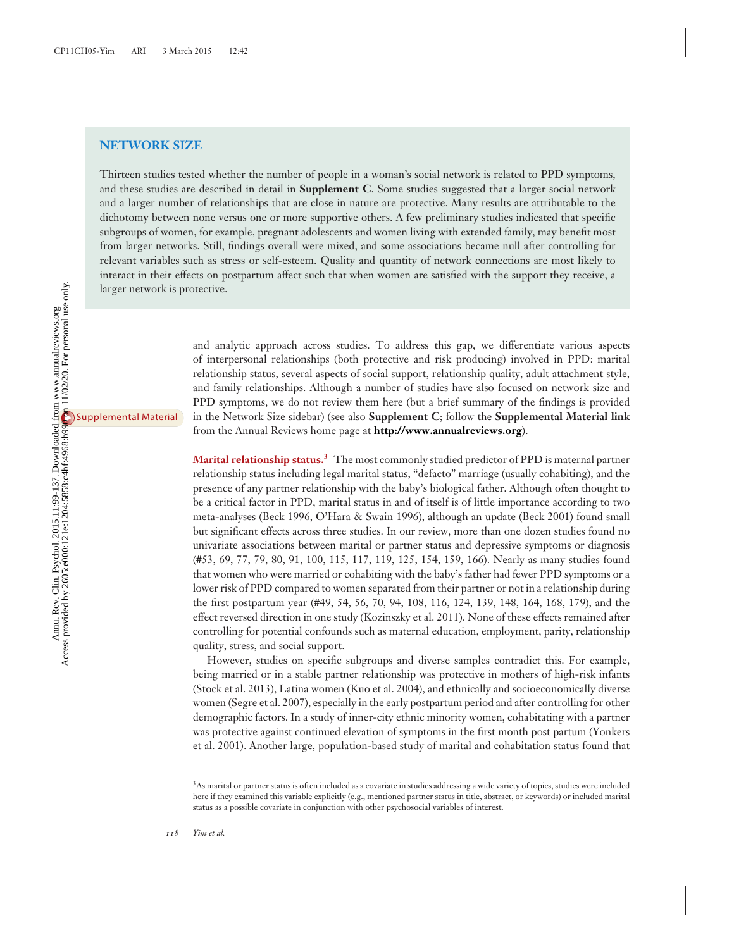#### **NETWORK SIZE**

Thirteen studies tested whether the number of people in a woman's social network is related to PPD symptoms, and these studies are described in detail in **Supplement C**. Some studies suggested that a larger social network and a larger number of relationships that are close in nature are protective. Many results are attributable to the dichotomy between none versus one or more supportive others. A few preliminary studies indicated that specific subgroups of women, for example, pregnant adolescents and women living with extended family, may benefit most from larger networks. Still, findings overall were mixed, and some associations became null after controlling for relevant variables such as stress or self-esteem. Quality and quantity of network connections are most likely to interact in their effects on postpartum affect such that when women are satisfied with the support they receive, a larger network is protective.

> and analytic approach across studies. To address this gap, we differentiate various aspects of interpersonal relationships (both protective and risk producing) involved in PPD: marital relationship status, several aspects of social support, relationship quality, adult attachment style, and family relationships. Although a number of studies have also focused on network size and PPD symptoms, we do not review them here (but a brief summary of the findings is provided in the Network Size sidebar) (see also **Supplement C**; follow the **Supplemental Material link** from the Annual Reviews home page at **<http://www.annualreviews.org>**).

> **Marital relationship status.3** The most commonly studied predictor of PPD is maternal partner relationship status including legal marital status, "defacto" marriage (usually cohabiting), and the presence of any partner relationship with the baby's biological father. Although often thought to be a critical factor in PPD, marital status in and of itself is of little importance according to two meta-analyses (Beck 1996, O'Hara & Swain 1996), although an update (Beck 2001) found small but significant effects across three studies. In our review, more than one dozen studies found no univariate associations between marital or partner status and depressive symptoms or diagnosis (#53, 69, 77, 79, 80, 91, 100, 115, 117, 119, 125, 154, 159, 166). Nearly as many studies found that women who were married or cohabiting with the baby's father had fewer PPD symptoms or a lower risk of PPD compared to women separated from their partner or not in a relationship during the first postpartum year (#49, 54, 56, 70, 94, 108, 116, 124, 139, 148, 164, 168, 179), and the effect reversed direction in one study (Kozinszky et al. 2011). None of these effects remained after controlling for potential confounds such as maternal education, employment, parity, relationship quality, stress, and social support.

> However, studies on specific subgroups and diverse samples contradict this. For example, being married or in a stable partner relationship was protective in mothers of high-risk infants (Stock et al. 2013), Latina women (Kuo et al. 2004), and ethnically and socioeconomically diverse women (Segre et al. 2007), especially in the early postpartum period and after controlling for other demographic factors. In a study of inner-city ethnic minority women, cohabitating with a partner was protective against continued elevation of symptoms in the first month post partum (Yonkers et al. 2001). Another large, population-based study of marital and cohabitation status found that

[Supplemental](http://www.annualreviews.org/doi/suppl/10.1146/annurev-clinpsy-101414-020426) Material

<sup>&</sup>lt;sup>3</sup>As marital or partner status is often included as a covariate in studies addressing a wide variety of topics, studies were included here if they examined this variable explicitly (e.g., mentioned partner status in title, abstract, or keywords) or included marital status as a possible covariate in conjunction with other psychosocial variables of interest.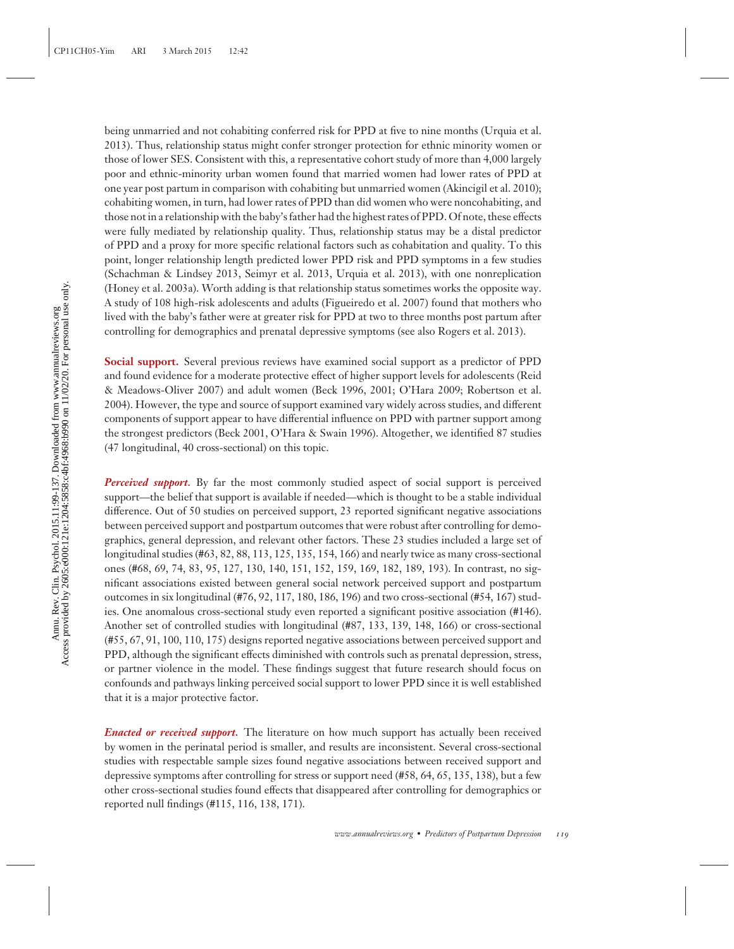being unmarried and not cohabiting conferred risk for PPD at five to nine months (Urquia et al. 2013). Thus, relationship status might confer stronger protection for ethnic minority women or those of lower SES. Consistent with this, a representative cohort study of more than 4,000 largely poor and ethnic-minority urban women found that married women had lower rates of PPD at one year post partum in comparison with cohabiting but unmarried women (Akincigil et al. 2010); cohabiting women, in turn, had lower rates of PPD than did women who were noncohabiting, and those not in a relationship with the baby's father had the highest rates of PPD. Of note, these effects were fully mediated by relationship quality. Thus, relationship status may be a distal predictor of PPD and a proxy for more specific relational factors such as cohabitation and quality. To this point, longer relationship length predicted lower PPD risk and PPD symptoms in a few studies (Schachman & Lindsey 2013, Seimyr et al. 2013, Urquia et al. 2013), with one nonreplication (Honey et al. 2003a). Worth adding is that relationship status sometimes works the opposite way. A study of 108 high-risk adolescents and adults (Figueiredo et al. 2007) found that mothers who lived with the baby's father were at greater risk for PPD at two to three months post partum after controlling for demographics and prenatal depressive symptoms (see also Rogers et al. 2013).

**Social support.** Several previous reviews have examined social support as a predictor of PPD and found evidence for a moderate protective effect of higher support levels for adolescents (Reid & Meadows-Oliver 2007) and adult women (Beck 1996, 2001; O'Hara 2009; Robertson et al. 2004). However, the type and source of support examined vary widely across studies, and different components of support appear to have differential influence on PPD with partner support among the strongest predictors (Beck 2001, O'Hara & Swain 1996). Altogether, we identified 87 studies (47 longitudinal, 40 cross-sectional) on this topic.

**Perceived support.** By far the most commonly studied aspect of social support is perceived support—the belief that support is available if needed—which is thought to be a stable individual difference. Out of 50 studies on perceived support, 23 reported significant negative associations between perceived support and postpartum outcomes that were robust after controlling for demographics, general depression, and relevant other factors. These 23 studies included a large set of longitudinal studies (#63, 82, 88, 113, 125, 135, 154, 166) and nearly twice as many cross-sectional ones (#68, 69, 74, 83, 95, 127, 130, 140, 151, 152, 159, 169, 182, 189, 193). In contrast, no significant associations existed between general social network perceived support and postpartum outcomes in six longitudinal (#76, 92, 117, 180, 186, 196) and two cross-sectional (#54, 167) studies. One anomalous cross-sectional study even reported a significant positive association (#146). Another set of controlled studies with longitudinal (#87, 133, 139, 148, 166) or cross-sectional (#55, 67, 91, 100, 110, 175) designs reported negative associations between perceived support and PPD, although the significant effects diminished with controls such as prenatal depression, stress, or partner violence in the model. These findings suggest that future research should focus on confounds and pathways linking perceived social support to lower PPD since it is well established that it is a major protective factor.

*Enacted or received support.* The literature on how much support has actually been received by women in the perinatal period is smaller, and results are inconsistent. Several cross-sectional studies with respectable sample sizes found negative associations between received support and depressive symptoms after controlling for stress or support need (#58, 64, 65, 135, 138), but a few other cross-sectional studies found effects that disappeared after controlling for demographics or reported null findings (#115, 116, 138, 171).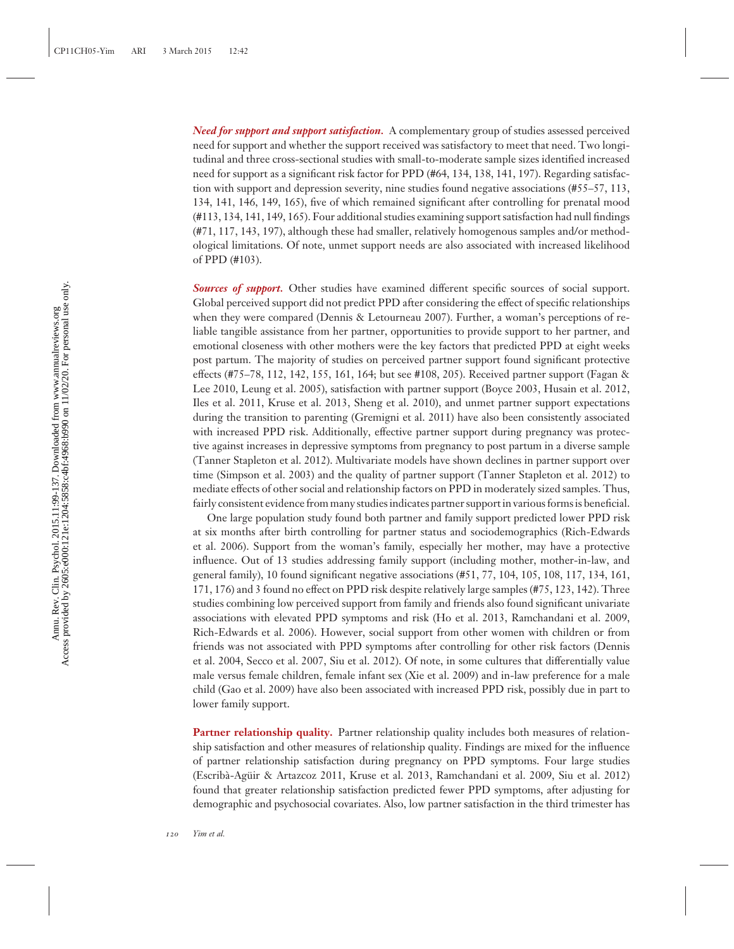*Need for support and support satisfaction.* A complementary group of studies assessed perceived need for support and whether the support received was satisfactory to meet that need. Two longitudinal and three cross-sectional studies with small-to-moderate sample sizes identified increased need for support as a significant risk factor for PPD (#64, 134, 138, 141, 197). Regarding satisfaction with support and depression severity, nine studies found negative associations (#55–57, 113, 134, 141, 146, 149, 165), five of which remained significant after controlling for prenatal mood (#113, 134, 141, 149, 165). Four additional studies examining support satisfaction had null findings (#71, 117, 143, 197), although these had smaller, relatively homogenous samples and/or methodological limitations. Of note, unmet support needs are also associated with increased likelihood of PPD (#103).

*Sources of support.* Other studies have examined different specific sources of social support. Global perceived support did not predict PPD after considering the effect of specific relationships when they were compared (Dennis & Letourneau 2007). Further, a woman's perceptions of reliable tangible assistance from her partner, opportunities to provide support to her partner, and emotional closeness with other mothers were the key factors that predicted PPD at eight weeks post partum. The majority of studies on perceived partner support found significant protective effects (#75–78, 112, 142, 155, 161, 164; but see #108, 205). Received partner support (Fagan & Lee 2010, Leung et al. 2005), satisfaction with partner support (Boyce 2003, Husain et al. 2012, Iles et al. 2011, Kruse et al. 2013, Sheng et al. 2010), and unmet partner support expectations during the transition to parenting (Gremigni et al. 2011) have also been consistently associated with increased PPD risk. Additionally, effective partner support during pregnancy was protective against increases in depressive symptoms from pregnancy to post partum in a diverse sample (Tanner Stapleton et al. 2012). Multivariate models have shown declines in partner support over time (Simpson et al. 2003) and the quality of partner support (Tanner Stapleton et al. 2012) to mediate effects of other social and relationship factors on PPD in moderately sized samples. Thus, fairly consistent evidence from many studies indicates partner support in various forms is beneficial.

One large population study found both partner and family support predicted lower PPD risk at six months after birth controlling for partner status and sociodemographics (Rich-Edwards et al. 2006). Support from the woman's family*,* especially her mother, may have a protective influence. Out of 13 studies addressing family support (including mother, mother-in-law, and general family), 10 found significant negative associations (#51, 77, 104, 105, 108, 117, 134, 161, 171, 176) and 3 found no effect on PPD risk despite relatively large samples (#75, 123, 142). Three studies combining low perceived support from family and friends also found significant univariate associations with elevated PPD symptoms and risk (Ho et al. 2013, Ramchandani et al. 2009, Rich-Edwards et al. 2006). However, social support from other women with children or from friends was not associated with PPD symptoms after controlling for other risk factors (Dennis et al. 2004, Secco et al. 2007, Siu et al. 2012). Of note, in some cultures that differentially value male versus female children, female infant sex (Xie et al. 2009) and in-law preference for a male child (Gao et al. 2009) have also been associated with increased PPD risk, possibly due in part to lower family support.

**Partner relationship quality.** Partner relationship quality includes both measures of relationship satisfaction and other measures of relationship quality. Findings are mixed for the influence of partner relationship satisfaction during pregnancy on PPD symptoms. Four large studies (Escribà-Agüir & Artazcoz 2011, Kruse et al. 2013, Ramchandani et al. 2009, Siu et al. 2012) found that greater relationship satisfaction predicted fewer PPD symptoms, after adjusting for demographic and psychosocial covariates. Also, low partner satisfaction in the third trimester has

 Access provided by 2605:e000:121e:1204:5858:c4bf:4968:b990 on 11/02/20. For personal use only. Annu. Rev. Clin. Psychol. 2015.11:99-137. Downloaded from www.annualreviews.org<br>Access provided by 2605:e000:121e:1204:5858:c4bf:4968:b990 on 11/02/20. For personal use only. Annu. Rev. Clin. Psychol. 2015.11:99-137. Downloaded from www.annualreviews.org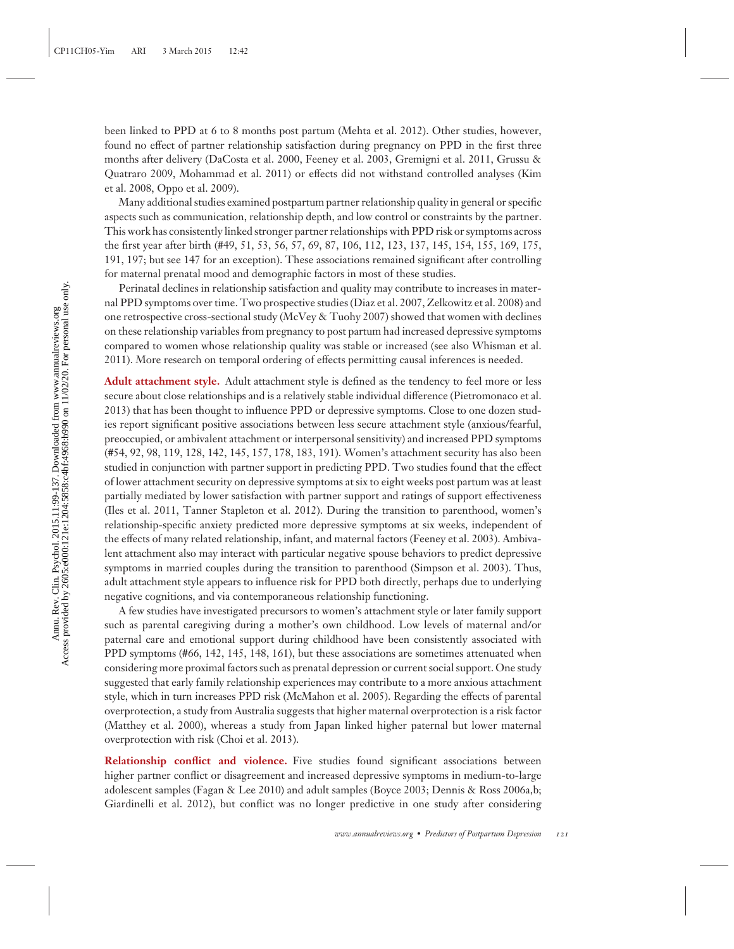been linked to PPD at 6 to 8 months post partum (Mehta et al. 2012). Other studies, however, found no effect of partner relationship satisfaction during pregnancy on PPD in the first three months after delivery (DaCosta et al. 2000, Feeney et al. 2003, Gremigni et al. 2011, Grussu & Quatraro 2009, Mohammad et al. 2011) or effects did not withstand controlled analyses (Kim et al. 2008, Oppo et al. 2009).

Many additional studies examined postpartum partner relationship quality in general or specific aspects such as communication, relationship depth, and low control or constraints by the partner. This work has consistently linked stronger partner relationships with PPD risk or symptoms across the first year after birth (#49, 51, 53, 56, 57, 69, 87, 106, 112, 123, 137, 145, 154, 155, 169, 175, 191, 197; but see 147 for an exception). These associations remained significant after controlling for maternal prenatal mood and demographic factors in most of these studies.

Perinatal declines in relationship satisfaction and quality may contribute to increases in maternal PPD symptoms over time. Two prospective studies (Diaz et al. 2007, Zelkowitz et al. 2008) and one retrospective cross-sectional study (McVey & Tuohy 2007) showed that women with declines on these relationship variables from pregnancy to post partum had increased depressive symptoms compared to women whose relationship quality was stable or increased (see also Whisman et al. 2011). More research on temporal ordering of effects permitting causal inferences is needed.

**Adult attachment style.** Adult attachment style is defined as the tendency to feel more or less secure about close relationships and is a relatively stable individual difference (Pietromonaco et al. 2013) that has been thought to influence PPD or depressive symptoms. Close to one dozen studies report significant positive associations between less secure attachment style (anxious/fearful, preoccupied, or ambivalent attachment or interpersonal sensitivity) and increased PPD symptoms (#54, 92, 98, 119, 128, 142, 145, 157, 178, 183, 191). Women's attachment security has also been studied in conjunction with partner support in predicting PPD. Two studies found that the effect of lower attachment security on depressive symptoms at six to eight weeks post partum was at least partially mediated by lower satisfaction with partner support and ratings of support effectiveness (Iles et al. 2011, Tanner Stapleton et al. 2012). During the transition to parenthood, women's relationship-specific anxiety predicted more depressive symptoms at six weeks, independent of the effects of many related relationship, infant, and maternal factors (Feeney et al. 2003). Ambivalent attachment also may interact with particular negative spouse behaviors to predict depressive symptoms in married couples during the transition to parenthood (Simpson et al. 2003). Thus, adult attachment style appears to influence risk for PPD both directly, perhaps due to underlying negative cognitions, and via contemporaneous relationship functioning.

A few studies have investigated precursors to women's attachment style or later family support such as parental caregiving during a mother's own childhood. Low levels of maternal and/or paternal care and emotional support during childhood have been consistently associated with PPD symptoms (#66, 142, 145, 148, 161), but these associations are sometimes attenuated when considering more proximal factors such as prenatal depression or current social support. One study suggested that early family relationship experiences may contribute to a more anxious attachment style, which in turn increases PPD risk (McMahon et al. 2005). Regarding the effects of parental overprotection, a study from Australia suggests that higher maternal overprotection is a risk factor (Matthey et al. 2000), whereas a study from Japan linked higher paternal but lower maternal overprotection with risk (Choi et al. 2013).

**Relationship conflict and violence.** Five studies found significant associations between higher partner conflict or disagreement and increased depressive symptoms in medium-to-large adolescent samples (Fagan & Lee 2010) and adult samples (Boyce 2003; Dennis & Ross 2006a,b; Giardinelli et al. 2012), but conflict was no longer predictive in one study after considering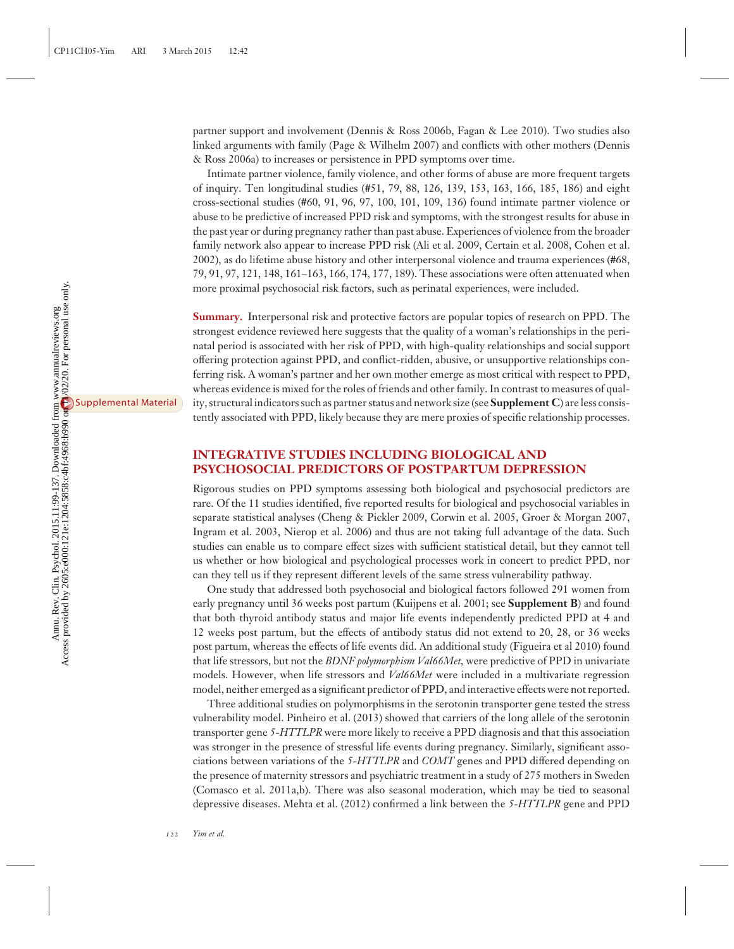partner support and involvement (Dennis & Ross 2006b, Fagan & Lee 2010). Two studies also linked arguments with family (Page & Wilhelm 2007) and conflicts with other mothers (Dennis & Ross 2006a) to increases or persistence in PPD symptoms over time.

Intimate partner violence, family violence, and other forms of abuse are more frequent targets of inquiry. Ten longitudinal studies (#51, 79, 88, 126, 139, 153, 163, 166, 185, 186) and eight cross-sectional studies (#60, 91, 96, 97, 100, 101, 109, 136) found intimate partner violence or abuse to be predictive of increased PPD risk and symptoms, with the strongest results for abuse in the past year or during pregnancy rather than past abuse. Experiences of violence from the broader family network also appear to increase PPD risk (Ali et al. 2009, Certain et al. 2008, Cohen et al. 2002), as do lifetime abuse history and other interpersonal violence and trauma experiences (#68, 79, 91, 97, 121, 148, 161–163, 166, 174, 177, 189). These associations were often attenuated when more proximal psychosocial risk factors, such as perinatal experiences, were included.

**Summary.** Interpersonal risk and protective factors are popular topics of research on PPD. The strongest evidence reviewed here suggests that the quality of a woman's relationships in the perinatal period is associated with her risk of PPD, with high-quality relationships and social support offering protection against PPD, and conflict-ridden, abusive, or unsupportive relationships conferring risk. A woman's partner and her own mother emerge as most critical with respect to PPD, whereas evidence is mixed for the roles of friends and other family. In contrast to measures of quality, structural indicators such as partner status and network size (see **Supplement C**) are less consistently associated with PPD, likely because they are mere proxies of specific relationship processes.

#### **INTEGRATIVE STUDIES INCLUDING BIOLOGICAL AND PSYCHOSOCIAL PREDICTORS OF POSTPARTUM DEPRESSION**

Rigorous studies on PPD symptoms assessing both biological and psychosocial predictors are rare. Of the 11 studies identified, five reported results for biological and psychosocial variables in separate statistical analyses (Cheng & Pickler 2009, Corwin et al. 2005, Groer & Morgan 2007, Ingram et al. 2003, Nierop et al. 2006) and thus are not taking full advantage of the data. Such studies can enable us to compare effect sizes with sufficient statistical detail, but they cannot tell us whether or how biological and psychological processes work in concert to predict PPD, nor can they tell us if they represent different levels of the same stress vulnerability pathway.

One study that addressed both psychosocial and biological factors followed 291 women from early pregnancy until 36 weeks post partum (Kuijpens et al. 2001; see **Supplement B**) and found that both thyroid antibody status and major life events independently predicted PPD at 4 and 12 weeks post partum, but the effects of antibody status did not extend to 20, 28, or 36 weeks post partum, whereas the effects of life events did. An additional study (Figueira et al 2010) found that life stressors, but not the *BDNF polymorphism Val66Met,* were predictive of PPD in univariate models. However, when life stressors and *Val66Met* were included in a multivariate regression model, neither emerged as a significant predictor of PPD, and interactive effects were not reported.

Three additional studies on polymorphisms in the serotonin transporter gene tested the stress vulnerability model. Pinheiro et al. (2013) showed that carriers of the long allele of the serotonin transporter gene *5-HTTLPR* were more likely to receive a PPD diagnosis and that this association was stronger in the presence of stressful life events during pregnancy. Similarly, significant associations between variations of the *5-HTTLPR* and *COMT* genes and PPD differed depending on the presence of maternity stressors and psychiatric treatment in a study of 275 mothers in Sweden (Comasco et al. 2011a,b). There was also seasonal moderation, which may be tied to seasonal depressive diseases. Mehta et al. (2012) confirmed a link between the *5-HTTLPR* gene and PPD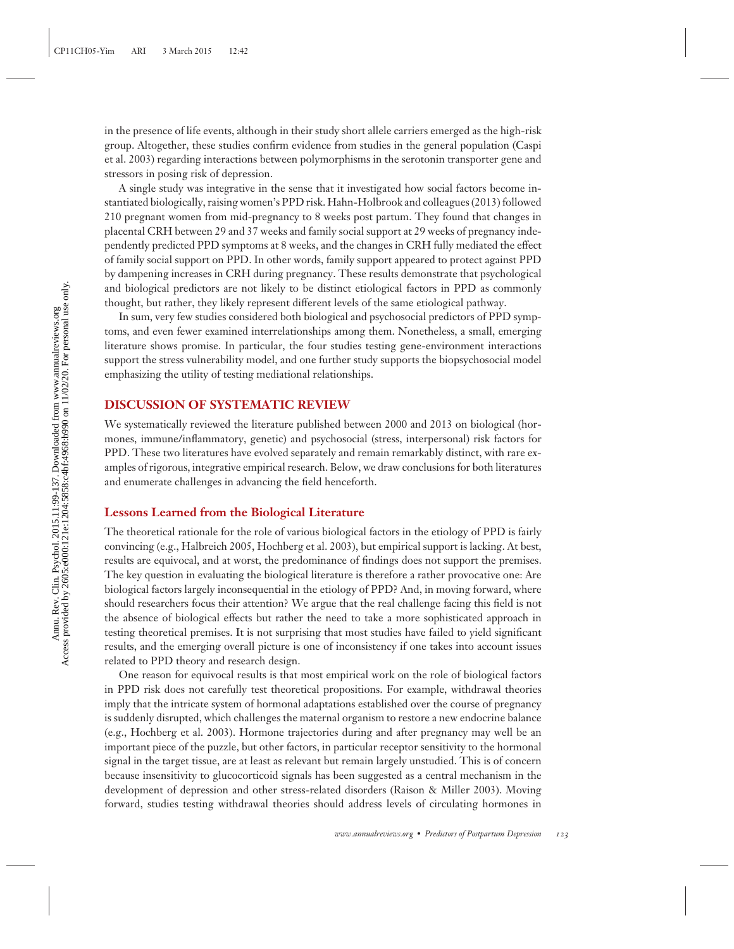in the presence of life events, although in their study short allele carriers emerged as the high-risk group. Altogether, these studies confirm evidence from studies in the general population (Caspi et al. 2003) regarding interactions between polymorphisms in the serotonin transporter gene and stressors in posing risk of depression.

A single study was integrative in the sense that it investigated how social factors become instantiated biologically, raising women's PPD risk. Hahn-Holbrook and colleagues (2013) followed 210 pregnant women from mid-pregnancy to 8 weeks post partum. They found that changes in placental CRH between 29 and 37 weeks and family social support at 29 weeks of pregnancy independently predicted PPD symptoms at 8 weeks, and the changes in CRH fully mediated the effect of family social support on PPD. In other words, family support appeared to protect against PPD by dampening increases in CRH during pregnancy. These results demonstrate that psychological and biological predictors are not likely to be distinct etiological factors in PPD as commonly thought, but rather, they likely represent different levels of the same etiological pathway.

In sum, very few studies considered both biological and psychosocial predictors of PPD symptoms, and even fewer examined interrelationships among them. Nonetheless, a small, emerging literature shows promise. In particular, the four studies testing gene-environment interactions support the stress vulnerability model, and one further study supports the biopsychosocial model emphasizing the utility of testing mediational relationships.

#### **DISCUSSION OF SYSTEMATIC REVIEW**

We systematically reviewed the literature published between 2000 and 2013 on biological (hormones, immune/inflammatory, genetic) and psychosocial (stress, interpersonal) risk factors for PPD. These two literatures have evolved separately and remain remarkably distinct, with rare examples of rigorous, integrative empirical research. Below, we draw conclusions for both literatures and enumerate challenges in advancing the field henceforth.

#### **Lessons Learned from the Biological Literature**

The theoretical rationale for the role of various biological factors in the etiology of PPD is fairly convincing (e.g., Halbreich 2005, Hochberg et al. 2003), but empirical support is lacking. At best, results are equivocal, and at worst, the predominance of findings does not support the premises. The key question in evaluating the biological literature is therefore a rather provocative one: Are biological factors largely inconsequential in the etiology of PPD? And, in moving forward, where should researchers focus their attention? We argue that the real challenge facing this field is not the absence of biological effects but rather the need to take a more sophisticated approach in testing theoretical premises. It is not surprising that most studies have failed to yield significant results, and the emerging overall picture is one of inconsistency if one takes into account issues related to PPD theory and research design.

One reason for equivocal results is that most empirical work on the role of biological factors in PPD risk does not carefully test theoretical propositions. For example, withdrawal theories imply that the intricate system of hormonal adaptations established over the course of pregnancy is suddenly disrupted, which challenges the maternal organism to restore a new endocrine balance (e.g., Hochberg et al. 2003). Hormone trajectories during and after pregnancy may well be an important piece of the puzzle, but other factors, in particular receptor sensitivity to the hormonal signal in the target tissue, are at least as relevant but remain largely unstudied. This is of concern because insensitivity to glucocorticoid signals has been suggested as a central mechanism in the development of depression and other stress-related disorders (Raison & Miller 2003). Moving forward, studies testing withdrawal theories should address levels of circulating hormones in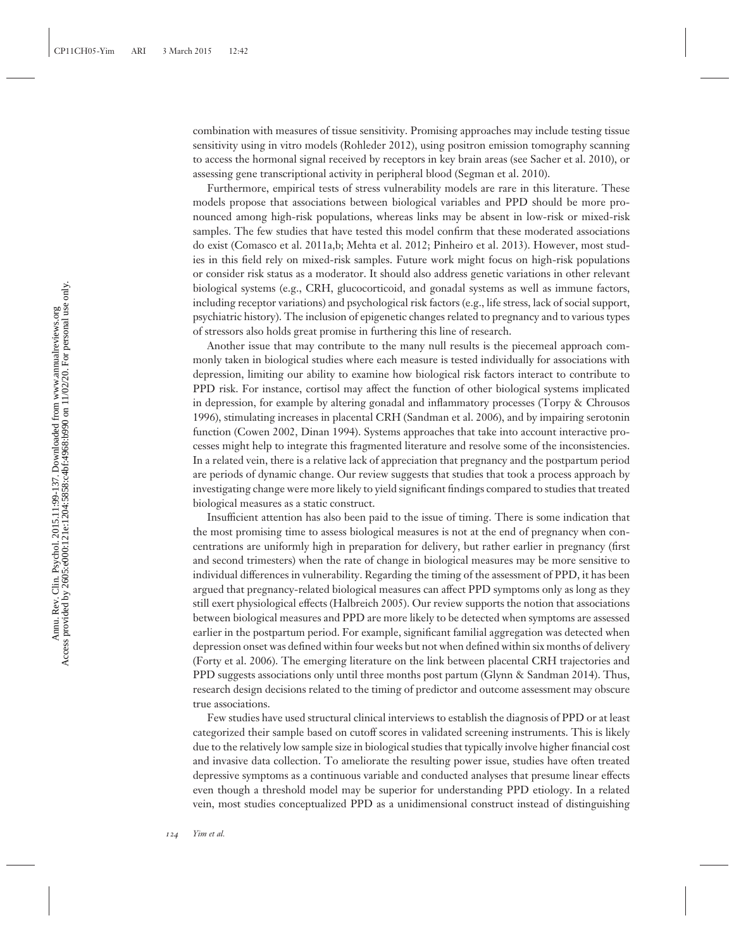combination with measures of tissue sensitivity. Promising approaches may include testing tissue sensitivity using in vitro models (Rohleder 2012), using positron emission tomography scanning to access the hormonal signal received by receptors in key brain areas (see Sacher et al. 2010), or assessing gene transcriptional activity in peripheral blood (Segman et al. 2010).

Furthermore, empirical tests of stress vulnerability models are rare in this literature. These models propose that associations between biological variables and PPD should be more pronounced among high-risk populations, whereas links may be absent in low-risk or mixed-risk samples. The few studies that have tested this model confirm that these moderated associations do exist (Comasco et al. 2011a,b; Mehta et al. 2012; Pinheiro et al. 2013). However, most studies in this field rely on mixed-risk samples. Future work might focus on high-risk populations or consider risk status as a moderator. It should also address genetic variations in other relevant biological systems (e.g., CRH, glucocorticoid, and gonadal systems as well as immune factors, including receptor variations) and psychological risk factors (e.g., life stress, lack of social support, psychiatric history). The inclusion of epigenetic changes related to pregnancy and to various types of stressors also holds great promise in furthering this line of research.

Another issue that may contribute to the many null results is the piecemeal approach commonly taken in biological studies where each measure is tested individually for associations with depression, limiting our ability to examine how biological risk factors interact to contribute to PPD risk. For instance, cortisol may affect the function of other biological systems implicated in depression, for example by altering gonadal and inflammatory processes (Torpy & Chrousos 1996), stimulating increases in placental CRH (Sandman et al. 2006), and by impairing serotonin function (Cowen 2002, Dinan 1994). Systems approaches that take into account interactive processes might help to integrate this fragmented literature and resolve some of the inconsistencies. In a related vein, there is a relative lack of appreciation that pregnancy and the postpartum period are periods of dynamic change. Our review suggests that studies that took a process approach by investigating change were more likely to yield significant findings compared to studies that treated biological measures as a static construct.

Insufficient attention has also been paid to the issue of timing. There is some indication that the most promising time to assess biological measures is not at the end of pregnancy when concentrations are uniformly high in preparation for delivery, but rather earlier in pregnancy (first and second trimesters) when the rate of change in biological measures may be more sensitive to individual differences in vulnerability. Regarding the timing of the assessment of PPD, it has been argued that pregnancy-related biological measures can affect PPD symptoms only as long as they still exert physiological effects (Halbreich 2005). Our review supports the notion that associations between biological measures and PPD are more likely to be detected when symptoms are assessed earlier in the postpartum period. For example, significant familial aggregation was detected when depression onset was defined within four weeks but not when defined within six months of delivery (Forty et al. 2006). The emerging literature on the link between placental CRH trajectories and PPD suggests associations only until three months post partum (Glynn & Sandman 2014). Thus, research design decisions related to the timing of predictor and outcome assessment may obscure true associations.

Few studies have used structural clinical interviews to establish the diagnosis of PPD or at least categorized their sample based on cutoff scores in validated screening instruments. This is likely due to the relatively low sample size in biological studies that typically involve higher financial cost and invasive data collection. To ameliorate the resulting power issue, studies have often treated depressive symptoms as a continuous variable and conducted analyses that presume linear effects even though a threshold model may be superior for understanding PPD etiology. In a related vein, most studies conceptualized PPD as a unidimensional construct instead of distinguishing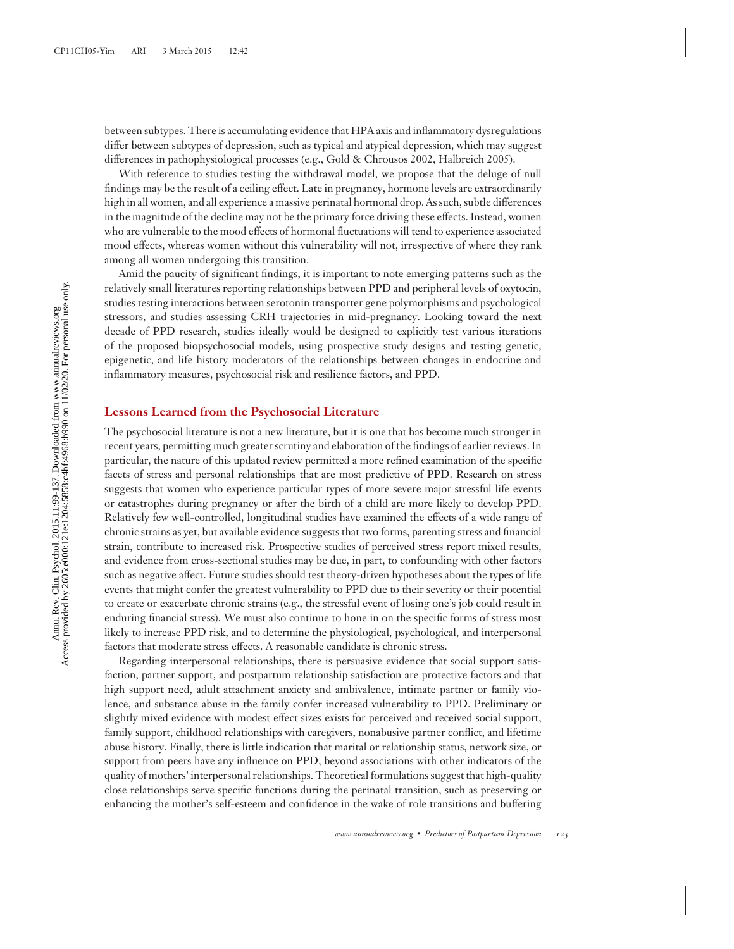between subtypes. There is accumulating evidence that HPA axis and inflammatory dysregulations differ between subtypes of depression, such as typical and atypical depression, which may suggest differences in pathophysiological processes (e.g., Gold & Chrousos 2002, Halbreich 2005).

With reference to studies testing the withdrawal model, we propose that the deluge of null findings may be the result of a ceiling effect. Late in pregnancy, hormone levels are extraordinarily high in all women, and all experience a massive perinatal hormonal drop. As such, subtle differences in the magnitude of the decline may not be the primary force driving these effects. Instead, women who are vulnerable to the mood effects of hormonal fluctuations will tend to experience associated mood effects, whereas women without this vulnerability will not, irrespective of where they rank among all women undergoing this transition.

Amid the paucity of significant findings, it is important to note emerging patterns such as the relatively small literatures reporting relationships between PPD and peripheral levels of oxytocin, studies testing interactions between serotonin transporter gene polymorphisms and psychological stressors, and studies assessing CRH trajectories in mid-pregnancy. Looking toward the next decade of PPD research, studies ideally would be designed to explicitly test various iterations of the proposed biopsychosocial models, using prospective study designs and testing genetic, epigenetic, and life history moderators of the relationships between changes in endocrine and inflammatory measures, psychosocial risk and resilience factors, and PPD.

#### **Lessons Learned from the Psychosocial Literature**

The psychosocial literature is not a new literature, but it is one that has become much stronger in recent years, permitting much greater scrutiny and elaboration of the findings of earlier reviews. In particular, the nature of this updated review permitted a more refined examination of the specific facets of stress and personal relationships that are most predictive of PPD. Research on stress suggests that women who experience particular types of more severe major stressful life events or catastrophes during pregnancy or after the birth of a child are more likely to develop PPD. Relatively few well-controlled, longitudinal studies have examined the effects of a wide range of chronic strains as yet, but available evidence suggests that two forms, parenting stress and financial strain, contribute to increased risk. Prospective studies of perceived stress report mixed results, and evidence from cross-sectional studies may be due, in part, to confounding with other factors such as negative affect. Future studies should test theory-driven hypotheses about the types of life events that might confer the greatest vulnerability to PPD due to their severity or their potential to create or exacerbate chronic strains (e.g., the stressful event of losing one's job could result in enduring financial stress). We must also continue to hone in on the specific forms of stress most likely to increase PPD risk, and to determine the physiological, psychological, and interpersonal factors that moderate stress effects. A reasonable candidate is chronic stress.

Regarding interpersonal relationships, there is persuasive evidence that social support satisfaction, partner support, and postpartum relationship satisfaction are protective factors and that high support need, adult attachment anxiety and ambivalence, intimate partner or family violence, and substance abuse in the family confer increased vulnerability to PPD. Preliminary or slightly mixed evidence with modest effect sizes exists for perceived and received social support, family support, childhood relationships with caregivers, nonabusive partner conflict, and lifetime abuse history. Finally, there is little indication that marital or relationship status, network size, or support from peers have any influence on PPD, beyond associations with other indicators of the quality of mothers' interpersonal relationships. Theoretical formulations suggest that high-quality close relationships serve specific functions during the perinatal transition, such as preserving or enhancing the mother's self-esteem and confidence in the wake of role transitions and buffering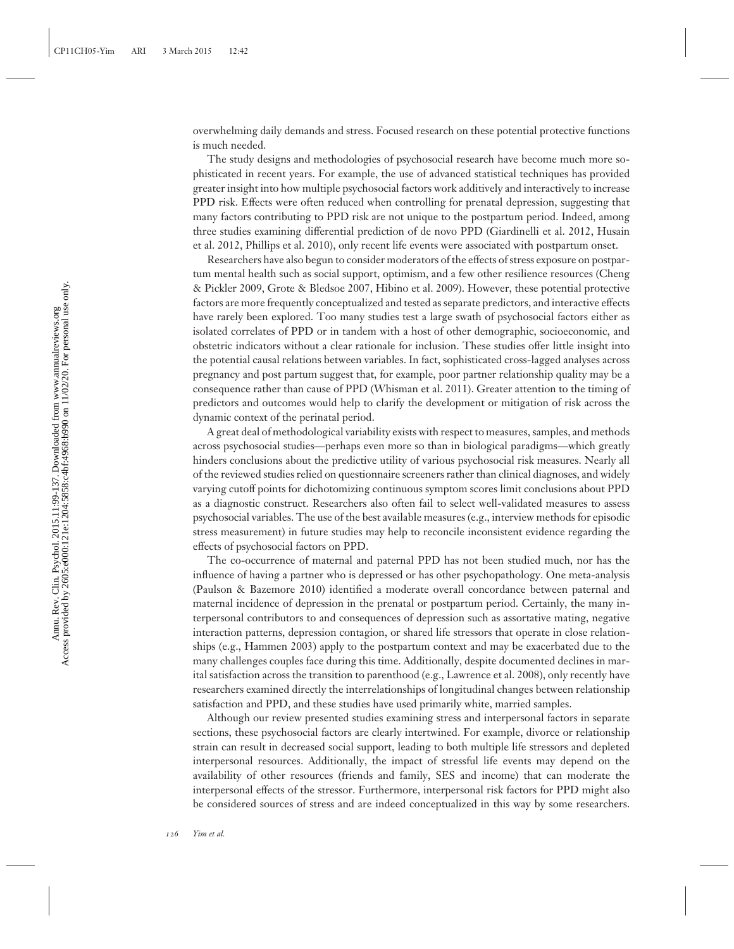overwhelming daily demands and stress. Focused research on these potential protective functions is much needed.

The study designs and methodologies of psychosocial research have become much more sophisticated in recent years. For example, the use of advanced statistical techniques has provided greater insight into how multiple psychosocial factors work additively and interactively to increase PPD risk. Effects were often reduced when controlling for prenatal depression, suggesting that many factors contributing to PPD risk are not unique to the postpartum period. Indeed, among three studies examining differential prediction of de novo PPD (Giardinelli et al. 2012, Husain et al. 2012, Phillips et al. 2010), only recent life events were associated with postpartum onset.

Researchers have also begun to consider moderators of the effects of stress exposure on postpartum mental health such as social support, optimism, and a few other resilience resources (Cheng & Pickler 2009, Grote & Bledsoe 2007, Hibino et al. 2009). However, these potential protective factors are more frequently conceptualized and tested as separate predictors, and interactive effects have rarely been explored. Too many studies test a large swath of psychosocial factors either as isolated correlates of PPD or in tandem with a host of other demographic, socioeconomic, and obstetric indicators without a clear rationale for inclusion. These studies offer little insight into the potential causal relations between variables. In fact, sophisticated cross-lagged analyses across pregnancy and post partum suggest that, for example, poor partner relationship quality may be a consequence rather than cause of PPD (Whisman et al. 2011). Greater attention to the timing of predictors and outcomes would help to clarify the development or mitigation of risk across the dynamic context of the perinatal period.

A great deal of methodological variability exists with respect to measures, samples, and methods across psychosocial studies—perhaps even more so than in biological paradigms—which greatly hinders conclusions about the predictive utility of various psychosocial risk measures. Nearly all of the reviewed studies relied on questionnaire screeners rather than clinical diagnoses, and widely varying cutoff points for dichotomizing continuous symptom scores limit conclusions about PPD as a diagnostic construct. Researchers also often fail to select well-validated measures to assess psychosocial variables. The use of the best available measures (e.g., interview methods for episodic stress measurement) in future studies may help to reconcile inconsistent evidence regarding the effects of psychosocial factors on PPD.

The co-occurrence of maternal and paternal PPD has not been studied much, nor has the influence of having a partner who is depressed or has other psychopathology. One meta-analysis (Paulson & Bazemore 2010) identified a moderate overall concordance between paternal and maternal incidence of depression in the prenatal or postpartum period. Certainly, the many interpersonal contributors to and consequences of depression such as assortative mating, negative interaction patterns, depression contagion, or shared life stressors that operate in close relationships (e.g., Hammen 2003) apply to the postpartum context and may be exacerbated due to the many challenges couples face during this time. Additionally, despite documented declines in marital satisfaction across the transition to parenthood (e.g., Lawrence et al. 2008), only recently have researchers examined directly the interrelationships of longitudinal changes between relationship satisfaction and PPD, and these studies have used primarily white, married samples.

Although our review presented studies examining stress and interpersonal factors in separate sections, these psychosocial factors are clearly intertwined. For example, divorce or relationship strain can result in decreased social support, leading to both multiple life stressors and depleted interpersonal resources. Additionally, the impact of stressful life events may depend on the availability of other resources (friends and family, SES and income) that can moderate the interpersonal effects of the stressor. Furthermore, interpersonal risk factors for PPD might also be considered sources of stress and are indeed conceptualized in this way by some researchers.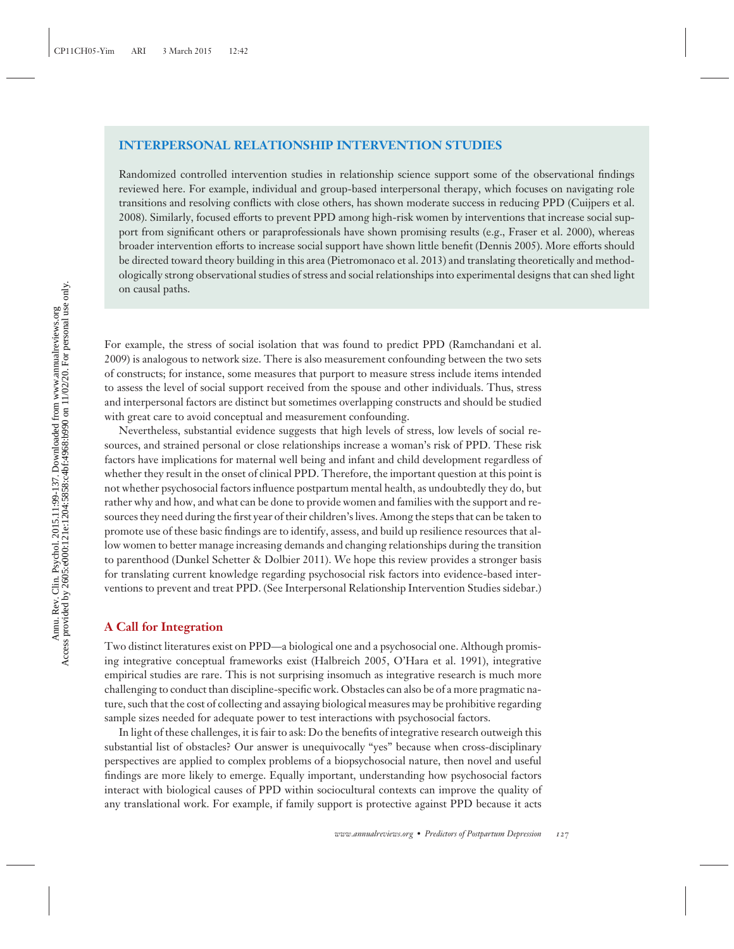#### **INTERPERSONAL RELATIONSHIP INTERVENTION STUDIES**

Randomized controlled intervention studies in relationship science support some of the observational findings reviewed here. For example, individual and group-based interpersonal therapy, which focuses on navigating role transitions and resolving conflicts with close others, has shown moderate success in reducing PPD (Cuijpers et al. 2008). Similarly, focused efforts to prevent PPD among high-risk women by interventions that increase social support from significant others or paraprofessionals have shown promising results (e.g., Fraser et al. 2000), whereas broader intervention efforts to increase social support have shown little benefit (Dennis 2005). More efforts should be directed toward theory building in this area (Pietromonaco et al. 2013) and translating theoretically and methodologically strong observational studies of stress and social relationships into experimental designs that can shed light on causal paths.

For example, the stress of social isolation that was found to predict PPD (Ramchandani et al. 2009) is analogous to network size. There is also measurement confounding between the two sets of constructs; for instance, some measures that purport to measure stress include items intended to assess the level of social support received from the spouse and other individuals. Thus, stress and interpersonal factors are distinct but sometimes overlapping constructs and should be studied with great care to avoid conceptual and measurement confounding.

Nevertheless, substantial evidence suggests that high levels of stress, low levels of social resources, and strained personal or close relationships increase a woman's risk of PPD. These risk factors have implications for maternal well being and infant and child development regardless of whether they result in the onset of clinical PPD. Therefore, the important question at this point is not whether psychosocial factors influence postpartum mental health, as undoubtedly they do, but rather why and how, and what can be done to provide women and families with the support and resources they need during the first year of their children's lives. Among the steps that can be taken to promote use of these basic findings are to identify, assess, and build up resilience resources that allow women to better manage increasing demands and changing relationships during the transition to parenthood (Dunkel Schetter & Dolbier 2011). We hope this review provides a stronger basis for translating current knowledge regarding psychosocial risk factors into evidence-based interventions to prevent and treat PPD. (See Interpersonal Relationship Intervention Studies sidebar.)

#### **A Call for Integration**

Two distinct literatures exist on PPD—a biological one and a psychosocial one. Although promising integrative conceptual frameworks exist (Halbreich 2005, O'Hara et al. 1991), integrative empirical studies are rare. This is not surprising insomuch as integrative research is much more challenging to conduct than discipline-specific work. Obstacles can also be of a more pragmatic nature, such that the cost of collecting and assaying biological measures may be prohibitive regarding sample sizes needed for adequate power to test interactions with psychosocial factors.

In light of these challenges, it is fair to ask: Do the benefits of integrative research outweigh this substantial list of obstacles? Our answer is unequivocally "yes" because when cross-disciplinary perspectives are applied to complex problems of a biopsychosocial nature, then novel and useful findings are more likely to emerge. Equally important, understanding how psychosocial factors interact with biological causes of PPD within sociocultural contexts can improve the quality of any translational work. For example, if family support is protective against PPD because it acts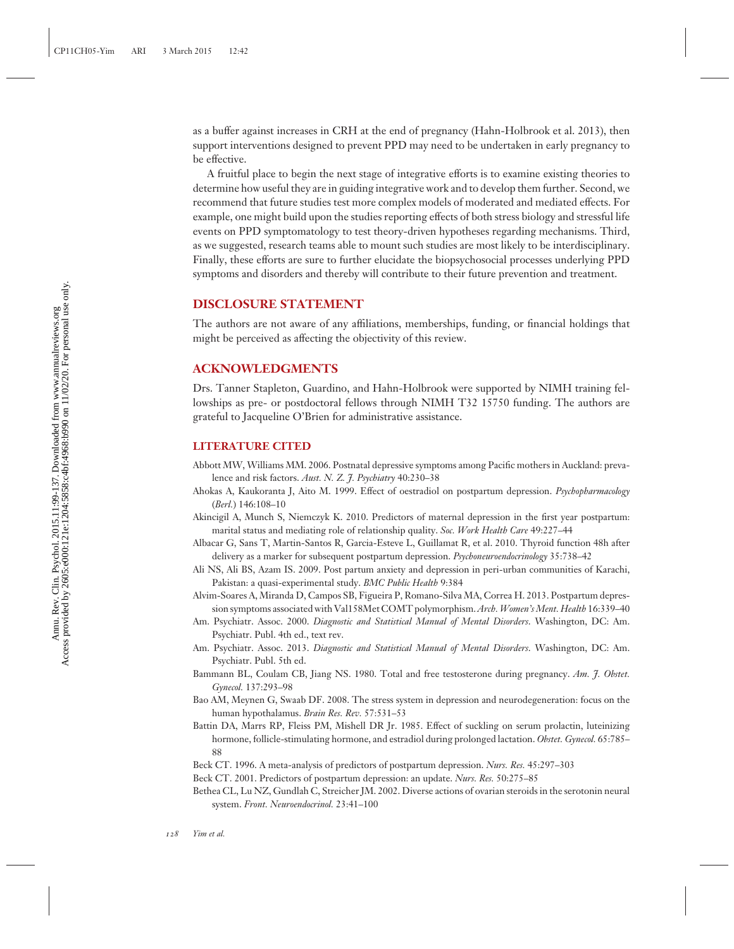as a buffer against increases in CRH at the end of pregnancy (Hahn-Holbrook et al. 2013), then support interventions designed to prevent PPD may need to be undertaken in early pregnancy to be effective.

A fruitful place to begin the next stage of integrative efforts is to examine existing theories to determine how useful they are in guiding integrative work and to develop them further. Second, we recommend that future studies test more complex models of moderated and mediated effects. For example, one might build upon the studies reporting effects of both stress biology and stressful life events on PPD symptomatology to test theory-driven hypotheses regarding mechanisms. Third, as we suggested, research teams able to mount such studies are most likely to be interdisciplinary. Finally, these efforts are sure to further elucidate the biopsychosocial processes underlying PPD symptoms and disorders and thereby will contribute to their future prevention and treatment.

#### **DISCLOSURE STATEMENT**

The authors are not aware of any affiliations, memberships, funding, or financial holdings that might be perceived as affecting the objectivity of this review.

#### **ACKNOWLEDGMENTS**

Drs. Tanner Stapleton, Guardino, and Hahn-Holbrook were supported by NIMH training fellowships as pre- or postdoctoral fellows through NIMH T32 15750 funding. The authors are grateful to Jacqueline O'Brien for administrative assistance.

#### **LITERATURE CITED**

- Abbott MW, Williams MM. 2006. Postnatal depressive symptoms among Pacific mothers in Auckland: prevalence and risk factors. *Aust. N. Z. J. Psychiatry* 40:230–38
- Ahokas A, Kaukoranta J, Aito M. 1999. Effect of oestradiol on postpartum depression. *Psychopharmacology* (*Berl.*) 146:108–10
- Akincigil A, Munch S, Niemczyk K. 2010. Predictors of maternal depression in the first year postpartum: marital status and mediating role of relationship quality. *Soc. Work Health Care* 49:227–44
- Albacar G, Sans T, Martin-Santos R, Garcia-Esteve L, Guillamat R, et al. 2010. Thyroid function 48h after delivery as a marker for subsequent postpartum depression. *Psychoneuroendocrinology* 35:738–42
- Ali NS, Ali BS, Azam IS. 2009. Post partum anxiety and depression in peri-urban communities of Karachi, Pakistan: a quasi-experimental study. *BMC Public Health* 9:384
- Alvim-Soares A, Miranda D, Campos SB, Figueira P, Romano-Silva MA, Correa H. 2013. Postpartum depression symptoms associated with Val158Met COMT polymorphism.*Arch. Women's Ment. Health* 16:339–40
- Am. Psychiatr. Assoc. 2000. *Diagnostic and Statistical Manual of Mental Disorders*. Washington, DC: Am. Psychiatr. Publ. 4th ed., text rev.
- Am. Psychiatr. Assoc. 2013. *Diagnostic and Statistical Manual of Mental Disorders*. Washington, DC: Am. Psychiatr. Publ. 5th ed.
- Bammann BL, Coulam CB, Jiang NS. 1980. Total and free testosterone during pregnancy. *Am. J. Obstet. Gynecol.* 137:293–98
- Bao AM, Meynen G, Swaab DF. 2008. The stress system in depression and neurodegeneration: focus on the human hypothalamus. *Brain Res. Rev.* 57:531–53
- Battin DA, Marrs RP, Fleiss PM, Mishell DR Jr. 1985. Effect of suckling on serum prolactin, luteinizing hormone, follicle-stimulating hormone, and estradiol during prolonged lactation. *Obstet. Gynecol.* 65:785– 88

Beck CT. 1996. A meta-analysis of predictors of postpartum depression. *Nurs. Res.* 45:297–303

- Beck CT. 2001. Predictors of postpartum depression: an update. *Nurs. Res.* 50:275–85
- Bethea CL, Lu NZ, Gundlah C, Streicher JM. 2002. Diverse actions of ovarian steroids in the serotonin neural system. *Front. Neuroendocrinol.* 23:41–100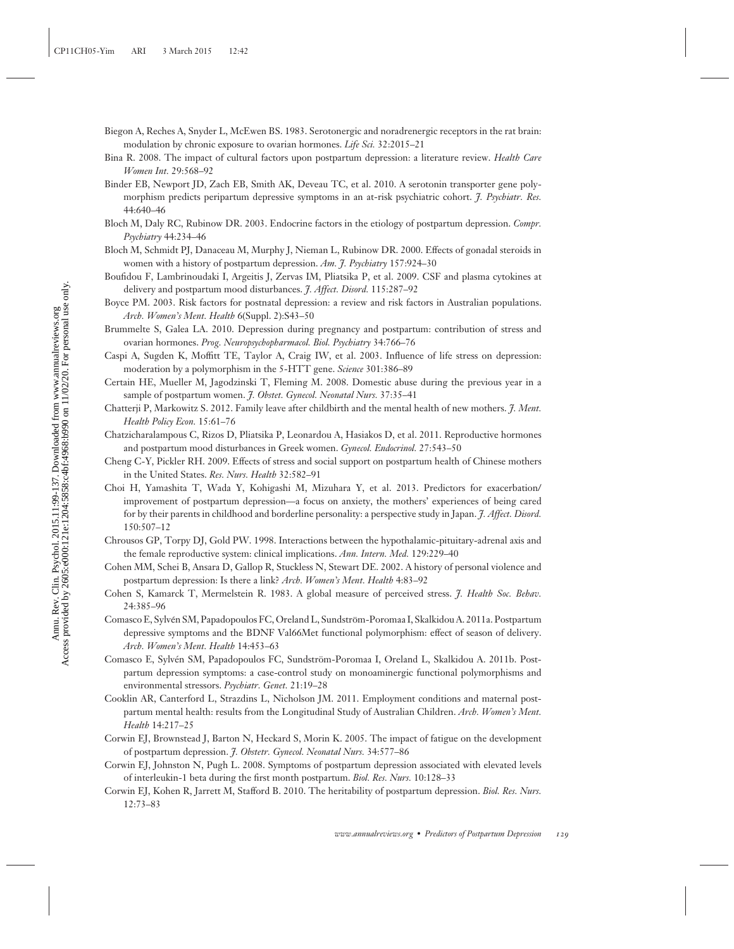- Biegon A, Reches A, Snyder L, McEwen BS. 1983. Serotonergic and noradrenergic receptors in the rat brain: modulation by chronic exposure to ovarian hormones. *Life Sci.* 32:2015–21
- Bina R. 2008. The impact of cultural factors upon postpartum depression: a literature review. *Health Care Women Int.* 29:568–92
- Binder EB, Newport JD, Zach EB, Smith AK, Deveau TC, et al. 2010. A serotonin transporter gene polymorphism predicts peripartum depressive symptoms in an at-risk psychiatric cohort. *J. Psychiatr. Res.* 44:640–46
- Bloch M, Daly RC, Rubinow DR. 2003. Endocrine factors in the etiology of postpartum depression. *Compr. Psychiatry* 44:234–46
- Bloch M, Schmidt PJ, Danaceau M, Murphy J, Nieman L, Rubinow DR. 2000. Effects of gonadal steroids in women with a history of postpartum depression. *Am. J. Psychiatry* 157:924–30
- Boufidou F, Lambrinoudaki I, Argeitis J, Zervas IM, Pliatsika P, et al. 2009. CSF and plasma cytokines at delivery and postpartum mood disturbances. *J. Affect. Disord.* 115:287–92
- Boyce PM. 2003. Risk factors for postnatal depression: a review and risk factors in Australian populations. *Arch. Women's Ment. Health* 6(Suppl. 2):S43–50
- Brummelte S, Galea LA. 2010. Depression during pregnancy and postpartum: contribution of stress and ovarian hormones. *Prog. Neuropsychopharmacol. Biol. Psychiatry* 34:766–76
- Caspi A, Sugden K, Moffitt TE, Taylor A, Craig IW, et al. 2003. Influence of life stress on depression: moderation by a polymorphism in the 5-HTT gene. *Science* 301:386–89
- Certain HE, Mueller M, Jagodzinski T, Fleming M. 2008. Domestic abuse during the previous year in a sample of postpartum women. *J. Obstet. Gynecol. Neonatal Nurs.* 37:35–41
- Chatterji P, Markowitz S. 2012. Family leave after childbirth and the mental health of new mothers. *J. Ment. Health Policy Econ.* 15:61–76
- Chatzicharalampous C, Rizos D, Pliatsika P, Leonardou A, Hasiakos D, et al. 2011. Reproductive hormones and postpartum mood disturbances in Greek women. *Gynecol. Endocrinol.* 27:543–50
- Cheng C-Y, Pickler RH. 2009. Effects of stress and social support on postpartum health of Chinese mothers in the United States. *Res. Nurs. Health* 32:582–91
- Choi H, Yamashita T, Wada Y, Kohigashi M, Mizuhara Y, et al. 2013. Predictors for exacerbation/ improvement of postpartum depression—a focus on anxiety, the mothers' experiences of being cared for by their parents in childhood and borderline personality: a perspective study in Japan. *J. Affect. Disord.* 150:507–12
- Chrousos GP, Torpy DJ, Gold PW. 1998. Interactions between the hypothalamic-pituitary-adrenal axis and the female reproductive system: clinical implications. *Ann. Intern. Med.* 129:229–40
- Cohen MM, Schei B, Ansara D, Gallop R, Stuckless N, Stewart DE. 2002. A history of personal violence and postpartum depression: Is there a link? *Arch. Women's Ment. Health* 4:83–92
- Cohen S, Kamarck T, Mermelstein R. 1983. A global measure of perceived stress. *J. Health Soc. Behav.* 24:385–96
- Comasco E, Sylvén SM, Papadopoulos FC, Oreland L, Sundström-Poromaa I, Skalkidou A. 2011a. Postpartum depressive symptoms and the BDNF Val66Met functional polymorphism: effect of season of delivery. *Arch. Women's Ment. Health* 14:453–63
- Comasco E, Sylvén SM, Papadopoulos FC, Sundström-Poromaa I, Oreland L, Skalkidou A. 2011b. Postpartum depression symptoms: a case-control study on monoaminergic functional polymorphisms and environmental stressors. *Psychiatr. Genet.* 21:19–28
- Cooklin AR, Canterford L, Strazdins L, Nicholson JM. 2011. Employment conditions and maternal postpartum mental health: results from the Longitudinal Study of Australian Children. *Arch. Women's Ment. Health* 14:217–25
- Corwin EJ, Brownstead J, Barton N, Heckard S, Morin K. 2005. The impact of fatigue on the development of postpartum depression. *J. Obstetr. Gynecol. Neonatal Nurs.* 34:577–86
- Corwin EJ, Johnston N, Pugh L. 2008. Symptoms of postpartum depression associated with elevated levels of interleukin-1 beta during the first month postpartum. *Biol. Res. Nurs.* 10:128–33
- Corwin EJ, Kohen R, Jarrett M, Stafford B. 2010. The heritability of postpartum depression. *Biol. Res. Nurs.* 12:73–83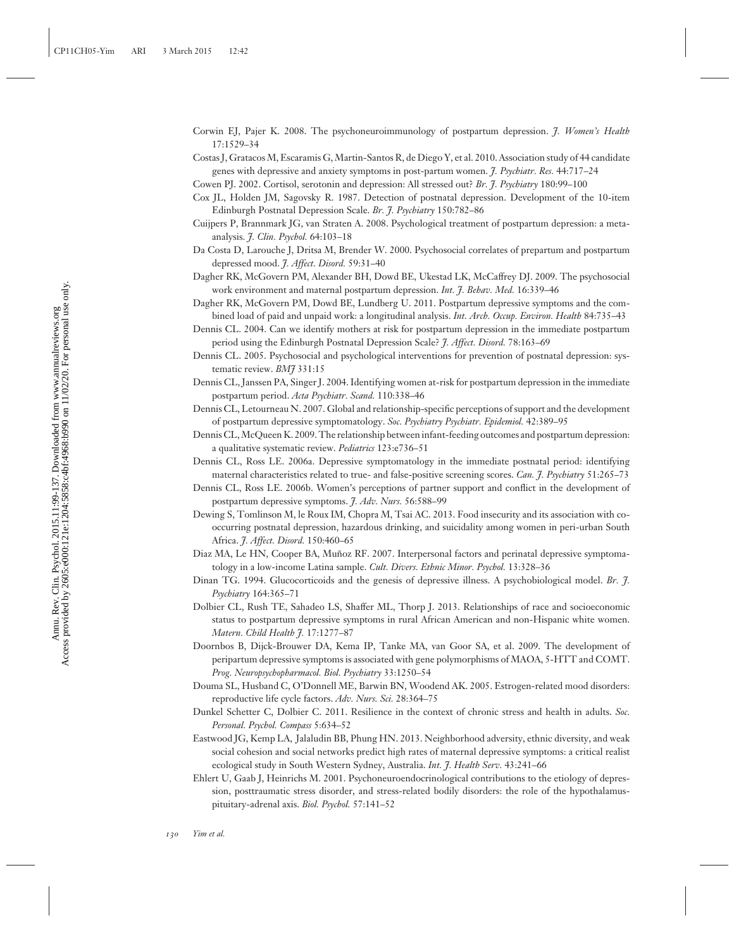- Corwin EJ, Pajer K. 2008. The psychoneuroimmunology of postpartum depression. *J. Women's Health* 17:1529–34
- Costas J, Gratacos M, Escaramis G, Martin-Santos R, de Diego Y, et al. 2010. Association study of 44 candidate genes with depressive and anxiety symptoms in post-partum women. *J. Psychiatr. Res.* 44:717–24
- Cowen PJ. 2002. Cortisol, serotonin and depression: All stressed out? *Br. J. Psychiatry* 180:99–100
- Cox JL, Holden JM, Sagovsky R. 1987. Detection of postnatal depression. Development of the 10-item Edinburgh Postnatal Depression Scale. *Br. J. Psychiatry* 150:782–86
- Cuijpers P, Brannmark JG, van Straten A. 2008. Psychological treatment of postpartum depression: a metaanalysis. *J. Clin. Psychol.* 64:103–18
- Da Costa D, Larouche J, Dritsa M, Brender W. 2000. Psychosocial correlates of prepartum and postpartum depressed mood. *J. Affect. Disord.* 59:31–40
- Dagher RK, McGovern PM, Alexander BH, Dowd BE, Ukestad LK, McCaffrey DJ. 2009. The psychosocial work environment and maternal postpartum depression. *Int. J. Behav. Med.* 16:339–46
- Dagher RK, McGovern PM, Dowd BE, Lundberg U. 2011. Postpartum depressive symptoms and the combined load of paid and unpaid work: a longitudinal analysis. *Int. Arch. Occup. Environ. Health* 84:735–43
- Dennis CL. 2004. Can we identify mothers at risk for postpartum depression in the immediate postpartum period using the Edinburgh Postnatal Depression Scale? *J. Affect. Disord.* 78:163–69
- Dennis CL. 2005. Psychosocial and psychological interventions for prevention of postnatal depression: systematic review. *BMJ* 331:15
- Dennis CL, Janssen PA, Singer J. 2004. Identifying women at-risk for postpartum depression in the immediate postpartum period. *Acta Psychiatr. Scand.* 110:338–46
- Dennis CL, Letourneau N. 2007. Global and relationship-specific perceptions of support and the development of postpartum depressive symptomatology. *Soc. Psychiatry Psychiatr. Epidemiol.* 42:389–95
- Dennis CL, McQueen K. 2009. The relationship between infant-feeding outcomes and postpartum depression: a qualitative systematic review. *Pediatrics* 123:e736–51
- Dennis CL, Ross LE. 2006a. Depressive symptomatology in the immediate postnatal period: identifying maternal characteristics related to true- and false-positive screening scores. *Can. J. Psychiatry* 51:265–73
- Dennis CL, Ross LE. 2006b. Women's perceptions of partner support and conflict in the development of postpartum depressive symptoms. *J. Adv. Nurs.* 56:588–99
- Dewing S, Tomlinson M, le Roux IM, Chopra M, Tsai AC. 2013. Food insecurity and its association with cooccurring postnatal depression, hazardous drinking, and suicidality among women in peri-urban South Africa. *J. Affect. Disord.* 150:460–65
- Diaz MA, Le HN, Cooper BA, Muñoz RF. 2007. Interpersonal factors and perinatal depressive symptomatology in a low-income Latina sample. *Cult. Divers. Ethnic Minor. Psychol.* 13:328–36
- Dinan TG. 1994. Glucocorticoids and the genesis of depressive illness. A psychobiological model. *Br. J. Psychiatry* 164:365–71
- Dolbier CL, Rush TE, Sahadeo LS, Shaffer ML, Thorp J. 2013. Relationships of race and socioeconomic status to postpartum depressive symptoms in rural African American and non-Hispanic white women. *Matern. Child Health J.* 17:1277–87
- Doornbos B, Dijck-Brouwer DA, Kema IP, Tanke MA, van Goor SA, et al. 2009. The development of peripartum depressive symptoms is associated with gene polymorphisms of MAOA, 5-HTT and COMT. *Prog. Neuropsychopharmacol. Biol. Psychiatry* 33:1250–54
- Douma SL, Husband C, O'Donnell ME, Barwin BN, Woodend AK. 2005. Estrogen-related mood disorders: reproductive life cycle factors. *Adv. Nurs. Sci.* 28:364–75
- Dunkel Schetter C, Dolbier C. 2011. Resilience in the context of chronic stress and health in adults. *Soc. Personal. Psychol. Compass* 5:634–52
- Eastwood JG, Kemp LA, Jalaludin BB, Phung HN. 2013. Neighborhood adversity, ethnic diversity, and weak social cohesion and social networks predict high rates of maternal depressive symptoms: a critical realist ecological study in South Western Sydney, Australia. *Int. J. Health Serv.* 43:241–66
- Ehlert U, Gaab J, Heinrichs M. 2001. Psychoneuroendocrinological contributions to the etiology of depression, posttraumatic stress disorder, and stress-related bodily disorders: the role of the hypothalamuspituitary-adrenal axis. *Biol. Psychol.* 57:141–52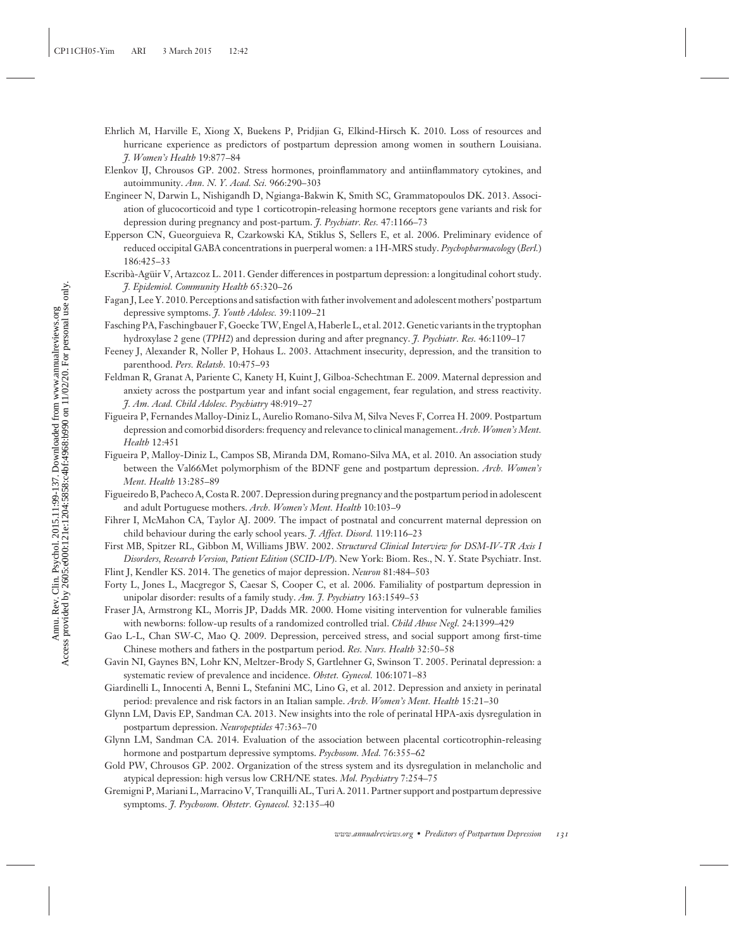- Ehrlich M, Harville E, Xiong X, Buekens P, Pridjian G, Elkind-Hirsch K. 2010. Loss of resources and hurricane experience as predictors of postpartum depression among women in southern Louisiana. *J. Women's Health* 19:877–84
- Elenkov IJ, Chrousos GP. 2002. Stress hormones, proinflammatory and antiinflammatory cytokines, and autoimmunity. *Ann. N. Y. Acad. Sci.* 966:290–303
- Engineer N, Darwin L, Nishigandh D, Ngianga-Bakwin K, Smith SC, Grammatopoulos DK. 2013. Association of glucocorticoid and type 1 corticotropin-releasing hormone receptors gene variants and risk for depression during pregnancy and post-partum. *J. Psychiatr. Res.* 47:1166–73
- Epperson CN, Gueorguieva R, Czarkowski KA, Stiklus S, Sellers E, et al. 2006. Preliminary evidence of reduced occipital GABA concentrations in puerperal women: a 1H-MRS study. *Psychopharmacology* (*Berl.*) 186:425–33
- Escriba-Agüir V, Artazcoz L. 2011. Gender differences in postpartum depression: a longitudinal cohort study. *J. Epidemiol. Community Health* 65:320–26
- Fagan J, Lee Y. 2010. Perceptions and satisfaction with father involvement and adolescent mothers' postpartum depressive symptoms. *J. Youth Adolesc.* 39:1109–21
- Fasching PA, Faschingbauer F, Goecke TW, Engel A, Haberle L, et al. 2012. Genetic variants in the tryptophan hydroxylase 2 gene (*TPH2*) and depression during and after pregnancy. *J. Psychiatr. Res.* 46:1109–17
- Feeney J, Alexander R, Noller P, Hohaus L. 2003. Attachment insecurity, depression, and the transition to parenthood. *Pers. Relatsh.* 10:475–93
- Feldman R, Granat A, Pariente C, Kanety H, Kuint J, Gilboa-Schechtman E. 2009. Maternal depression and anxiety across the postpartum year and infant social engagement, fear regulation, and stress reactivity. *J. Am. Acad. Child Adolesc. Psychiatry* 48:919–27
- Figueira P, Fernandes Malloy-Diniz L, Aurelio Romano-Silva M, Silva Neves F, Correa H. 2009. Postpartum depression and comorbid disorders: frequency and relevance to clinical management.*Arch. Women's Ment. Health* 12:451
- Figueira P, Malloy-Diniz L, Campos SB, Miranda DM, Romano-Silva MA, et al. 2010. An association study between the Val66Met polymorphism of the BDNF gene and postpartum depression. *Arch. Women's Ment. Health* 13:285–89
- Figueiredo B, Pacheco A, Costa R. 2007. Depression during pregnancy and the postpartum period in adolescent and adult Portuguese mothers. *Arch. Women's Ment. Health* 10:103–9
- Fihrer I, McMahon CA, Taylor AJ. 2009. The impact of postnatal and concurrent maternal depression on child behaviour during the early school years. *J. Affect. Disord.* 119:116–23
- First MB, Spitzer RL, Gibbon M, Williams JBW. 2002. *Structured Clinical Interview for DSM-IV-TR Axis I Disorders, Research Version, Patient Edition* (*SCID-I/P*). New York: Biom. Res., N. Y. State Psychiatr. Inst.
- Flint J, Kendler KS. 2014. The genetics of major depression. *Neuron* 81:484–503
- Forty L, Jones L, Macgregor S, Caesar S, Cooper C, et al. 2006. Familiality of postpartum depression in unipolar disorder: results of a family study. *Am. J. Psychiatry* 163:1549–53
- Fraser JA, Armstrong KL, Morris JP, Dadds MR. 2000. Home visiting intervention for vulnerable families with newborns: follow-up results of a randomized controlled trial. *Child Abuse Negl.* 24:1399–429
- Gao L-L, Chan SW-C, Mao Q. 2009. Depression, perceived stress, and social support among first-time Chinese mothers and fathers in the postpartum period. *Res. Nurs. Health* 32:50–58
- Gavin NI, Gaynes BN, Lohr KN, Meltzer-Brody S, Gartlehner G, Swinson T. 2005. Perinatal depression: a systematic review of prevalence and incidence. *Obstet. Gynecol.* 106:1071–83
- Giardinelli L, Innocenti A, Benni L, Stefanini MC, Lino G, et al. 2012. Depression and anxiety in perinatal period: prevalence and risk factors in an Italian sample. *Arch. Women's Ment. Health* 15:21–30
- Glynn LM, Davis EP, Sandman CA. 2013. New insights into the role of perinatal HPA-axis dysregulation in postpartum depression. *Neuropeptides* 47:363–70
- Glynn LM, Sandman CA. 2014. Evaluation of the association between placental corticotrophin-releasing hormone and postpartum depressive symptoms. *Psychosom. Med.* 76:355–62
- Gold PW, Chrousos GP. 2002. Organization of the stress system and its dysregulation in melancholic and atypical depression: high versus low CRH/NE states. *Mol. Psychiatry* 7:254–75
- Gremigni P, Mariani L, Marracino V, Tranquilli AL, Turi A. 2011. Partner support and postpartum depressive symptoms. *J. Psychosom. Obstetr. Gynaecol.* 32:135–40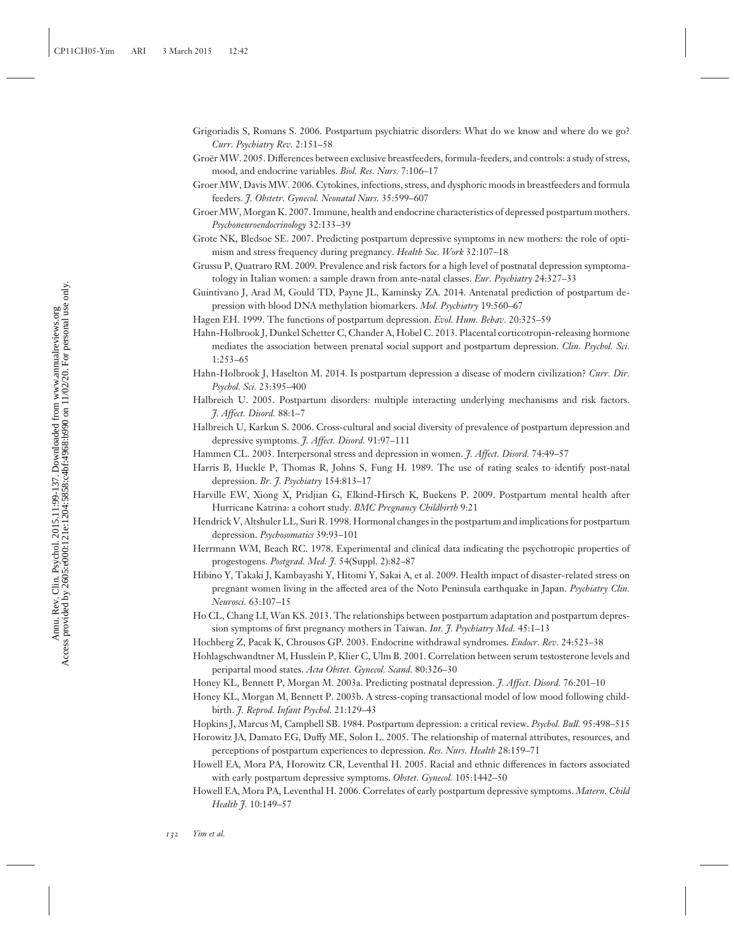- Grigoriadis S, Romans S. 2006. Postpartum psychiatric disorders: What do we know and where do we go? *Curr. Psychiatry Rev.* 2:151–58
- Groër MW. 2005. Differences between exclusive breastfeeders, formula-feeders, and controls: a study of stress, mood, and endocrine variables. *Biol. Res. Nurs.* 7:106–17
- Groer MW, Davis MW. 2006. Cytokines, infections, stress, and dysphoric moods in breastfeeders and formula feeders. *J. Obstetr. Gynecol. Neonatal Nurs.* 35:599–607
- Groer MW, Morgan K. 2007. Immune, health and endocrine characteristics of depressed postpartum mothers. *Psychoneuroendocrinology* 32:133–39
- Grote NK, Bledsoe SE. 2007. Predicting postpartum depressive symptoms in new mothers: the role of optimism and stress frequency during pregnancy. *Health Soc. Work* 32:107–18
- Grussu P, Quatraro RM. 2009. Prevalence and risk factors for a high level of postnatal depression symptomatology in Italian women: a sample drawn from ante-natal classes. *Eur. Psychiatry* 24:327–33
- Guintivano J, Arad M, Gould TD, Payne JL, Kaminsky ZA. 2014. Antenatal prediction of postpartum depression with blood DNA methylation biomarkers. *Mol. Psychiatry* 19:560–67
- Hagen EH. 1999. The functions of postpartum depression. *Evol. Hum. Behav.* 20:325–59
- Hahn-Holbrook J, Dunkel Schetter C, Chander A, Hobel C. 2013. Placental corticotropin-releasing hormone mediates the association between prenatal social support and postpartum depression. *Clin. Psychol. Sci.* 1:253–65
- Hahn-Holbrook J, Haselton M. 2014. Is postpartum depression a disease of modern civilization? *Curr. Dir. Psychol. Sci.* 23:395–400
- Halbreich U. 2005. Postpartum disorders: multiple interacting underlying mechanisms and risk factors. *J. Affect. Disord.* 88:1–7
- Halbreich U, Karkun S. 2006. Cross-cultural and social diversity of prevalence of postpartum depression and depressive symptoms. *J. Affect. Disord.* 91:97–111
- Hammen CL. 2003. Interpersonal stress and depression in women. *J. Affect. Disord.* 74:49–57
- Harris B, Huckle P, Thomas R, Johns S, Fung H. 1989. The use of rating scales to identify post-natal depression. *Br. J. Psychiatry* 154:813–17
- Harville EW, Xiong X, Pridjian G, Elkind-Hirsch K, Buekens P. 2009. Postpartum mental health after Hurricane Katrina: a cohort study. *BMC Pregnancy Childbirth* 9:21
- Hendrick V, Altshuler LL, Suri R. 1998. Hormonal changes in the postpartum and implications for postpartum depression. *Psychosomatics* 39:93–101
- Herrmann WM, Beach RC. 1978. Experimental and clinical data indicating the psychotropic properties of progestogens. *Postgrad. Med. J.* 54(Suppl. 2):82–87
- Hibino Y, Takaki J, Kambayashi Y, Hitomi Y, Sakai A, et al. 2009. Health impact of disaster-related stress on pregnant women living in the affected area of the Noto Peninsula earthquake in Japan. *Psychiatry Clin. Neurosci.* 63:107–15
- Ho CL, Chang LI, Wan KS. 2013. The relationships between postpartum adaptation and postpartum depression symptoms of first pregnancy mothers in Taiwan. *Int. J. Psychiatry Med.* 45:1–13
- Hochberg Z, Pacak K, Chrousos GP. 2003. Endocrine withdrawal syndromes. *Endocr. Rev.* 24:523–38
- Hohlagschwandtner M, Husslein P, Klier C, Ulm B. 2001. Correlation between serum testosterone levels and peripartal mood states. *Acta Obstet. Gynecol. Scand.* 80:326–30

Honey KL, Bennett P, Morgan M. 2003a. Predicting postnatal depression. *J. Affect. Disord.* 76:201–10

- Honey KL, Morgan M, Bennett P. 2003b. A stress-coping transactional model of low mood following childbirth. *J. Reprod. Infant Psychol.* 21:129–43
- Hopkins J, Marcus M, Campbell SB. 1984. Postpartum depression: a critical review. *Psychol. Bull.* 95:498–515
- Horowitz JA, Damato EG, Duffy ME, Solon L. 2005. The relationship of maternal attributes, resources, and perceptions of postpartum experiences to depression. *Res. Nurs. Health* 28:159–71
- Howell EA, Mora PA, Horowitz CR, Leventhal H. 2005. Racial and ethnic differences in factors associated with early postpartum depressive symptoms. *Obstet. Gynecol.* 105:1442–50
- Howell EA, Mora PA, Leventhal H. 2006. Correlates of early postpartum depressive symptoms. *Matern. Child Health J.* 10:149–57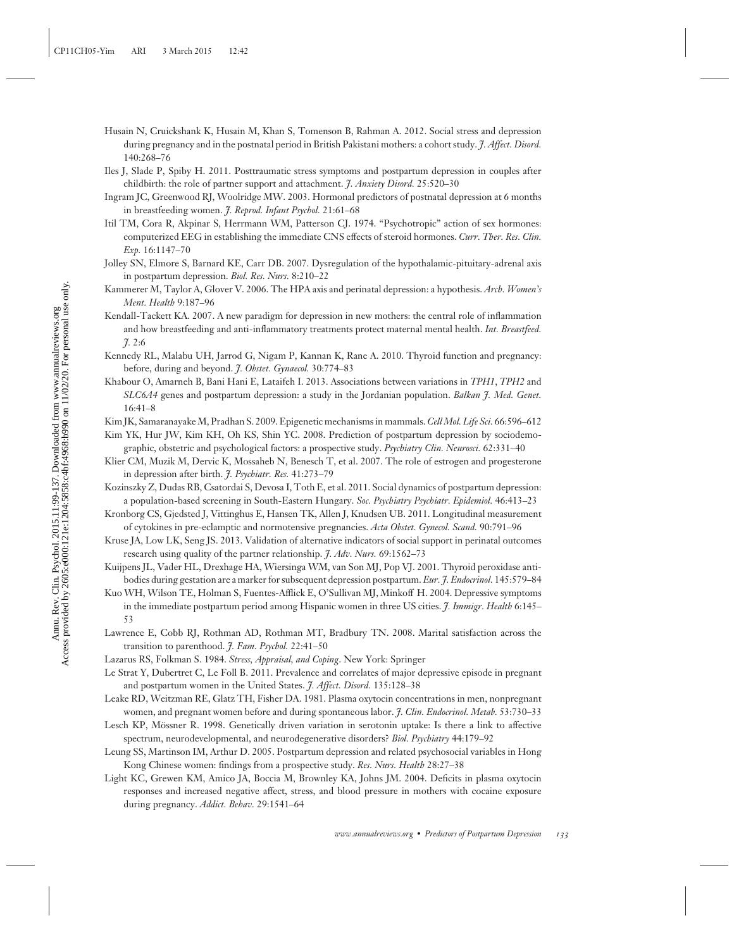- Husain N, Cruickshank K, Husain M, Khan S, Tomenson B, Rahman A. 2012. Social stress and depression during pregnancy and in the postnatal period in British Pakistani mothers: a cohort study. *J. Affect. Disord.* 140:268–76
- Iles J, Slade P, Spiby H. 2011. Posttraumatic stress symptoms and postpartum depression in couples after childbirth: the role of partner support and attachment. *J. Anxiety Disord.* 25:520–30
- Ingram JC, Greenwood RJ, Woolridge MW. 2003. Hormonal predictors of postnatal depression at 6 months in breastfeeding women. *J. Reprod. Infant Psychol.* 21:61–68
- Itil TM, Cora R, Akpinar S, Herrmann WM, Patterson CJ. 1974. "Psychotropic" action of sex hormones: computerized EEG in establishing the immediate CNS effects of steroid hormones. *Curr. Ther. Res. Clin. Exp.* 16:1147–70
- Jolley SN, Elmore S, Barnard KE, Carr DB. 2007. Dysregulation of the hypothalamic-pituitary-adrenal axis in postpartum depression. *Biol. Res. Nurs.* 8:210–22
- Kammerer M, Taylor A, Glover V. 2006. The HPA axis and perinatal depression: a hypothesis. *Arch. Women's Ment. Health* 9:187–96
- Kendall-Tackett KA. 2007. A new paradigm for depression in new mothers: the central role of inflammation and how breastfeeding and anti-inflammatory treatments protect maternal mental health. *Int. Breastfeed. J.* 2:6
- Kennedy RL, Malabu UH, Jarrod G, Nigam P, Kannan K, Rane A. 2010. Thyroid function and pregnancy: before, during and beyond. *J. Obstet. Gynaecol.* 30:774–83
- Khabour O, Amarneh B, Bani Hani E, Lataifeh I. 2013. Associations between variations in *TPH1*, *TPH2* and *SLC6A4* genes and postpartum depression: a study in the Jordanian population. *Balkan J. Med. Genet.* 16:41–8
- Kim JK, Samaranayake M, Pradhan S. 2009. Epigenetic mechanisms in mammals.*Cell Mol. Life Sci.* 66:596–612
- Kim YK, Hur JW, Kim KH, Oh KS, Shin YC. 2008. Prediction of postpartum depression by sociodemographic, obstetric and psychological factors: a prospective study. *Psychiatry Clin. Neurosci.* 62:331–40
- Klier CM, Muzik M, Dervic K, Mossaheb N, Benesch T, et al. 2007. The role of estrogen and progesterone in depression after birth. *J. Psychiatr. Res.* 41:273–79
- Kozinszky Z, Dudas RB, Csatordai S, Devosa I, Toth E, et al. 2011. Social dynamics of postpartum depression: a population-based screening in South-Eastern Hungary. *Soc. Psychiatry Psychiatr. Epidemiol.* 46:413–23
- Kronborg CS, Gjedsted J, Vittinghus E, Hansen TK, Allen J, Knudsen UB. 2011. Longitudinal measurement of cytokines in pre-eclamptic and normotensive pregnancies. *Acta Obstet. Gynecol. Scand.* 90:791–96
- Kruse JA, Low LK, Seng JS. 2013. Validation of alternative indicators of social support in perinatal outcomes research using quality of the partner relationship. *J. Adv. Nurs.* 69:1562–73
- Kuijpens JL, Vader HL, Drexhage HA, Wiersinga WM, van Son MJ, Pop VJ. 2001. Thyroid peroxidase antibodies during gestation are a marker for subsequent depression postpartum. *Eur. J. Endocrinol.* 145:579–84
- Kuo WH, Wilson TE, Holman S, Fuentes-Afflick E, O'Sullivan MJ, Minkoff H. 2004. Depressive symptoms in the immediate postpartum period among Hispanic women in three US cities. *J. Immigr. Health* 6:145– 53
- Lawrence E, Cobb RJ, Rothman AD, Rothman MT, Bradbury TN. 2008. Marital satisfaction across the transition to parenthood. *J. Fam. Psychol.* 22:41–50
- Lazarus RS, Folkman S. 1984. *Stress, Appraisal, and Coping*. New York: Springer
- Le Strat Y, Dubertret C, Le Foll B. 2011. Prevalence and correlates of major depressive episode in pregnant and postpartum women in the United States. *J. Affect. Disord.* 135:128–38
- Leake RD, Weitzman RE, Glatz TH, Fisher DA. 1981. Plasma oxytocin concentrations in men, nonpregnant women, and pregnant women before and during spontaneous labor. *J. Clin. Endocrinol. Metab.* 53:730–33
- Lesch KP, Mössner R. 1998. Genetically driven variation in serotonin uptake: Is there a link to affective spectrum, neurodevelopmental, and neurodegenerative disorders? *Biol. Psychiatry* 44:179–92
- Leung SS, Martinson IM, Arthur D. 2005. Postpartum depression and related psychosocial variables in Hong Kong Chinese women: findings from a prospective study. *Res. Nurs. Health* 28:27–38
- Light KC, Grewen KM, Amico JA, Boccia M, Brownley KA, Johns JM. 2004. Deficits in plasma oxytocin responses and increased negative affect, stress, and blood pressure in mothers with cocaine exposure during pregnancy. *Addict. Behav.* 29:1541–64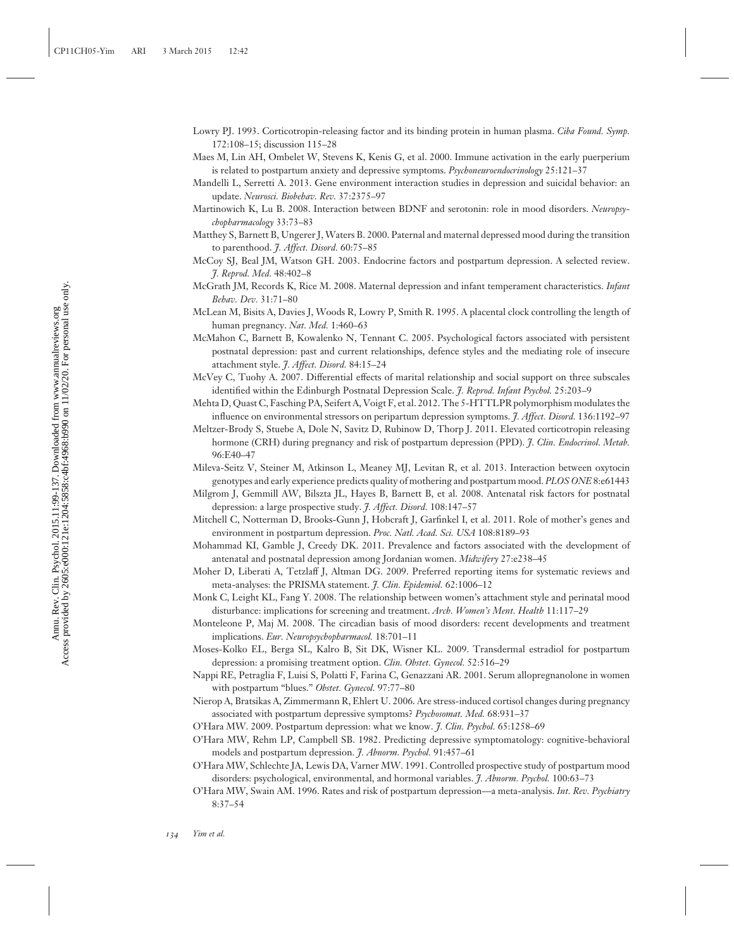- Lowry PJ. 1993. Corticotropin-releasing factor and its binding protein in human plasma. *Ciba Found. Symp.* 172:108–15; discussion 115–28
- Maes M, Lin AH, Ombelet W, Stevens K, Kenis G, et al. 2000. Immune activation in the early puerperium is related to postpartum anxiety and depressive symptoms. *Psychoneuroendocrinology* 25:121–37
- Mandelli L, Serretti A. 2013. Gene environment interaction studies in depression and suicidal behavior: an update. *Neurosci. Biobehav. Rev.* 37:2375–97
- Martinowich K, Lu B. 2008. Interaction between BDNF and serotonin: role in mood disorders. *Neuropsychopharmacology* 33:73–83
- Matthey S, Barnett B, Ungerer J, Waters B. 2000. Paternal and maternal depressed mood during the transition to parenthood. *J. Affect. Disord.* 60:75–85
- McCoy SJ, Beal JM, Watson GH. 2003. Endocrine factors and postpartum depression. A selected review. *J. Reprod. Med.* 48:402–8
- McGrath JM, Records K, Rice M. 2008. Maternal depression and infant temperament characteristics. *Infant Behav. Dev.* 31:71–80
- McLean M, Bisits A, Davies J, Woods R, Lowry P, Smith R. 1995. A placental clock controlling the length of human pregnancy. *Nat. Med.* 1:460–63
- McMahon C, Barnett B, Kowalenko N, Tennant C. 2005. Psychological factors associated with persistent postnatal depression: past and current relationships, defence styles and the mediating role of insecure attachment style. *J. Affect. Disord.* 84:15–24
- McVey C, Tuohy A. 2007. Differential effects of marital relationship and social support on three subscales identified within the Edinburgh Postnatal Depression Scale. *J. Reprod. Infant Psychol.* 25:203–9
- Mehta D, Quast C, Fasching PA, Seifert A, Voigt F, et al. 2012. The 5-HTTLPR polymorphism modulates the influence on environmental stressors on peripartum depression symptoms. *J. Affect. Disord.* 136:1192–97
- Meltzer-Brody S, Stuebe A, Dole N, Savitz D, Rubinow D, Thorp J. 2011. Elevated corticotropin releasing hormone (CRH) during pregnancy and risk of postpartum depression (PPD). *J. Clin. Endocrinol. Metab.* 96:E40–47
- Mileva-Seitz V, Steiner M, Atkinson L, Meaney MJ, Levitan R, et al. 2013. Interaction between oxytocin genotypes and early experience predicts quality of mothering and postpartum mood. *PLOS ONE* 8:e61443
- Milgrom J, Gemmill AW, Bilszta JL, Hayes B, Barnett B, et al. 2008. Antenatal risk factors for postnatal depression: a large prospective study. *J. Affect. Disord.* 108:147–57
- Mitchell C, Notterman D, Brooks-Gunn J, Hobcraft J, Garfinkel I, et al. 2011. Role of mother's genes and environment in postpartum depression. *Proc. Natl. Acad. Sci. USA* 108:8189–93
- Mohammad KI, Gamble J, Creedy DK. 2011. Prevalence and factors associated with the development of antenatal and postnatal depression among Jordanian women. *Midwifery* 27:e238–45
- Moher D, Liberati A, Tetzlaff J, Altman DG. 2009. Preferred reporting items for systematic reviews and meta-analyses: the PRISMA statement. *J. Clin. Epidemiol.* 62:1006–12
- Monk C, Leight KL, Fang Y. 2008. The relationship between women's attachment style and perinatal mood disturbance: implications for screening and treatment. *Arch. Women's Ment. Health* 11:117–29
- Monteleone P, Maj M. 2008. The circadian basis of mood disorders: recent developments and treatment implications. *Eur. Neuropsychopharmacol.* 18:701–11
- Moses-Kolko EL, Berga SL, Kalro B, Sit DK, Wisner KL. 2009. Transdermal estradiol for postpartum depression: a promising treatment option. *Clin. Obstet. Gynecol.* 52:516–29
- Nappi RE, Petraglia F, Luisi S, Polatti F, Farina C, Genazzani AR. 2001. Serum allopregnanolone in women with postpartum "blues." *Obstet. Gynecol.* 97:77–80
- Nierop A, Bratsikas A, Zimmermann R, Ehlert U. 2006. Are stress-induced cortisol changes during pregnancy associated with postpartum depressive symptoms? *Psychosomat. Med.* 68:931–37
- O'Hara MW. 2009. Postpartum depression: what we know. *J. Clin. Psychol.* 65:1258–69
- O'Hara MW, Rehm LP, Campbell SB. 1982. Predicting depressive symptomatology: cognitive-behavioral models and postpartum depression. *J. Abnorm. Psychol.* 91:457–61
- O'Hara MW, Schlechte JA, Lewis DA, Varner MW. 1991. Controlled prospective study of postpartum mood disorders: psychological, environmental, and hormonal variables. *J. Abnorm. Psychol.* 100:63–73
- O'Hara MW, Swain AM. 1996. Rates and risk of postpartum depression—a meta-analysis. *Int. Rev. Psychiatry* 8:37–54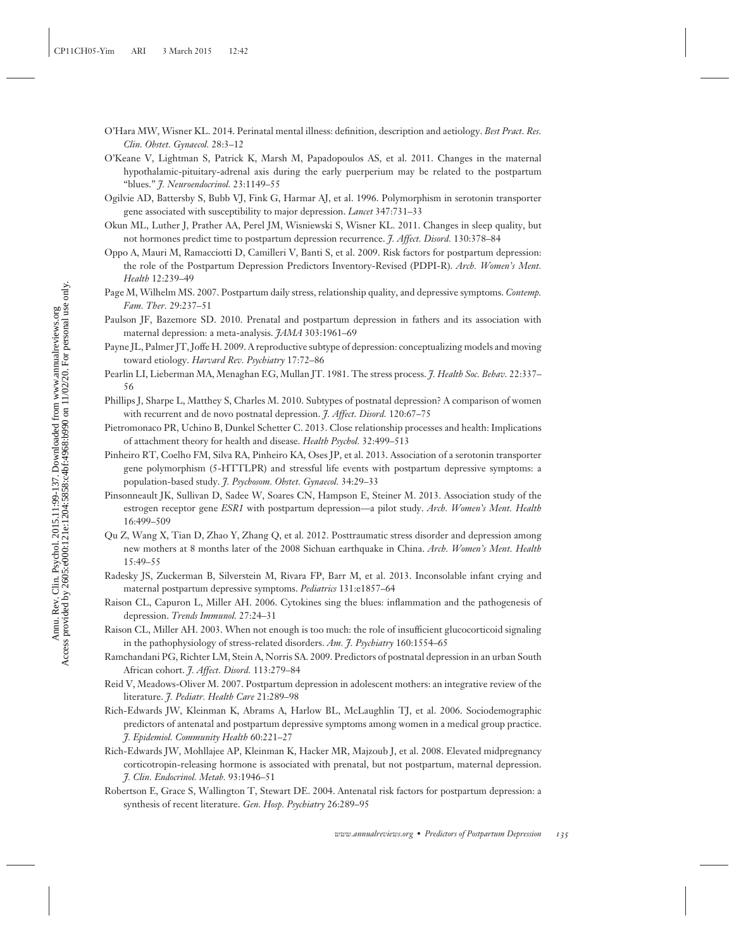- O'Hara MW, Wisner KL. 2014. Perinatal mental illness: definition, description and aetiology. *Best Pract. Res. Clin. Obstet. Gynaecol.* 28:3–12
- O'Keane V, Lightman S, Patrick K, Marsh M, Papadopoulos AS, et al. 2011. Changes in the maternal hypothalamic-pituitary-adrenal axis during the early puerperium may be related to the postpartum "blues." *J. Neuroendocrinol.* 23:1149–55
- Ogilvie AD, Battersby S, Bubb VJ, Fink G, Harmar AJ, et al. 1996. Polymorphism in serotonin transporter gene associated with susceptibility to major depression. *Lancet* 347:731–33
- Okun ML, Luther J, Prather AA, Perel JM, Wisniewski S, Wisner KL. 2011. Changes in sleep quality, but not hormones predict time to postpartum depression recurrence. *J. Affect. Disord.* 130:378–84
- Oppo A, Mauri M, Ramacciotti D, Camilleri V, Banti S, et al. 2009. Risk factors for postpartum depression: the role of the Postpartum Depression Predictors Inventory-Revised (PDPI-R). *Arch. Women's Ment. Health* 12:239–49
- Page M, Wilhelm MS. 2007. Postpartum daily stress, relationship quality, and depressive symptoms. *Contemp. Fam. Ther.* 29:237–51
- Paulson JF, Bazemore SD. 2010. Prenatal and postpartum depression in fathers and its association with maternal depression: a meta-analysis. *JAMA* 303:1961–69
- Payne JL, Palmer JT, Joffe H. 2009. A reproductive subtype of depression: conceptualizing models and moving toward etiology. *Harvard Rev. Psychiatry* 17:72–86
- Pearlin LI, Lieberman MA, Menaghan EG, Mullan JT. 1981. The stress process. *J. Health Soc. Behav.* 22:337– 56
- Phillips J, Sharpe L, Matthey S, Charles M. 2010. Subtypes of postnatal depression? A comparison of women with recurrent and de novo postnatal depression. *J. Affect. Disord.* 120:67–75
- Pietromonaco PR, Uchino B, Dunkel Schetter C. 2013. Close relationship processes and health: Implications of attachment theory for health and disease. *Health Psychol.* 32:499–513
- Pinheiro RT, Coelho FM, Silva RA, Pinheiro KA, Oses JP, et al. 2013. Association of a serotonin transporter gene polymorphism (5-HTTLPR) and stressful life events with postpartum depressive symptoms: a population-based study. *J. Psychosom. Obstet. Gynaecol.* 34:29–33
- Pinsonneault JK, Sullivan D, Sadee W, Soares CN, Hampson E, Steiner M. 2013. Association study of the estrogen receptor gene *ESR1* with postpartum depression—a pilot study. *Arch. Women's Ment. Health* 16:499–509
- Qu Z, Wang X, Tian D, Zhao Y, Zhang Q, et al. 2012. Posttraumatic stress disorder and depression among new mothers at 8 months later of the 2008 Sichuan earthquake in China. *Arch. Women's Ment. Health* 15:49–55
- Radesky JS, Zuckerman B, Silverstein M, Rivara FP, Barr M, et al. 2013. Inconsolable infant crying and maternal postpartum depressive symptoms. *Pediatrics* 131:e1857–64
- Raison CL, Capuron L, Miller AH. 2006. Cytokines sing the blues: inflammation and the pathogenesis of depression. *Trends Immunol.* 27:24–31
- Raison CL, Miller AH. 2003. When not enough is too much: the role of insufficient glucocorticoid signaling in the pathophysiology of stress-related disorders. *Am. J. Psychiatry* 160:1554–65
- Ramchandani PG, Richter LM, Stein A, Norris SA. 2009. Predictors of postnatal depression in an urban South African cohort. *J. Affect. Disord.* 113:279–84
- Reid V, Meadows-Oliver M. 2007. Postpartum depression in adolescent mothers: an integrative review of the literature. *J. Pediatr. Health Care* 21:289–98
- Rich-Edwards JW, Kleinman K, Abrams A, Harlow BL, McLaughlin TJ, et al. 2006. Sociodemographic predictors of antenatal and postpartum depressive symptoms among women in a medical group practice. *J. Epidemiol. Community Health* 60:221–27
- Rich-Edwards JW, Mohllajee AP, Kleinman K, Hacker MR, Majzoub J, et al. 2008. Elevated midpregnancy corticotropin-releasing hormone is associated with prenatal, but not postpartum, maternal depression. *J. Clin. Endocrinol. Metab.* 93:1946–51
- Robertson E, Grace S, Wallington T, Stewart DE. 2004. Antenatal risk factors for postpartum depression: a synthesis of recent literature. *Gen. Hosp. Psychiatry* 26:289–95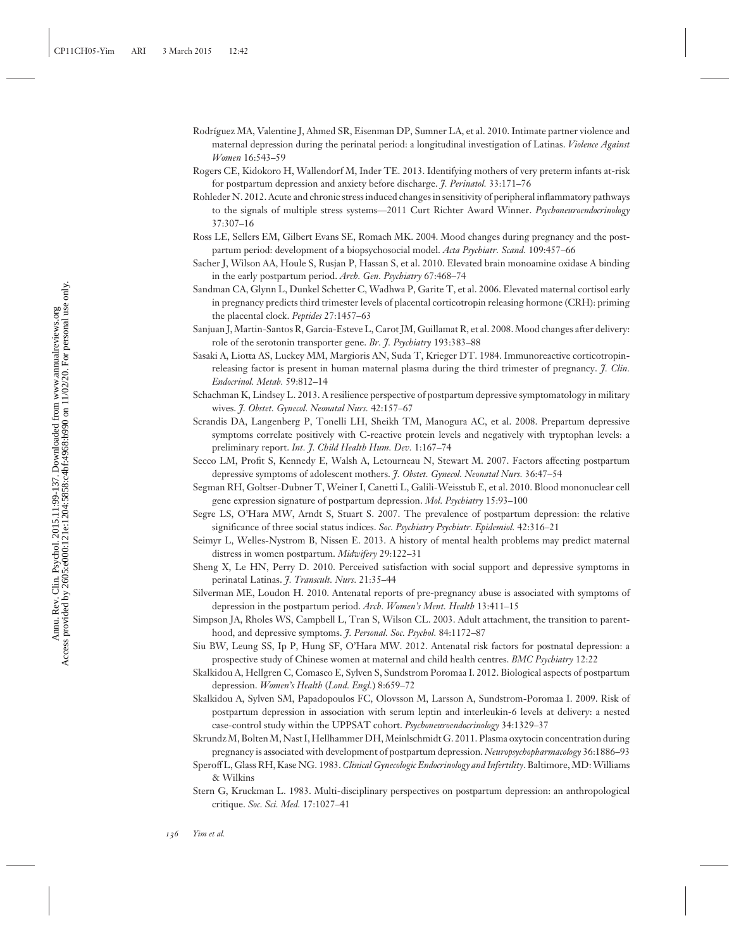- Rodríguez MA, Valentine J, Ahmed SR, Eisenman DP, Sumner LA, et al. 2010. Intimate partner violence and maternal depression during the perinatal period: a longitudinal investigation of Latinas. *Violence Against Women* 16:543–59
- Rogers CE, Kidokoro H, Wallendorf M, Inder TE. 2013. Identifying mothers of very preterm infants at-risk for postpartum depression and anxiety before discharge. *J. Perinatol.* 33:171–76
- Rohleder N. 2012. Acute and chronic stress induced changes in sensitivity of peripheral inflammatory pathways to the signals of multiple stress systems—2011 Curt Richter Award Winner. *Psychoneuroendocrinology* 37:307–16
- Ross LE, Sellers EM, Gilbert Evans SE, Romach MK. 2004. Mood changes during pregnancy and the postpartum period: development of a biopsychosocial model. *Acta Psychiatr. Scand.* 109:457–66
- Sacher J, Wilson AA, Houle S, Rusjan P, Hassan S, et al. 2010. Elevated brain monoamine oxidase A binding in the early postpartum period. *Arch. Gen. Psychiatry* 67:468–74
- Sandman CA, Glynn L, Dunkel Schetter C, Wadhwa P, Garite T, et al. 2006. Elevated maternal cortisol early in pregnancy predicts third trimester levels of placental corticotropin releasing hormone (CRH): priming the placental clock. *Peptides* 27:1457–63
- Sanjuan J, Martin-Santos R, Garcia-Esteve L, Carot JM, Guillamat R, et al. 2008. Mood changes after delivery: role of the serotonin transporter gene. *Br. J. Psychiatry* 193:383–88
- Sasaki A, Liotta AS, Luckey MM, Margioris AN, Suda T, Krieger DT. 1984. Immunoreactive corticotropinreleasing factor is present in human maternal plasma during the third trimester of pregnancy. *J. Clin. Endocrinol. Metab.* 59:812–14
- Schachman K, Lindsey L. 2013. A resilience perspective of postpartum depressive symptomatology in military wives. *J. Obstet. Gynecol. Neonatal Nurs.* 42:157–67
- Scrandis DA, Langenberg P, Tonelli LH, Sheikh TM, Manogura AC, et al. 2008. Prepartum depressive symptoms correlate positively with C-reactive protein levels and negatively with tryptophan levels: a preliminary report. *Int. J. Child Health Hum. Dev.* 1:167–74
- Secco LM, Profit S, Kennedy E, Walsh A, Letourneau N, Stewart M. 2007. Factors affecting postpartum depressive symptoms of adolescent mothers. *J. Obstet. Gynecol. Neonatal Nurs.* 36:47–54
- Segman RH, Goltser-Dubner T, Weiner I, Canetti L, Galili-Weisstub E, et al. 2010. Blood mononuclear cell gene expression signature of postpartum depression. *Mol. Psychiatry* 15:93–100
- Segre LS, O'Hara MW, Arndt S, Stuart S. 2007. The prevalence of postpartum depression: the relative significance of three social status indices. *Soc. Psychiatry Psychiatr. Epidemiol.* 42:316–21
- Seimyr L, Welles-Nystrom B, Nissen E. 2013. A history of mental health problems may predict maternal distress in women postpartum. *Midwifery* 29:122–31
- Sheng X, Le HN, Perry D. 2010. Perceived satisfaction with social support and depressive symptoms in perinatal Latinas. *J. Transcult. Nurs.* 21:35–44
- Silverman ME, Loudon H. 2010. Antenatal reports of pre-pregnancy abuse is associated with symptoms of depression in the postpartum period. *Arch. Women's Ment. Health* 13:411–15
- Simpson JA, Rholes WS, Campbell L, Tran S, Wilson CL. 2003. Adult attachment, the transition to parenthood, and depressive symptoms. *J. Personal. Soc. Psychol.* 84:1172–87
- Siu BW, Leung SS, Ip P, Hung SF, O'Hara MW. 2012. Antenatal risk factors for postnatal depression: a prospective study of Chinese women at maternal and child health centres. *BMC Psychiatry* 12:22
- Skalkidou A, Hellgren C, Comasco E, Sylven S, Sundstrom Poromaa I. 2012. Biological aspects of postpartum depression. *Women's Health* (*Lond. Engl.*) 8:659–72
- Skalkidou A, Sylven SM, Papadopoulos FC, Olovsson M, Larsson A, Sundstrom-Poromaa I. 2009. Risk of postpartum depression in association with serum leptin and interleukin-6 levels at delivery: a nested case-control study within the UPPSAT cohort. *Psychoneuroendocrinology* 34:1329–37
- Skrundz M, Bolten M, Nast I, Hellhammer DH, Meinlschmidt G. 2011. Plasma oxytocin concentration during pregnancy is associated with development of postpartum depression. *Neuropsychopharmacology* 36:1886–93
- Speroff L, Glass RH, Kase NG. 1983. *Clinical Gynecologic Endocrinology and Infertility*. Baltimore, MD: Williams & Wilkins
- Stern G, Kruckman L. 1983. Multi-disciplinary perspectives on postpartum depression: an anthropological critique. *Soc. Sci. Med.* 17:1027–41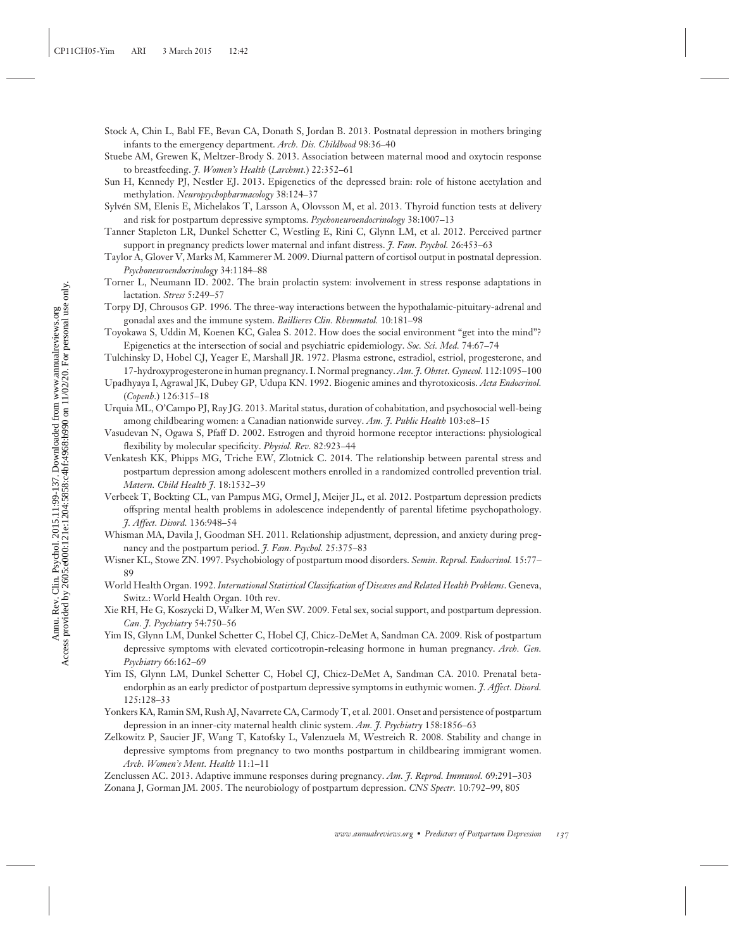- Stock A, Chin L, Babl FE, Bevan CA, Donath S, Jordan B. 2013. Postnatal depression in mothers bringing infants to the emergency department. *Arch. Dis. Childhood* 98:36–40
- Stuebe AM, Grewen K, Meltzer-Brody S. 2013. Association between maternal mood and oxytocin response to breastfeeding. *J. Women's Health* (*Larchmt.*) 22:352–61
- Sun H, Kennedy PJ, Nestler EJ. 2013. Epigenetics of the depressed brain: role of histone acetylation and methylation. *Neuropsychopharmacology* 38:124–37
- Sylven SM, Elenis E, Michelakos T, Larsson A, Olovsson M, et al. 2013. Thyroid function tests at delivery ´ and risk for postpartum depressive symptoms. *Psychoneuroendocrinology* 38:1007–13
- Tanner Stapleton LR, Dunkel Schetter C, Westling E, Rini C, Glynn LM, et al. 2012. Perceived partner support in pregnancy predicts lower maternal and infant distress. *J. Fam. Psychol.* 26:453–63
- Taylor A, Glover V, Marks M, Kammerer M. 2009. Diurnal pattern of cortisol output in postnatal depression. *Psychoneuroendocrinology* 34:1184–88
- Torner L, Neumann ID. 2002. The brain prolactin system: involvement in stress response adaptations in lactation. *Stress* 5:249–57
- Torpy DJ, Chrousos GP. 1996. The three-way interactions between the hypothalamic-pituitary-adrenal and gonadal axes and the immune system. *Baillieres Clin. Rheumatol.* 10:181–98
- Toyokawa S, Uddin M, Koenen KC, Galea S. 2012. How does the social environment "get into the mind"? Epigenetics at the intersection of social and psychiatric epidemiology. *Soc. Sci. Med.* 74:67–74

Tulchinsky D, Hobel CJ, Yeager E, Marshall JR. 1972. Plasma estrone, estradiol, estriol, progesterone, and 17-hydroxyprogesterone in human pregnancy. I. Normal pregnancy. *Am. J. Obstet. Gynecol.* 112:1095–100

- Upadhyaya I, Agrawal JK, Dubey GP, Udupa KN. 1992. Biogenic amines and thyrotoxicosis. *Acta Endocrinol.* (*Copenh.*) 126:315–18
- Urquia ML, O'Campo PJ, Ray JG. 2013. Marital status, duration of cohabitation, and psychosocial well-being among childbearing women: a Canadian nationwide survey. *Am. J. Public Health* 103:e8–15
- Vasudevan N, Ogawa S, Pfaff D. 2002. Estrogen and thyroid hormone receptor interactions: physiological flexibility by molecular specificity. *Physiol. Rev.* 82:923–44
- Venkatesh KK, Phipps MG, Triche EW, Zlotnick C. 2014. The relationship between parental stress and postpartum depression among adolescent mothers enrolled in a randomized controlled prevention trial. *Matern. Child Health J.* 18:1532–39
- Verbeek T, Bockting CL, van Pampus MG, Ormel J, Meijer JL, et al. 2012. Postpartum depression predicts offspring mental health problems in adolescence independently of parental lifetime psychopathology. *J. Affect. Disord.* 136:948–54
- Whisman MA, Davila J, Goodman SH. 2011. Relationship adjustment, depression, and anxiety during pregnancy and the postpartum period. *J. Fam. Psychol.* 25:375–83
- Wisner KL, Stowe ZN. 1997. Psychobiology of postpartum mood disorders. *Semin. Reprod. Endocrinol.* 15:77– 89
- World Health Organ. 1992. *International Statistical Classification of Diseases and Related Health Problems*. Geneva, Switz.: World Health Organ. 10th rev.
- Xie RH, He G, Koszycki D, Walker M, Wen SW. 2009. Fetal sex, social support, and postpartum depression. *Can. J. Psychiatry* 54:750–56
- Yim IS, Glynn LM, Dunkel Schetter C, Hobel CJ, Chicz-DeMet A, Sandman CA. 2009. Risk of postpartum depressive symptoms with elevated corticotropin-releasing hormone in human pregnancy. *Arch. Gen. Psychiatry* 66:162–69
- Yim IS, Glynn LM, Dunkel Schetter C, Hobel CJ, Chicz-DeMet A, Sandman CA. 2010. Prenatal betaendorphin as an early predictor of postpartum depressive symptoms in euthymic women. *J. Affect. Disord.* 125:128–33
- Yonkers KA, Ramin SM, Rush AJ, Navarrete CA, Carmody T, et al. 2001. Onset and persistence of postpartum depression in an inner-city maternal health clinic system. *Am. J. Psychiatry* 158:1856–63
- Zelkowitz P, Saucier JF, Wang T, Katofsky L, Valenzuela M, Westreich R. 2008. Stability and change in depressive symptoms from pregnancy to two months postpartum in childbearing immigrant women. *Arch. Women's Ment. Health* 11:1–11
- Zenclussen AC. 2013. Adaptive immune responses during pregnancy. *Am. J. Reprod. Immunol.* 69:291–303 Zonana J, Gorman JM. 2005. The neurobiology of postpartum depression. *CNS Spectr.* 10:792–99, 805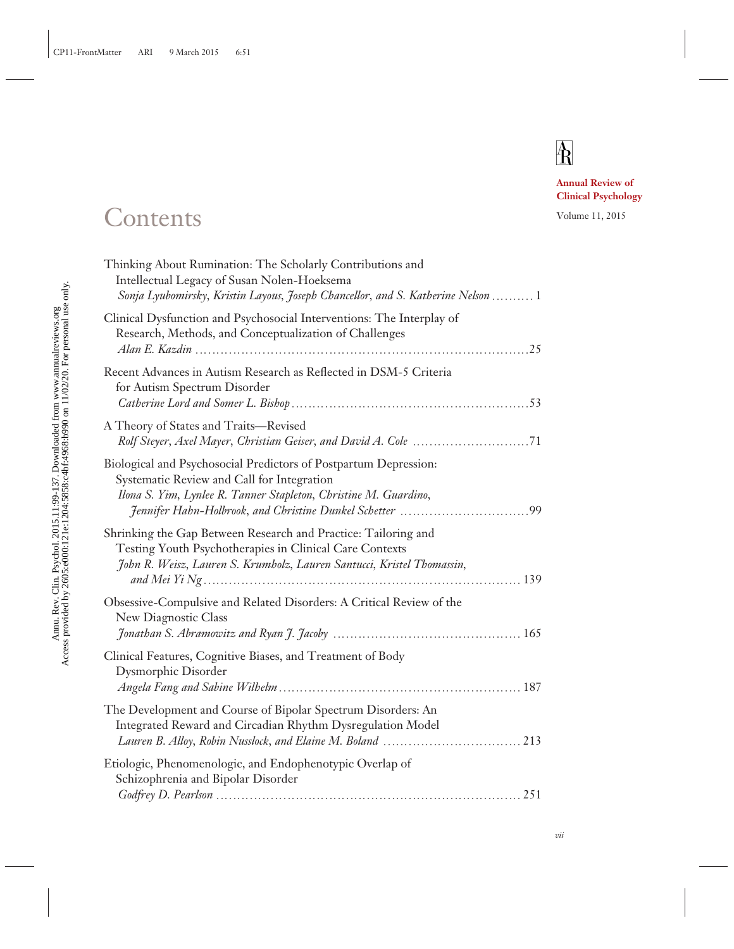## $\mathbf{\hat{R}}$

**Annual Review of Clinical Psychology**

## Contents Volume 11, 2015

| Thinking About Rumination: The Scholarly Contributions and<br>Intellectual Legacy of Susan Nolen-Hoeksema<br>Sonja Lyubomirsky, Kristin Layous, Joseph Chancellor, and S. Katherine Nelson  1       |  |
|-----------------------------------------------------------------------------------------------------------------------------------------------------------------------------------------------------|--|
| Clinical Dysfunction and Psychosocial Interventions: The Interplay of<br>Research, Methods, and Conceptualization of Challenges                                                                     |  |
| Recent Advances in Autism Research as Reflected in DSM-5 Criteria<br>for Autism Spectrum Disorder                                                                                                   |  |
| A Theory of States and Traits-Revised                                                                                                                                                               |  |
| Biological and Psychosocial Predictors of Postpartum Depression:<br>Systematic Review and Call for Integration<br>Ilona S. Yim, Lynlee R. Tanner Stapleton, Christine M. Guardino,                  |  |
| Shrinking the Gap Between Research and Practice: Tailoring and<br>Testing Youth Psychotherapies in Clinical Care Contexts<br>John R. Weisz, Lauren S. Krumholz, Lauren Santucci, Kristel Thomassin, |  |
| Obsessive-Compulsive and Related Disorders: A Critical Review of the<br>New Diagnostic Class                                                                                                        |  |
| Clinical Features, Cognitive Biases, and Treatment of Body<br>Dysmorphic Disorder                                                                                                                   |  |
| The Development and Course of Bipolar Spectrum Disorders: An<br>Integrated Reward and Circadian Rhythm Dysregulation Model                                                                          |  |
| Etiologic, Phenomenologic, and Endophenotypic Overlap of<br>Schizophrenia and Bipolar Disorder                                                                                                      |  |

*Godfrey D. Pearlson* **♣♣♣♣♣♣♣♣♣♣♣♣♣♣♣♣♣♣♣♣♣♣♣♣♣♣♣♣♣♣♣♣♣♣♣♣♣♣♣♣♣♣♣♣♣♣♣♣♣♣♣♣♣♣♣♣♣♣♣♣♣♣♣♣♣♣♣♣♣♣♣♣♣** 251